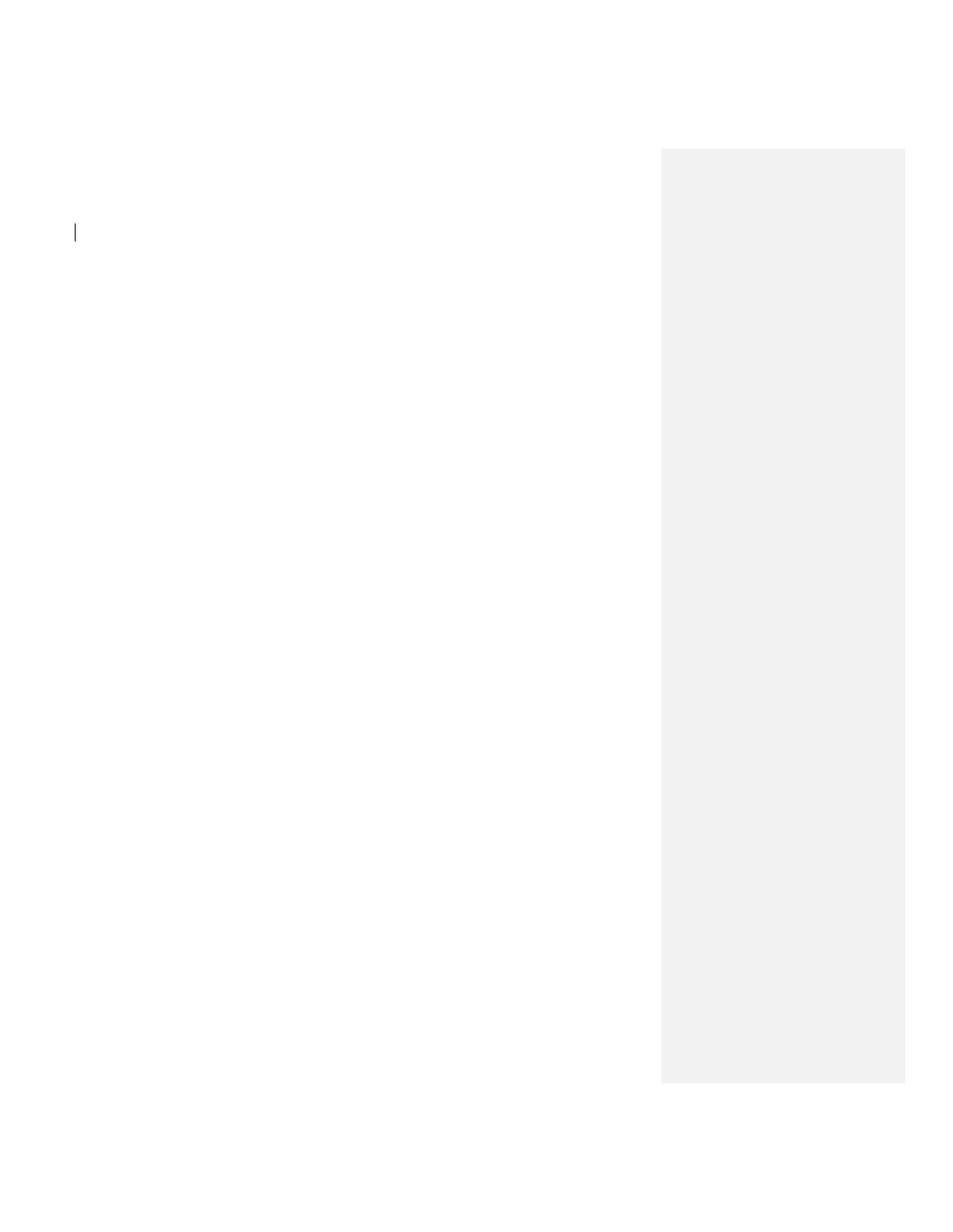$\overline{\phantom{a}}$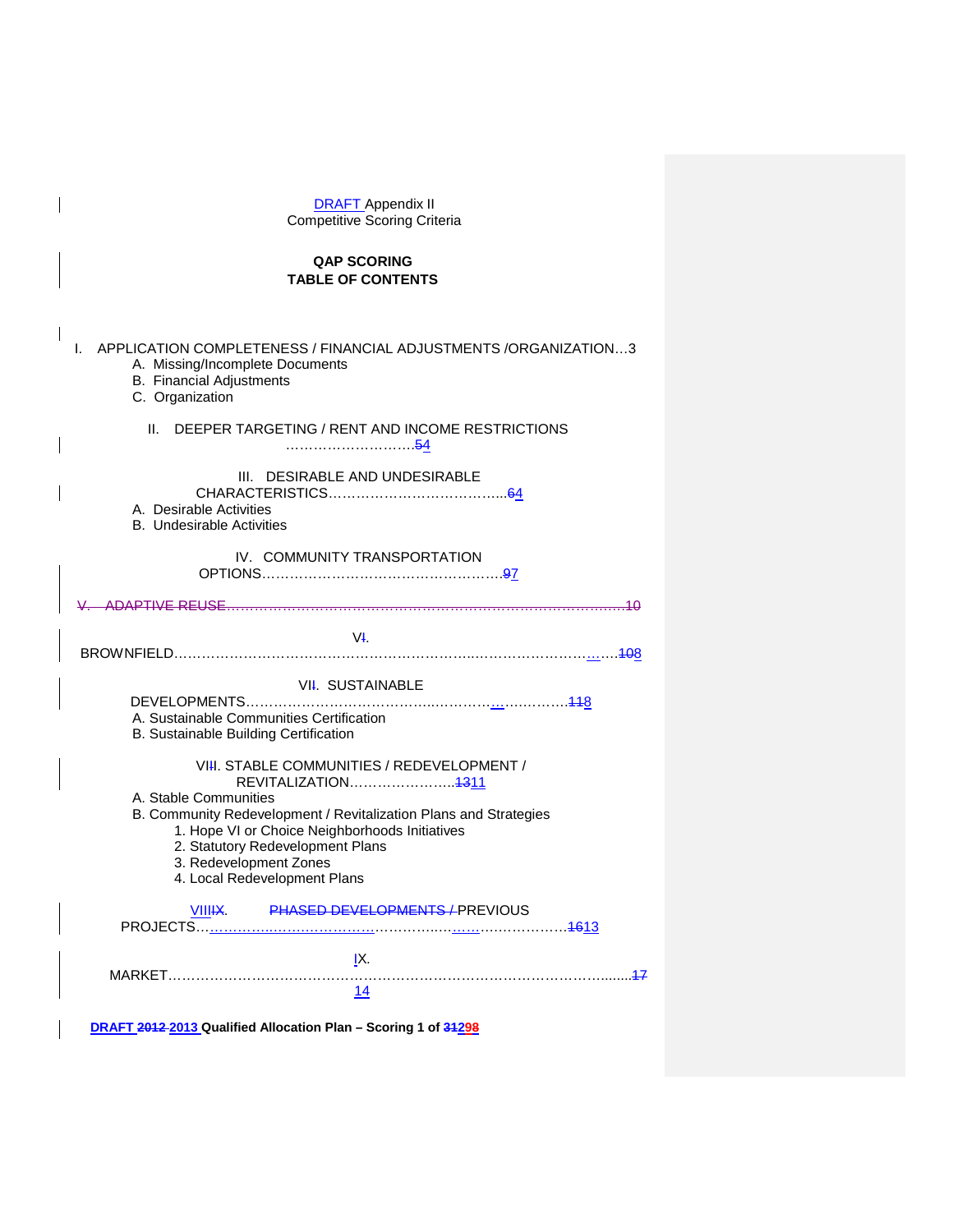#### **QAP SCORING TABLE OF CONTENTS**

**DRAFT 2012 2013 Qualified Allocation Plan – Scoring 1 of 31298** I. APPLICATION COMPLETENESS / FINANCIAL ADJUSTMENTS /ORGANIZATION…3 A. Missing/Incomplete Documents B. Financial Adjustments C. Organization II. DEEPER TARGETING / RENT AND INCOME RESTRICTIONS ……………………….54 III. DESIRABLE AND UNDESIRABLE CHARACTERISTICS………………………………...64 A. Desirable Activities B. Undesirable Activities IV. COMMUNITY TRANSPORTATION OPTIONS…………………………………………….97 V. ADAPTIVE REUSE……………………………………………………………………….….10 VI. BROWNFIELD………………………………………………………..………………………….108 VII. SUSTAINABLE DEVELOPMENTS…………………………………..……………….……….118 A. Sustainable Communities Certification B. Sustainable Building Certification VIII. STABLE COMMUNITIES / REDEVELOPMENT / REVITALIZATION…………………..1311 A. Stable Communities B. Community Redevelopment / Revitalization Plans and Strategies 1. Hope VI or Choice Neighborhoods Initiatives 2. Statutory Redevelopment Plans 3. Redevelopment Zones 4. Local Redevelopment Plans VIIIIX. PHASED DEVELOPMENTS/PREVIOUS PROJECTS……………..…….………………………..………….……………1613 IX. MARKET…………………………………………………………………………………........17 14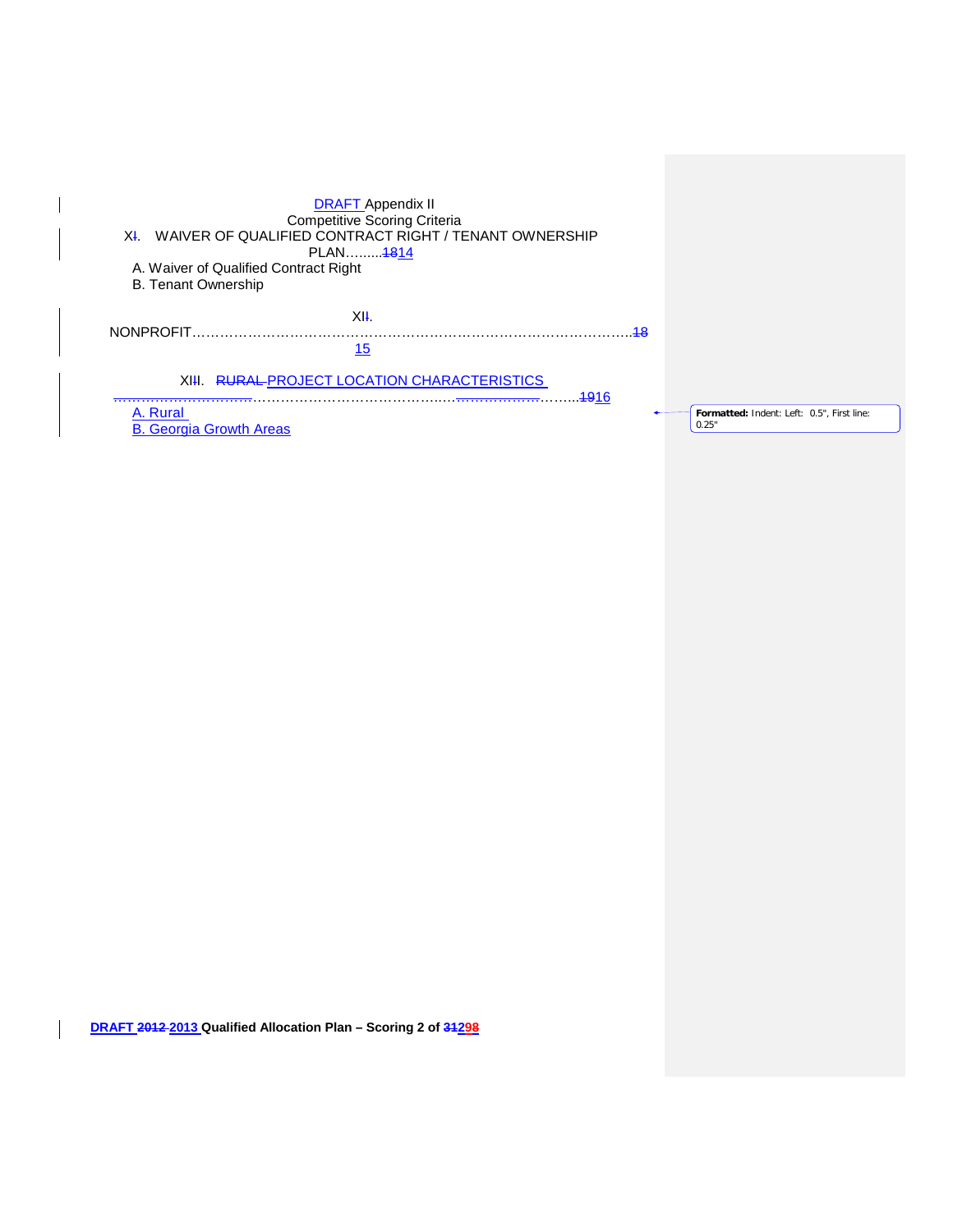

**DRAFT 2012 2013 Qualified Allocation Plan – Scoring 2 of 31298**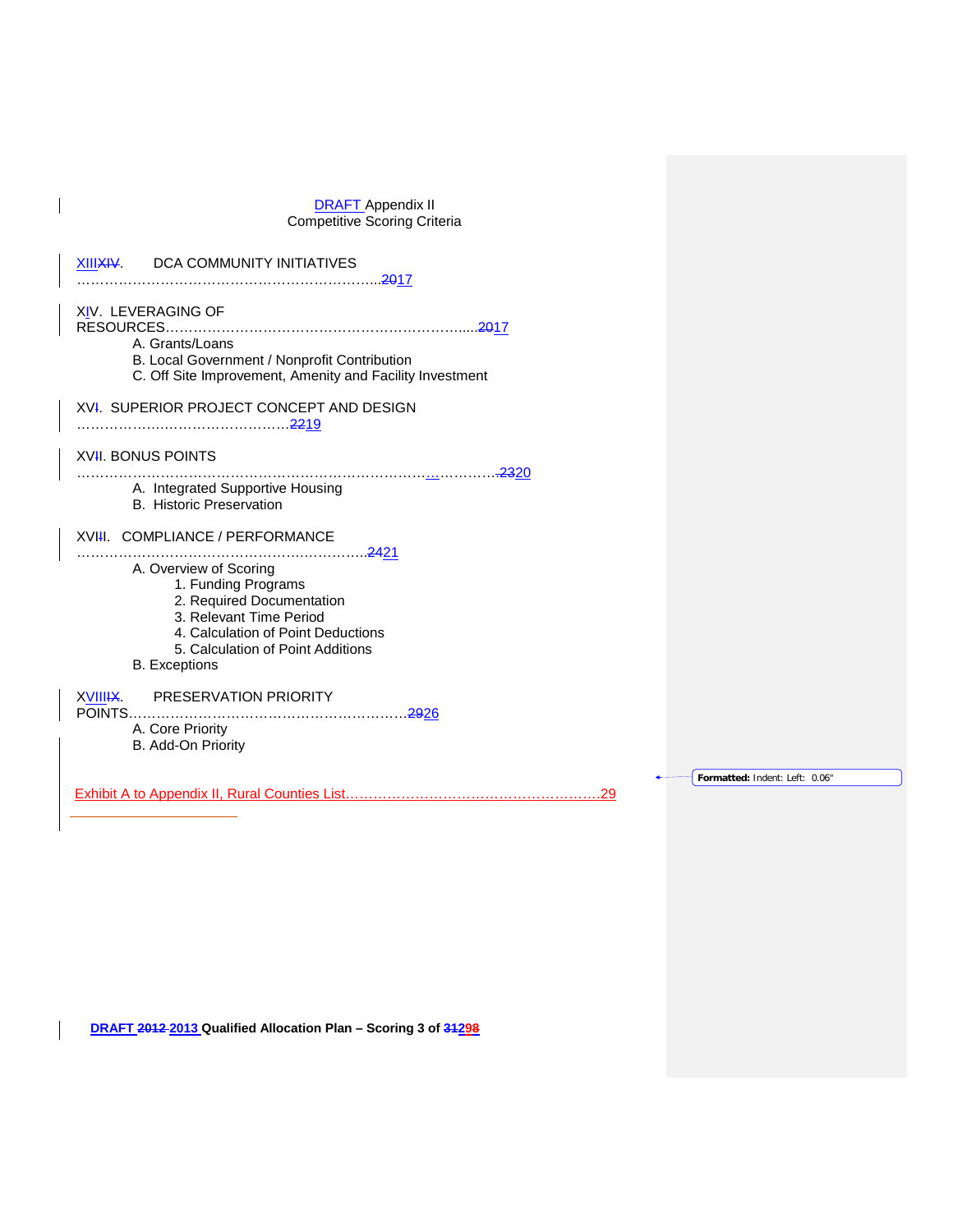$\mathsf{l}$ 

| XIIIXIV. DCA COMMUNITY INITIATIVES                                                                                                                                                                       |                                |
|----------------------------------------------------------------------------------------------------------------------------------------------------------------------------------------------------------|--------------------------------|
| XIV. LEVERAGING OF<br>A. Grants/Loans<br>B. Local Government / Nonprofit Contribution<br>C. Off Site Improvement, Amenity and Facility Investment                                                        |                                |
| XVI. SUPERIOR PROJECT CONCEPT AND DESIGN                                                                                                                                                                 |                                |
| XVII. BONUS POINTS<br>A. Integrated Supportive Housing<br><b>B.</b> Historic Preservation                                                                                                                |                                |
| XVIII. COMPLIANCE / PERFORMANCE                                                                                                                                                                          |                                |
| A. Overview of Scoring<br>1. Funding Programs<br>2. Required Documentation<br>3. Relevant Time Period<br>4. Calculation of Point Deductions<br>5. Calculation of Point Additions<br><b>B.</b> Exceptions |                                |
| PRESERVATION PRIORITY<br>XVIII <del>IX</del> .<br>A. Core Priority<br>B. Add-On Priority                                                                                                                 |                                |
|                                                                                                                                                                                                          | Formatted: Indent: Left: 0.06" |

**DRAFT 2012 2013 Qualified Allocation Plan – Scoring 3 of 31298**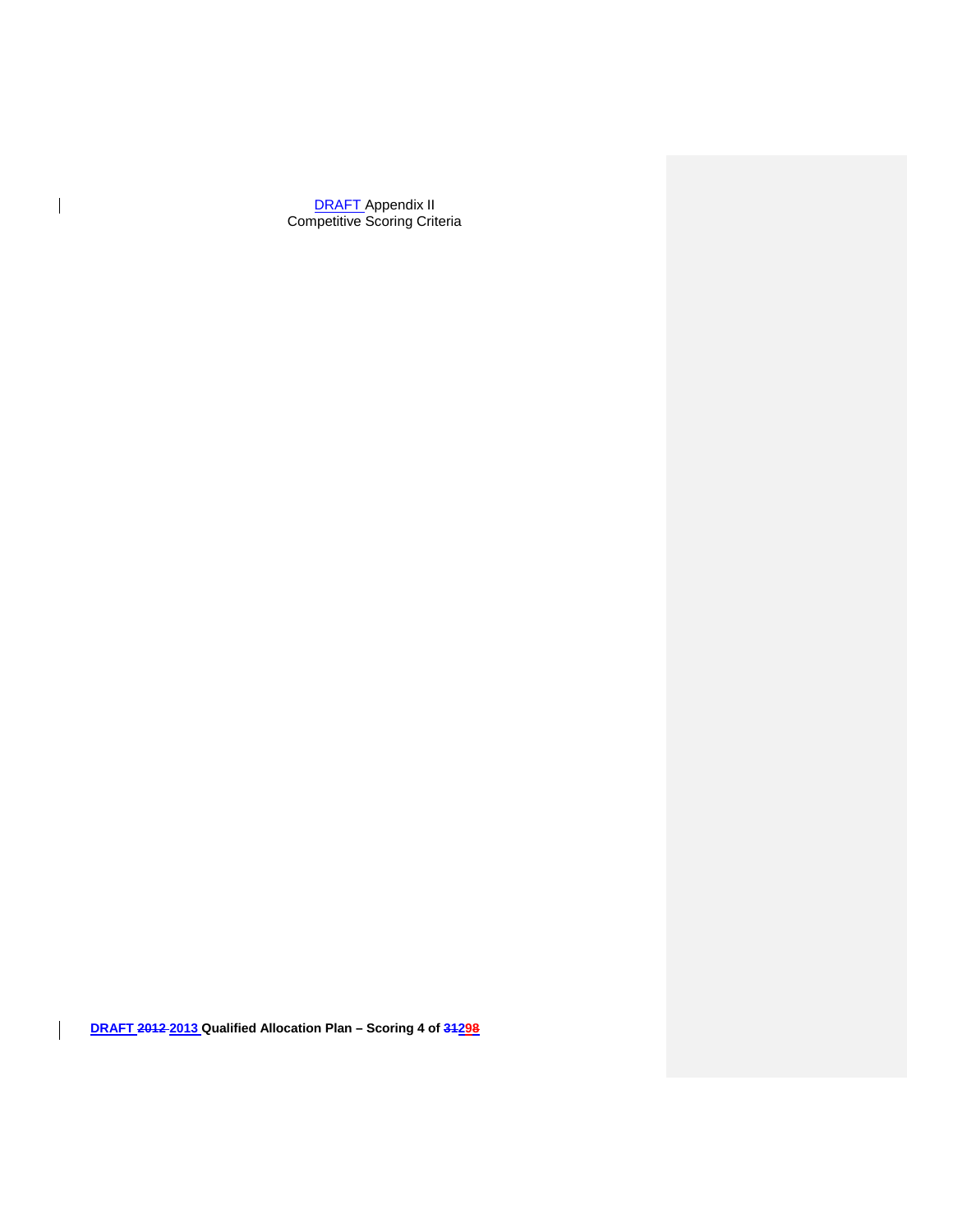$\mathbf{l}$ 

**DRAFT 2012 2013 Qualified Allocation Plan – Scoring 4 of 31298**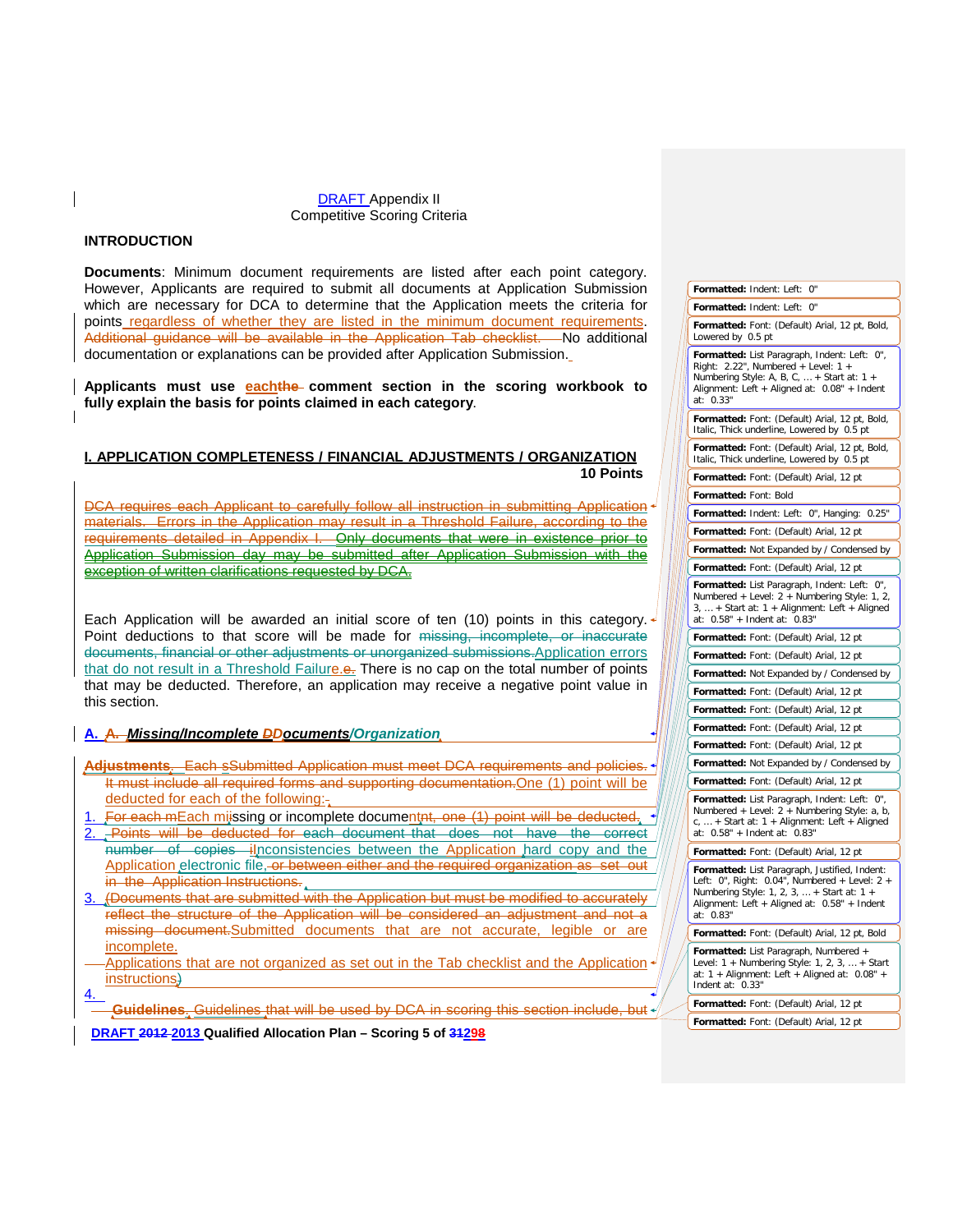## **INTRODUCTION**

**Documents**: Minimum document requirements are listed after each point category. However, Applicants are required to submit all documents at Application Submission which are necessary for DCA to determine that the Application meets the criteria for points regardless of whether they are listed in the minimum document requirements. Additional quidance will be available in the Application Tab checklist. No additional documentation or explanations can be provided after Application Submission.

**Applicants must use eachthe comment section in the scoring workbook to fully explain the basis for points claimed in each category**.

## **I. APPLICATION COMPLETENESS / FINANCIAL ADJUSTMENTS / ORGANIZATION 10 Points**

DCA requires each Applicant to carefully follow all instruction in submitting Application materials. Errors in the Application may result in a Threshold Failure, according to the requirements detailed in Appendix I. Only documents that were in existence prior to Application Submission day may be submitted after Application Submission with the exception of written clarifications requested by DCA.

Each Application will be awarded an initial score of ten  $(10)$  points in this category. Point deductions to that score will be made for missing, incomplete, or inaccurate documents, financial or other adjustments or unorganized submissions.Application errors that do not result in a Threshold Failure.e. There is no cap on the total number of points that may be deducted. Therefore, an application may receive a negative point value in this section.

## **A. A.** *Missing/Incomplete DDocuments/Organization*

- **Adjustments**. Each sSubmitted Application must meet DCA requirements and policies. It must include all required forms and supporting documentation.One (1) point will be deducted for each of the following:-
- For each mEach miissing or incomplete documentnt, one (1) point will be deducted. 2. Points will be deducted for each document that does not have the correct
- number of copies ilnconsistencies between the Application hard copy and the Application electronic file, or between either and the required organization as set out in the Application Instructions.
- 3. (Documents that are submitted with the Application but must be modified to accurately reflect the structure of the Application will be considered an adjustment and not a missing document. Submitted documents that are not accurate, legible or are incomplete.
- Applications that are not organized as set out in the Tab checklist and the Application $\star$ instructions) 4.

**Guidelines**. Guidelines that will be used by DCA in scoring this section include.

**DRAFT 2012 2013 Qualified Allocation Plan – Scoring 5 of 31298**

| Formatted: Indent: Left:<br>0"                                                                                                                                                                            |
|-----------------------------------------------------------------------------------------------------------------------------------------------------------------------------------------------------------|
| Formatted: Indent: Left:<br>0"                                                                                                                                                                            |
| Formatted: Font: (Default) Arial, 12 pt, Bold,<br>Lowered by 0.5 pt                                                                                                                                       |
| Formatted: List Paragraph, Indent: Left:<br>$0"$ .<br>Right: $2.22$ ", Numbered + Level: 1 +<br>Numbering Style: A, B, C,  + Start at: 1 +<br>Alignment: Left + Aligned at: 0.08" + Indent<br>at: 0.33"   |
| Formatted: Font: (Default) Arial, 12 pt, Bold,<br>Italic, Thick underline, Lowered by 0.5 pt                                                                                                              |
| Formatted: Font: (Default) Arial, 12 pt, Bold,<br>Italic, Thick underline, Lowered by 0.5 pt                                                                                                              |
| Formatted: Font: (Default) Arial, 12 pt                                                                                                                                                                   |
| Formatted: Font: Bold                                                                                                                                                                                     |
| Formatted: Indent: Left: 0", Hanging: 0.25"                                                                                                                                                               |
| Formatted: Font: (Default) Arial, 12 pt                                                                                                                                                                   |
| Formatted: Not Expanded by / Condensed by                                                                                                                                                                 |
| Formatted: Font: (Default) Arial, 12 pt                                                                                                                                                                   |
| Formatted: List Paragraph, Indent: Left:<br>$0"$ ,<br>Numbered + Level: 2 + Numbering Style: 1, 2,<br>3,  + Start at: 1 + Alignment: Left + Aligned<br>at: 0.58" + Indent at: 0.83"                       |
| Formatted: Font: (Default) Arial, 12 pt                                                                                                                                                                   |
| Formatted: Font: (Default) Arial, 12 pt                                                                                                                                                                   |
| Formatted: Not Expanded by / Condensed by                                                                                                                                                                 |
| Formatted: Font: (Default) Arial, 12 pt                                                                                                                                                                   |
| Formatted: Font: (Default) Arial, 12 pt                                                                                                                                                                   |
| Formatted: Font: (Default) Arial, 12 pt                                                                                                                                                                   |
| Formatted: Font: (Default) Arial, 12 pt                                                                                                                                                                   |
| Formatted: Not Expanded by / Condensed by                                                                                                                                                                 |
| Formatted: Font: (Default) Arial, 12 pt                                                                                                                                                                   |
| Formatted: List Paragraph, Indent: Left: 0",<br>Numbered + Level: 2 + Numbering Style: a, b,<br>c,  + Start at: 1 + Alignment: Left + Aligned<br>at: 0.58" + Indent at: 0.83"                             |
| Formatted: Font: (Default) Arial, 12 pt                                                                                                                                                                   |
| Formatted: List Paragraph, Justified, Indent:<br>Left: 0", Right: 0.04", Numbered + Level: 2 +<br>Numbering Style: 1, 2, 3,  + Start at: 1 +<br>Alignment: Left + Aligned at: 0.58" + Indent<br>at: 0.83" |
| Formatted: Font: (Default) Arial, 12 pt, Bold                                                                                                                                                             |
| Formatted: List Paragraph, Numbered +<br>Level: 1 + Numbering Style: 1, 2, 3,  + Start<br>at: 1 + Alignment: Left + Aligned at: 0.08" +<br>Indent at: 0.33"                                               |
| Formatted: Font: (Default) Arial, 12 pt                                                                                                                                                                   |
| Formatted: Font: (Default) Arial, 12 pt                                                                                                                                                                   |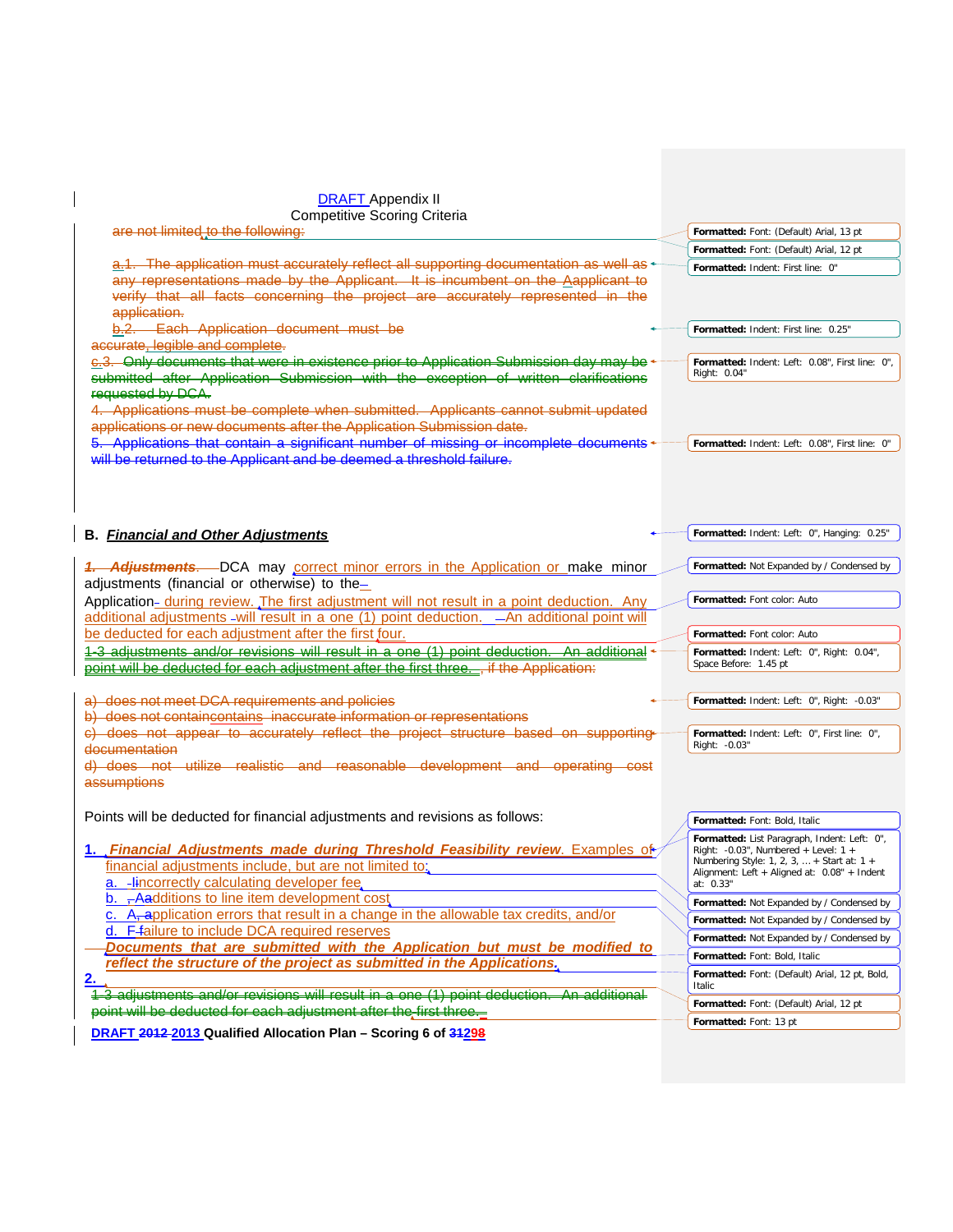| <b>DRAFT</b> Appendix II                                                                                                                                                               |                                                                                            |
|----------------------------------------------------------------------------------------------------------------------------------------------------------------------------------------|--------------------------------------------------------------------------------------------|
| <b>Competitive Scoring Criteria</b>                                                                                                                                                    |                                                                                            |
| are not limited to the following:                                                                                                                                                      | Formatted: Font: (Default) Arial, 13 pt                                                    |
|                                                                                                                                                                                        | Formatted: Font: (Default) Arial, 12 pt                                                    |
| a.1. The application must accurately reflect all supporting documentation as well as a                                                                                                 | Formatted: Indent: First line: 0"                                                          |
| any representations made by the Applicant. It is incumbent on the Aapplicant to                                                                                                        |                                                                                            |
| verify that all facts concerning the project are accurately represented in the                                                                                                         |                                                                                            |
| application.                                                                                                                                                                           |                                                                                            |
| b.2. Each Application document must be                                                                                                                                                 | Formatted: Indent: First line: 0.25"                                                       |
| accurate, legible and complete.                                                                                                                                                        |                                                                                            |
| Only documents that were in existence prior to Application Submission day may                                                                                                          | Formatted: Indent: Left: 0.08", First line: 0",                                            |
| submitted after Application Submission with the exception of written                                                                                                                   | Right: 0.04"                                                                               |
| requested by DCA.                                                                                                                                                                      |                                                                                            |
| Applications must be complete when submitted. Applicants cannot submit updated                                                                                                         |                                                                                            |
| applications or new documents after the Application Submission date.                                                                                                                   |                                                                                            |
| 5. Applications that contain a significant number of missing or incomplete documents                                                                                                   | Formatted: Indent: Left: 0.08", First line: 0"                                             |
| will be returned to the Applicant and be deemed a threshold failure.                                                                                                                   |                                                                                            |
|                                                                                                                                                                                        |                                                                                            |
|                                                                                                                                                                                        |                                                                                            |
|                                                                                                                                                                                        |                                                                                            |
| <b>B. Financial and Other Adjustments</b>                                                                                                                                              | Formatted: Indent: Left: 0", Hanging: 0.25"                                                |
|                                                                                                                                                                                        |                                                                                            |
| <b>1. Adjustments.</b> DCA may correct minor errors in the Application or make minor                                                                                                   | Formatted: Not Expanded by / Condensed by                                                  |
| adjustments (financial or otherwise) to the-                                                                                                                                           |                                                                                            |
|                                                                                                                                                                                        | Formatted: Font color: Auto                                                                |
| Application- during review. The first adjustment will not result in a point deduction. Any additional adjustments -will result in a one (1) point deduction. -An additional point will |                                                                                            |
| be deducted for each adjustment after the first four.                                                                                                                                  | Formatted: Font color: Auto                                                                |
| 1-3 adjustments and/or revisions will result in a one (1) point deduction. An additional                                                                                               | Formatted: Indent: Left: 0", Right: 0.04",                                                 |
| point will be deducted for each adjustment after the first three. if the Application:                                                                                                  | Space Before: 1.45 pt                                                                      |
|                                                                                                                                                                                        |                                                                                            |
| a) does not meet DCA requirements and policies                                                                                                                                         | Formatted: Indent: Left: 0", Right: -0.03"                                                 |
| b) does not containcontains inaccurate information or representations                                                                                                                  |                                                                                            |
| does not appear to accurately reflect the project structure based on supporting                                                                                                        | Formatted: Indent: Left: 0", First line: 0",                                               |
| documentation                                                                                                                                                                          | Right: -0.03"                                                                              |
| d) does not utilize realistic and reasonable development and<br><del>operating</del><br>-cost                                                                                          |                                                                                            |
| assumptions                                                                                                                                                                            |                                                                                            |
|                                                                                                                                                                                        |                                                                                            |
| Points will be deducted for financial adjustments and revisions as follows:                                                                                                            | Formatted: Font: Bold, Italic                                                              |
|                                                                                                                                                                                        | Formatted: List Paragraph, Indent: Left: 0",                                               |
| 1. Financial Adjustments made during Threshold Feasibility review. Examples of                                                                                                         | Right: -0.03", Numbered + Level: $1 +$                                                     |
| financial adjustments include, but are not limited to:                                                                                                                                 | Numbering Style: 1, 2, 3,  + Start at: 1 +<br>Alignment: Left + Aligned at: 0.08" + Indent |
| a. -lincorrectly calculating developer fee.                                                                                                                                            | at: 0.33"                                                                                  |
| b. - Aadditions to line item development cost                                                                                                                                          | Formatted: Not Expanded by / Condensed by                                                  |
| c. A <sub>r</sub> application errors that result in a change in the allowable tax credits, and/or                                                                                      | Formatted: Not Expanded by / Condensed by                                                  |
| d. F-failure to include DCA required reserves                                                                                                                                          | Formatted: Not Expanded by / Condensed by                                                  |
| Documents that are submitted with the Application but must be modified to                                                                                                              | Formatted: Font: Bold, Italic                                                              |
| reflect the structure of the project as submitted in the Applications.                                                                                                                 | Formatted: Font: (Default) Arial, 12 pt, Bold,                                             |
| <u>2.</u><br>1-3 adjustments and/or revisions will result in a one (1) point deduction<br><u>An additional</u>                                                                         | Italic                                                                                     |
| point will be deducted for each adjustment after the first three.                                                                                                                      | Formatted: Font: (Default) Arial, 12 pt                                                    |
|                                                                                                                                                                                        | Formatted: Font: 13 pt                                                                     |
| DRAFT 2012 2013 Qualified Allocation Plan - Scoring 6 of 31298                                                                                                                         |                                                                                            |

 $\overline{\phantom{a}}$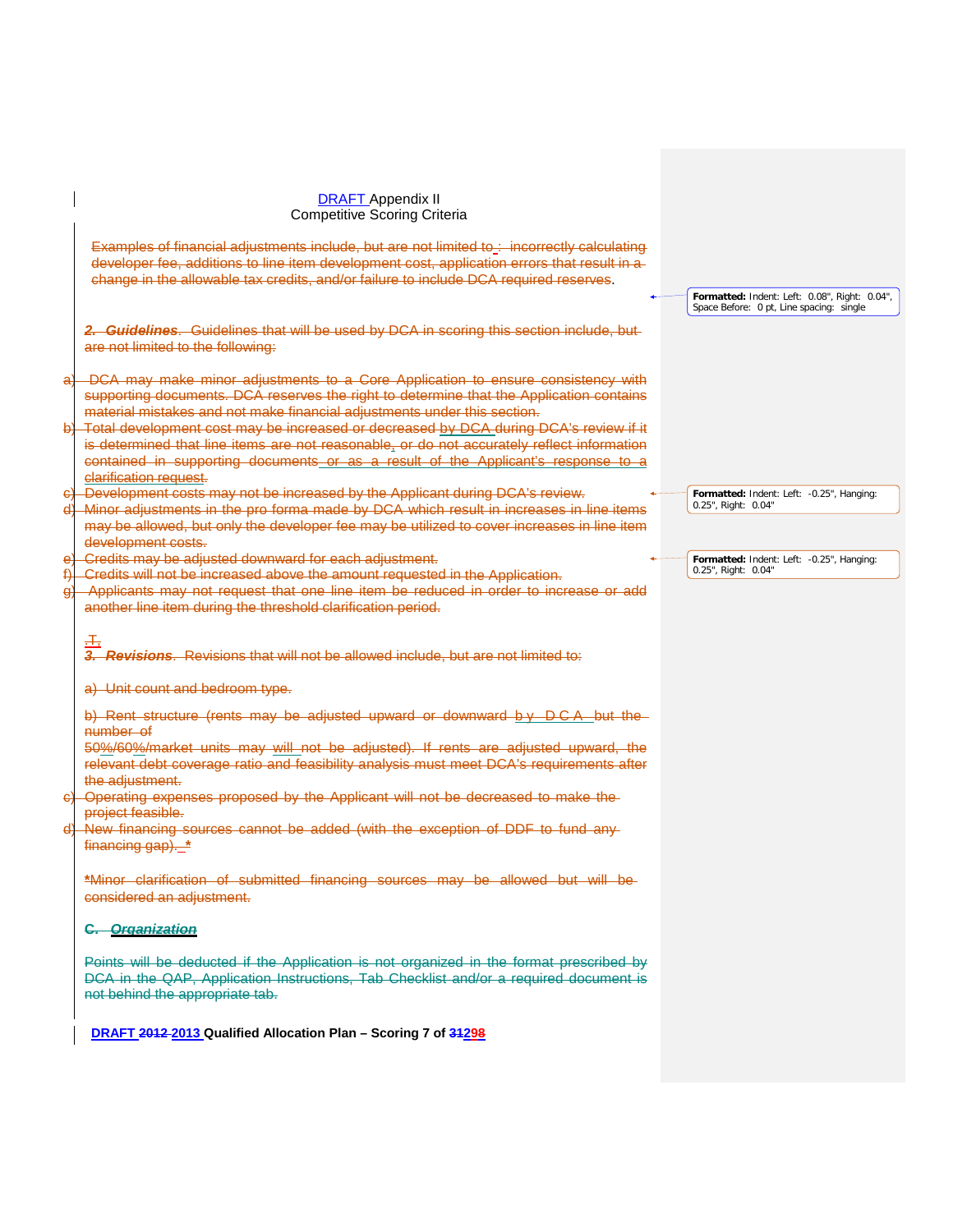# DRAFT Appendix II



**DRAFT 2012 2013 Qualified Allocation Plan – Scoring 7 of 31298**

not behind the appropriate tab.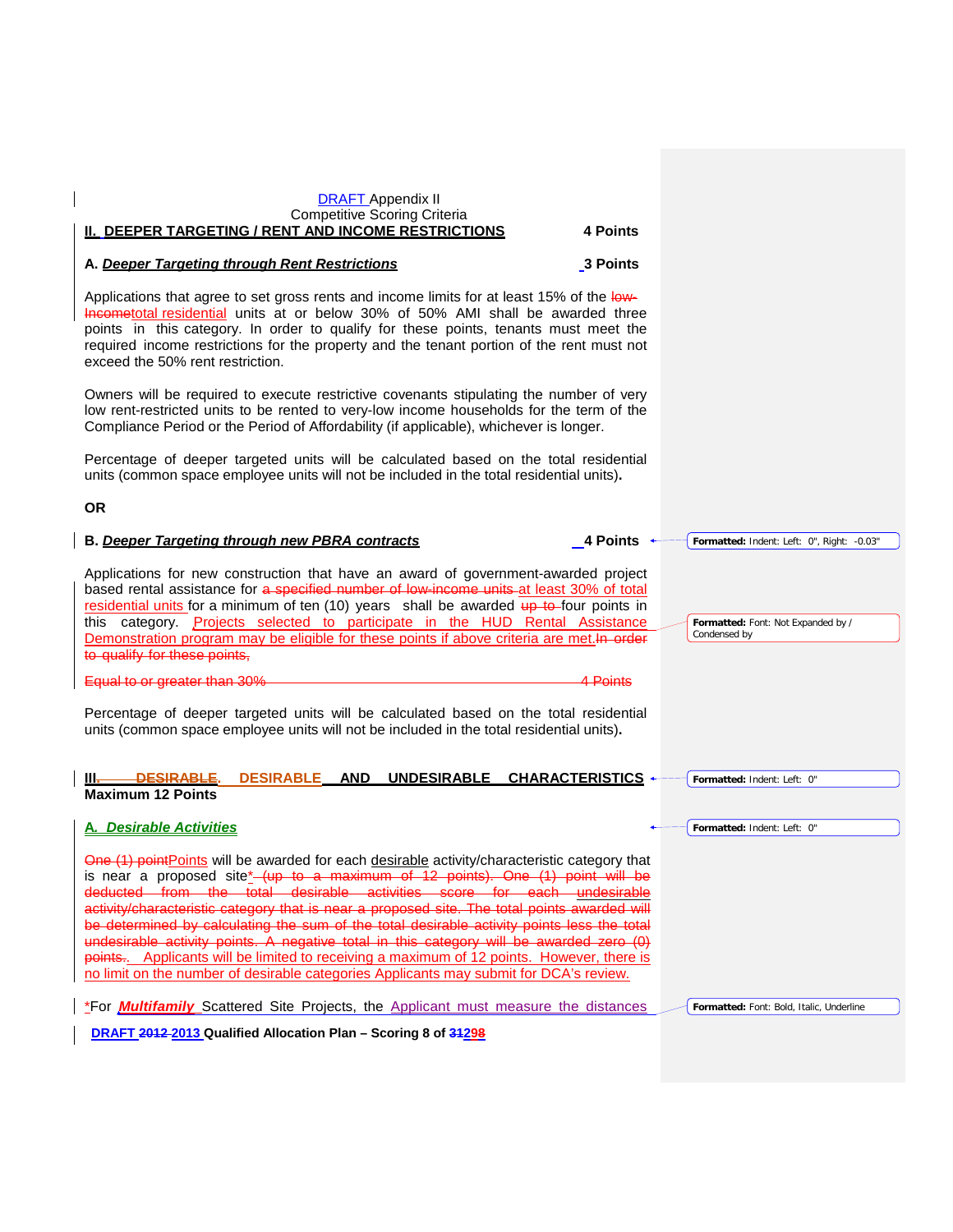| <b>DRAFT</b> Appendix II<br><b>Competitive Scoring Criteria</b>                                                                                                                                                                                                                                                                                                                                                                                                                                                                                                                                                                                                                                                                                                                                                                                                 |           |                                                    |
|-----------------------------------------------------------------------------------------------------------------------------------------------------------------------------------------------------------------------------------------------------------------------------------------------------------------------------------------------------------------------------------------------------------------------------------------------------------------------------------------------------------------------------------------------------------------------------------------------------------------------------------------------------------------------------------------------------------------------------------------------------------------------------------------------------------------------------------------------------------------|-----------|----------------------------------------------------|
| <b>II. DEEPER TARGETING / RENT AND INCOME RESTRICTIONS</b>                                                                                                                                                                                                                                                                                                                                                                                                                                                                                                                                                                                                                                                                                                                                                                                                      | 4 Points  |                                                    |
| A. Deeper Targeting through Rent Restrictions                                                                                                                                                                                                                                                                                                                                                                                                                                                                                                                                                                                                                                                                                                                                                                                                                   | _3 Points |                                                    |
| Applications that agree to set gross rents and income limits for at least 15% of the low-<br>Incometotal residential units at or below 30% of 50% AMI shall be awarded three<br>points in this category. In order to qualify for these points, tenants must meet the<br>required income restrictions for the property and the tenant portion of the rent must not<br>exceed the 50% rent restriction.                                                                                                                                                                                                                                                                                                                                                                                                                                                           |           |                                                    |
| Owners will be required to execute restrictive covenants stipulating the number of very<br>low rent-restricted units to be rented to very-low income households for the term of the<br>Compliance Period or the Period of Affordability (if applicable), whichever is longer.                                                                                                                                                                                                                                                                                                                                                                                                                                                                                                                                                                                   |           |                                                    |
| Percentage of deeper targeted units will be calculated based on the total residential<br>units (common space employee units will not be included in the total residential units).                                                                                                                                                                                                                                                                                                                                                                                                                                                                                                                                                                                                                                                                               |           |                                                    |
| <b>OR</b>                                                                                                                                                                                                                                                                                                                                                                                                                                                                                                                                                                                                                                                                                                                                                                                                                                                       |           |                                                    |
| B. Deeper Targeting through new PBRA contracts<br>4 Points                                                                                                                                                                                                                                                                                                                                                                                                                                                                                                                                                                                                                                                                                                                                                                                                      |           | Formatted: Indent: Left: 0", Right: -0.03"         |
| Applications for new construction that have an award of government-awarded project<br>based rental assistance for a specified number of low-income units at least 30% of total<br>residential units for a minimum of ten (10) years shall be awarded up to four points in<br>this category. Projects selected to participate in the HUD Rental Assistance<br>Demonstration program may be eligible for these points if above criteria are met.In-order<br>to qualify for these points,                                                                                                                                                                                                                                                                                                                                                                          |           | Formatted: Font: Not Expanded by /<br>Condensed by |
| Equal to or greater than 30%<br>4 Points                                                                                                                                                                                                                                                                                                                                                                                                                                                                                                                                                                                                                                                                                                                                                                                                                        |           |                                                    |
| Percentage of deeper targeted units will be calculated based on the total residential<br>units (common space employee units will not be included in the total residential units).                                                                                                                                                                                                                                                                                                                                                                                                                                                                                                                                                                                                                                                                               |           |                                                    |
| DESIRABLE.<br>DESIRABLE AND UNDESIRABLE CHARACTERISTICS<br><b>Maximum 12 Points</b>                                                                                                                                                                                                                                                                                                                                                                                                                                                                                                                                                                                                                                                                                                                                                                             |           | Formatted: Indent: Left: 0"                        |
| <b>Desirable Activities</b>                                                                                                                                                                                                                                                                                                                                                                                                                                                                                                                                                                                                                                                                                                                                                                                                                                     |           | Formatted: Indent: Left: 0"                        |
| One (1) pointPoints will be awarded for each desirable activity/characteristic category that<br>is near a proposed site <sup>*</sup> / <sub>(up to a maximum of 12 points). One (1) point will be</sub><br>deducted from the total desirable activities score for each undesirable<br>activity/characteristic category that is near a proposed site. The total points awarded will<br>be determined by calculating the sum of the total desirable activity points less the total<br>undesirable activity points. A negative total in this category will be awarded zero (0)<br>points. Applicants will be limited to receiving a maximum of 12 points. However, there is<br>no limit on the number of desirable categories Applicants may submit for DCA's review.<br>*For <i>Multifamily</i> Scattered Site Projects, the Applicant must measure the distances |           | Formatted: Font: Bold, Italic, Underline           |
| DRAFT 2012-2013 Qualified Allocation Plan - Scoring 8 of 34298                                                                                                                                                                                                                                                                                                                                                                                                                                                                                                                                                                                                                                                                                                                                                                                                  |           |                                                    |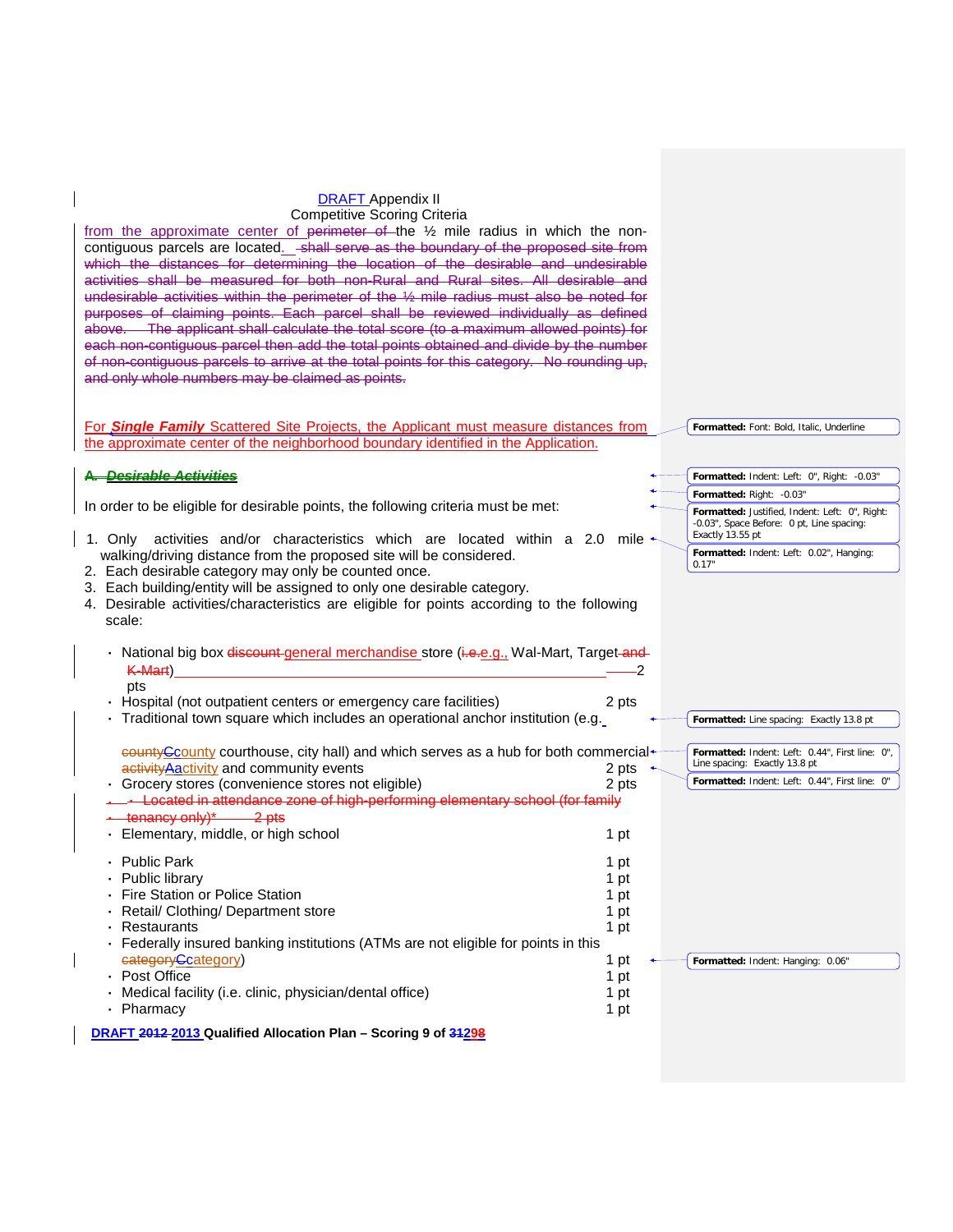from the approximate center of perimeter of the  $\frac{1}{2}$  mile radius in which the noncontiguous parcels are located. shall serve as the boundary of the proposed site from which the distances for determining the location of the desirable and undesirable activities shall be measured for both non-Rural and Rural sites. All desirable and undesirable activities within the perimeter of the ½ mile radius must also be noted for purposes of claiming points. Each parcel shall be reviewed individually as defined above. The applicant shall calculate the total score (to a maximum allowed points) for each non-contiguous parcel then add the total points obtained and divide by the number of non-contiguous parcels to arrive at the total points for this category. No rounding up, and only whole numbers may be claimed as points.

For *Single Family* Scattered Site Projects, the Applicant must measure distances from the approximate center of the neighborhood boundary identified in the Application. **Formatted:** Font: Bold, Italic, Underline

**Formatted:** Indent: Left: 0", Right: -0.03"

**Formatted:** Justified, Indent: Left: 0", Right: -0.03", Space Before: 0 pt, Line spacing:

**Formatted:** Indent: Left: 0.02", Hanging:

**Formatted:** Line spacing: Exactly 13.8 pt

Line spacing: Exactly 13.8 pt

**Formatted:** Indent: Hanging: 0.06"

**Formatted:** Indent: Left: 0.44", First line: 0",

**Formatted:** Indent: Left: 0.44", First line: 0"

**Formatted:** Right: -0.03"

Exactly 13.55 pt

0.17"

## **A***. Desirable Activities*

In order to be eligible for desirable points, the following criteria must be met:

- 1. Only activities and/or characteristics which are located within a 2.0 mile · walking/driving distance from the proposed site will be considered.
- 2. Each desirable category may only be counted once.
- 3. Each building/entity will be assigned to only one desirable category.
- 4. Desirable activities/characteristics are eligible for points according to the following scale:
	- **·** National big box <del>discount general merchandise</del> store (<del>i.e.<u>e</u>.g.,</del> Wal-Mart, Target and K-Mart) K-Mart) 2
	- pts **·** Hospital (not outpatient centers or emergency care facilities) 2 pts
	- **·** Traditional town square which includes an operational anchor institution (e.g.
	- **countyCcounty** courthouse, city hall) and which serves as a hub for both commercial-<br>activityAactivity and community events<br>2 pts activity Aactivity and community events **·** Grocery stores (convenience stores not eligible) 2 pts <mark>· Located in attendance zone of high-performing</mark><br>ንancy only)\* \_\_\_\_\_\_2 pts **b**<br>**b** tenancy only)\*

categoryCcategory) and the category of the category of the category of the category of the category of the category of the category of the category of the category of the category of the category of the category of the cat

- **·** Elementary, middle, or high school 1 pt • Public Park 1 pt **1 pt is a set of the contract of the contract of the contract of the contract of the contract of the contract of the contract of the contract of the contract of the contract of the contract of the contr ·** Public library 1 pt **·** Fire Station or Police Station 1 pt **·** Retail/ Clothing/ Department store 1 pt **Restaurants ·** Federally insured banking institutions (ATMs are not eligible for points in this
- **·** Post Office 1 pt
- **·** Medical facility (i.e. clinic, physician/dental office) 1 pt • Pharmacy

**DRAFT 2012 2013 Qualified Allocation Plan – Scoring 9 of 31298**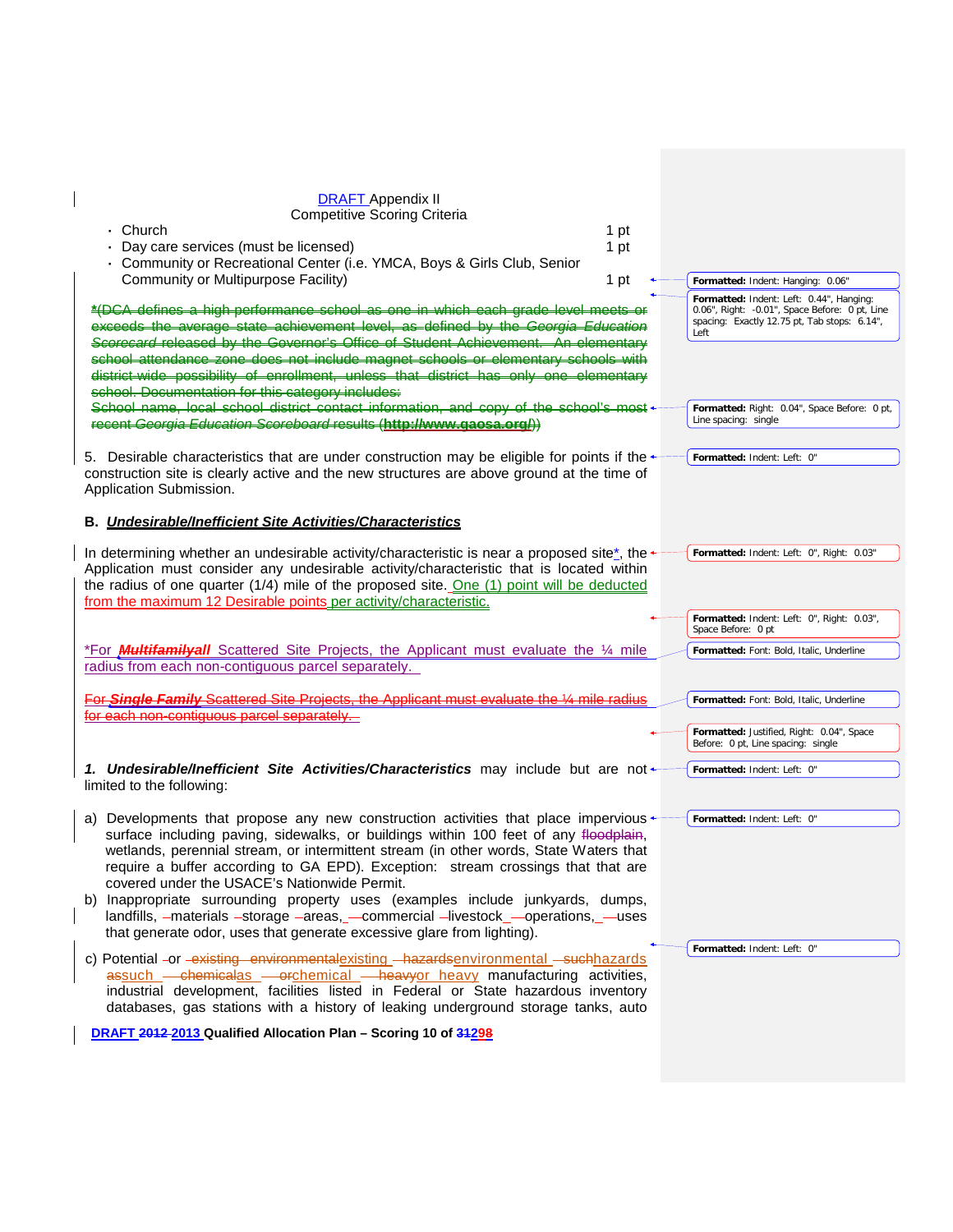| <b>DRAFT</b> Appendix II                                                                                                                                   |                                                                                            |
|------------------------------------------------------------------------------------------------------------------------------------------------------------|--------------------------------------------------------------------------------------------|
| <b>Competitive Scoring Criteria</b>                                                                                                                        |                                                                                            |
| $\cdot$ Church<br>1 pt                                                                                                                                     |                                                                                            |
| Day care services (must be licensed)<br>1 pt                                                                                                               |                                                                                            |
| • Community or Recreational Center (i.e. YMCA, Boys & Girls Club, Senior                                                                                   |                                                                                            |
| Community or Multipurpose Facility)<br>1 pt                                                                                                                | Formatted: Indent: Hanging: 0.06"                                                          |
| *(DCA dofinos a high porformance cchool as one in which each grade lovel moots or                                                                          | Formatted: Indent: Left: 0.44", Hanging:<br>0.06", Right: -0.01", Space Before: 0 pt, Line |
| exceeds the average state achievement level, as defined by the Georgia Education                                                                           | spacing: Exactly 12.75 pt, Tab stops: 6.14",                                               |
| Scorecard released by the Governor's Office of Student Achievement. An elementary                                                                          | Left                                                                                       |
| school attendance zone does not include magnet schools or elementary schools with                                                                          |                                                                                            |
| district wide possibility of enrollment, unless that district has only one elementary                                                                      |                                                                                            |
| school. Documentation for this category includes:                                                                                                          |                                                                                            |
| School name. local school district contact information, and copy of the school's                                                                           | Formatted: Right: 0.04", Space Before: 0 pt,                                               |
| recent Georgia Education Scoreboard results (http://www.gaosa.org/)                                                                                        | Line spacing: single                                                                       |
|                                                                                                                                                            |                                                                                            |
| 5. Desirable characteristics that are under construction may be eligible for points if the $\div$                                                          | Formatted: Indent: Left: 0"                                                                |
| construction site is clearly active and the new structures are above ground at the time of<br>Application Submission.                                      |                                                                                            |
|                                                                                                                                                            |                                                                                            |
| B. Undesirable/Inefficient Site Activities/Characteristics                                                                                                 |                                                                                            |
|                                                                                                                                                            |                                                                                            |
| In determining whether an undesirable activity/characteristic is near a proposed site*, the                                                                | Formatted: Indent: Left: 0", Right: 0.03"                                                  |
| Application must consider any undesirable activity/characteristic that is located within                                                                   |                                                                                            |
| the radius of one quarter $(1/4)$ mile of the proposed site. One $(1)$ point will be deducted                                                              |                                                                                            |
| from the maximum 12 Desirable points per activity/characteristic.                                                                                          |                                                                                            |
|                                                                                                                                                            | Formatted: Indent: Left: 0", Right: 0.03",                                                 |
|                                                                                                                                                            | Space Before: 0 pt                                                                         |
| *For Multifamilyall Scattered Site Projects, the Applicant must evaluate the 1⁄4 mile                                                                      | Formatted: Font: Bold, Italic, Underline                                                   |
| radius from each non-contiguous parcel separately.                                                                                                         |                                                                                            |
| For Single Family Scattered Site Projects, the Applicant must evaluate the 1/4 mile radius                                                                 | Formatted: Font: Bold, Italic, Underline                                                   |
| for each non-contiguous parcel separately.                                                                                                                 |                                                                                            |
|                                                                                                                                                            | Formatted: Justified, Right: 0.04", Space                                                  |
|                                                                                                                                                            | Before: 0 pt, Line spacing: single                                                         |
| 1. Undesirable/Inefficient Site Activities/Characteristics may include but are not $\leftarrow$                                                            | Formatted: Indent: Left: 0"                                                                |
| limited to the following:                                                                                                                                  |                                                                                            |
|                                                                                                                                                            |                                                                                            |
| a) Developments that propose any new construction activities that place impervious $\star$                                                                 | Formatted: Indent: Left: 0"                                                                |
| surface including paving, sidewalks, or buildings within 100 feet of any floodplain,                                                                       |                                                                                            |
| wetlands, perennial stream, or intermittent stream (in other words, State Waters that                                                                      |                                                                                            |
| require a buffer according to GA EPD). Exception: stream crossings that that are                                                                           |                                                                                            |
| covered under the USACE's Nationwide Permit.                                                                                                               |                                                                                            |
| b) Inappropriate surrounding property uses (examples include junkyards, dumps,                                                                             |                                                                                            |
| landfills, -materials -storage -areas, -commercial -livestock -operations, -uses<br>that generate odor, uses that generate excessive glare from lighting). |                                                                                            |
|                                                                                                                                                            | Formatted: Indent: Left: 0"                                                                |
| c) Potential -or -existing environmentalexisting -hazardsenvironmental -suchhazards                                                                        |                                                                                            |
| assuch - chemicalas - orchemical - heavyor heavy manufacturing activities,                                                                                 |                                                                                            |
| industrial development, facilities listed in Federal or State hazardous inventory                                                                          |                                                                                            |
| databases, gas stations with a history of leaking underground storage tanks, auto                                                                          |                                                                                            |
| DRAFT 2012-2013 Qualified Allocation Plan - Scoring 10 of 34298                                                                                            |                                                                                            |
|                                                                                                                                                            |                                                                                            |
|                                                                                                                                                            |                                                                                            |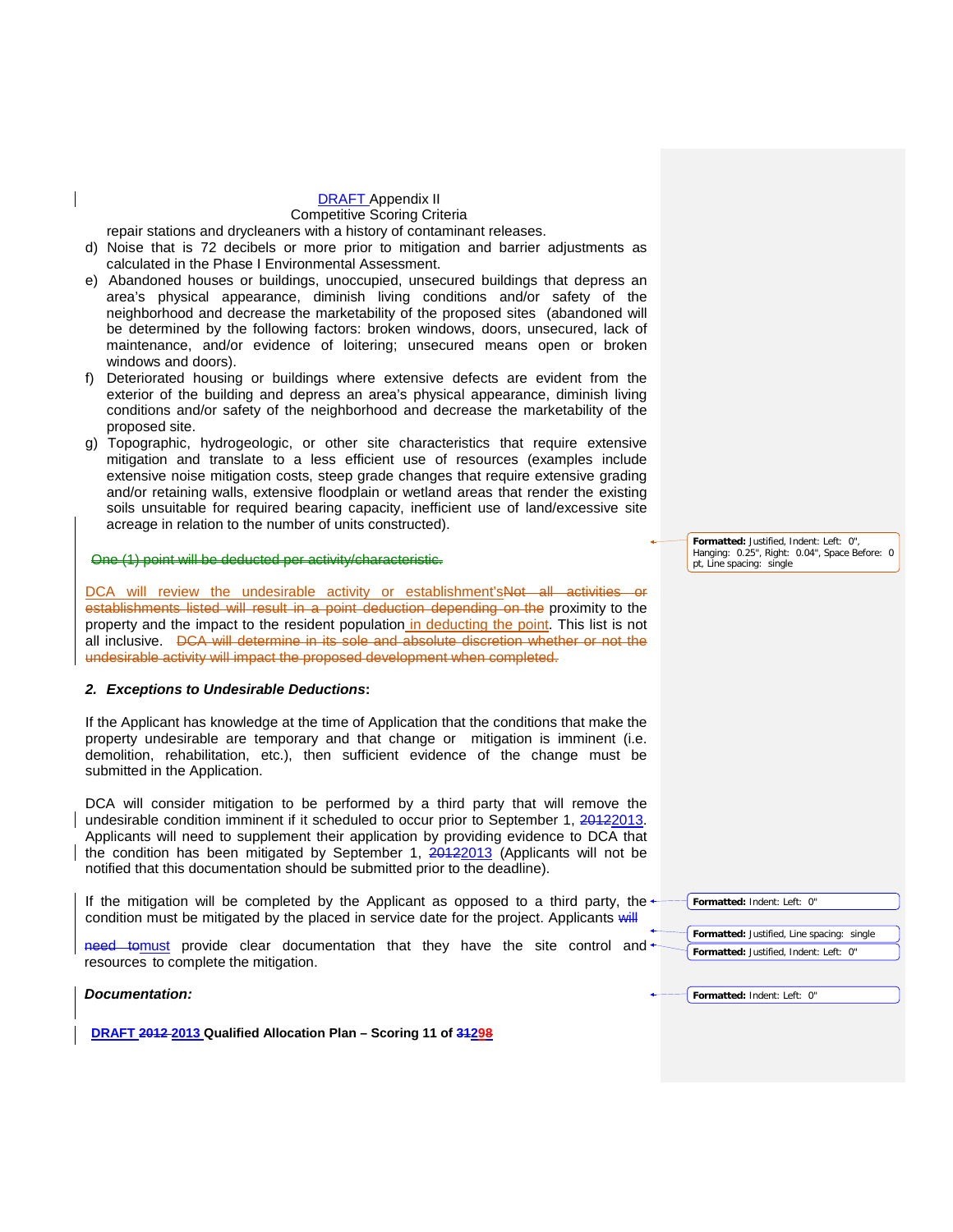repair stations and drycleaners with a history of contaminant releases.

- d) Noise that is 72 decibels or more prior to mitigation and barrier adjustments as calculated in the Phase I Environmental Assessment.
- e) Abandoned houses or buildings, unoccupied, unsecured buildings that depress an area's physical appearance, diminish living conditions and/or safety of the neighborhood and decrease the marketability of the proposed sites (abandoned will be determined by the following factors: broken windows, doors, unsecured, lack of maintenance, and/or evidence of loitering; unsecured means open or broken windows and doors).
- f) Deteriorated housing or buildings where extensive defects are evident from the exterior of the building and depress an area's physical appearance, diminish living conditions and/or safety of the neighborhood and decrease the marketability of the proposed site.
- g) Topographic, hydrogeologic, or other site characteristics that require extensive mitigation and translate to a less efficient use of resources (examples include extensive noise mitigation costs, steep grade changes that require extensive grading and/or retaining walls, extensive floodplain or wetland areas that render the existing soils unsuitable for required bearing capacity, inefficient use of land/excessive site acreage in relation to the number of units constructed).

#### (1) point will be deducted per activity/characterictic.

DCA will review the undesirable activity or establishment'sNot all establishments listed will result in a point deduction depending on the proximity to the property and the impact to the resident population in deducting the point. This list is not all inclusive. DCA will determine in its sole and absolute discretion whether or not the undesirable activity will impact the proposed development when completed.

#### *2. Exceptions to Undesirable Deductions***:**

If the Applicant has knowledge at the time of Application that the conditions that make the property undesirable are temporary and that change or mitigation is imminent (i.e. demolition, rehabilitation, etc.), then sufficient evidence of the change must be submitted in the Application.

DCA will consider mitigation to be performed by a third party that will remove the undesirable condition imminent if it scheduled to occur prior to September 1, 20122013. Applicants will need to supplement their application by providing evidence to DCA that the condition has been mitigated by September 1, 20122013 (Applicants will not be notified that this documentation should be submitted prior to the deadline).

If the mitigation will be completed by the Applicant as opposed to a third party, the condition must be mitigated by the placed in service date for the project. Applicants will

need tomust provide clear documentation that they have the site control and resources to complete the mitigation.

*Documentation:*

**DRAFT 2012 2013 Qualified Allocation Plan – Scoring 11 of 31298**

**Formatted:** Justified, Indent: Left: 0", Hanging: 0.25", Right: 0.04", Space Before: 0 pt, Line spacing: single

**Formatted:** Indent: Left: 0"

**Formatted:** Justified, Line spacing: single **Formatted:** Justified, Indent: Left: 0"

**Formatted:** Indent: Left: 0"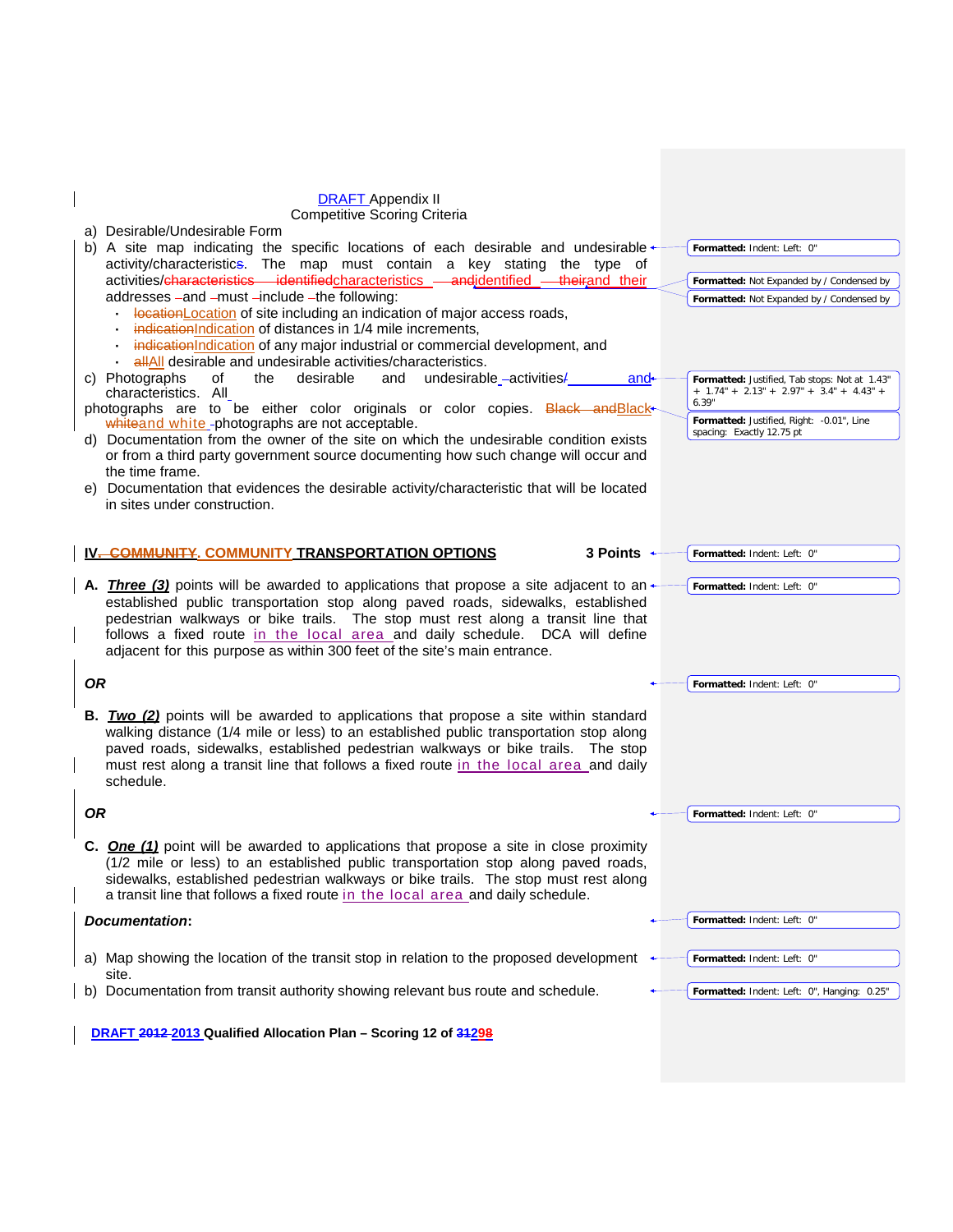|    | Desirable/Undesirable Form                                                                                  |                                                                        |
|----|-------------------------------------------------------------------------------------------------------------|------------------------------------------------------------------------|
|    | b) A site map indicating the specific locations of each desirable and undesirable $\triangleleft$           | Formatted: Indent: Left: 0"                                            |
|    | activity/characteristics. The map must contain a key stating the type of                                    |                                                                        |
|    | activities/characteristics identifiedcharacteristics - and identified - theirand their                      | Formatted: Not Expanded by / Condensed by                              |
|    | addresses - and - must - include - the following:                                                           | Formatted: Not Expanded by / Condensed by                              |
|    | location Location of site including an indication of major access roads,                                    |                                                                        |
|    | indicationIndication of distances in 1/4 mile increments,                                                   |                                                                        |
|    | indication Indication of any major industrial or commercial development, and                                |                                                                        |
|    | allAll desirable and undesirable activities/characteristics.                                                |                                                                        |
|    | c) Photographs<br>of<br>the<br>desirable<br>undesirable_activities/<br>and<br>and+                          | Formatted: Justified, Tab stops: Not at 1.43"                          |
|    | characteristics. All                                                                                        | $+ 1.74$ " + 2.13" + 2.97" + 3.4" + 4.43" +                            |
|    | photographs are to be either color originals or color copies. Black and Black                               | 6.39"                                                                  |
|    | white and white -photographs are not acceptable.                                                            | Formatted: Justified, Right: -0.01", Line<br>spacing: Exactly 12.75 pt |
|    | d) Documentation from the owner of the site on which the undesirable condition exists                       |                                                                        |
|    | or from a third party government source documenting how such change will occur and                          |                                                                        |
|    | the time frame.                                                                                             |                                                                        |
|    | e) Documentation that evidences the desirable activity/characteristic that will be located                  |                                                                        |
|    | in sites under construction.                                                                                |                                                                        |
|    |                                                                                                             |                                                                        |
|    |                                                                                                             |                                                                        |
|    | <b>V. COMMUNITY. COMMUNITY TRANSPORTATION OPTIONS</b><br>3 Points +                                         | Formatted: Indent: Left: 0"                                            |
|    |                                                                                                             |                                                                        |
|    | A. <b>Three (3)</b> points will be awarded to applications that propose a site adjacent to an $\rightarrow$ | Formatted: Indent: Left: 0"                                            |
|    | established public transportation stop along paved roads, sidewalks, established                            |                                                                        |
|    | pedestrian walkways or bike trails. The stop must rest along a transit line that                            |                                                                        |
|    | follows a fixed route in the local area and daily schedule. DCA will define                                 |                                                                        |
|    |                                                                                                             |                                                                        |
|    | adjacent for this purpose as within 300 feet of the site's main entrance.                                   |                                                                        |
|    |                                                                                                             |                                                                        |
|    | <b>OR</b>                                                                                                   | Formatted: Indent: Left: 0"                                            |
|    |                                                                                                             |                                                                        |
|    | <b>B.</b> Two (2) points will be awarded to applications that propose a site within standard                |                                                                        |
|    | walking distance (1/4 mile or less) to an established public transportation stop along                      |                                                                        |
|    | paved roads, sidewalks, established pedestrian walkways or bike trails. The stop                            |                                                                        |
|    | must rest along a transit line that follows a fixed route in the local area and daily                       |                                                                        |
|    | schedule.                                                                                                   |                                                                        |
|    |                                                                                                             |                                                                        |
|    | <b>OR</b>                                                                                                   | Formatted: Indent: Left: 0"                                            |
|    |                                                                                                             |                                                                        |
|    | C. One (1) point will be awarded to applications that propose a site in close proximity                     |                                                                        |
|    | (1/2 mile or less) to an established public transportation stop along paved roads,                          |                                                                        |
|    | sidewalks, established pedestrian walkways or bike trails. The stop must rest along                         |                                                                        |
|    | a transit line that follows a fixed route in the local area and daily schedule.                             |                                                                        |
|    |                                                                                                             |                                                                        |
|    | <b>Documentation:</b>                                                                                       | Formatted: Indent: Left: 0"                                            |
|    |                                                                                                             |                                                                        |
|    | a) Map showing the location of the transit stop in relation to the proposed development                     | Formatted: Indent: Left: 0"                                            |
|    | site.                                                                                                       |                                                                        |
| b) | Documentation from transit authority showing relevant bus route and schedule.                               | Formatted: Indent: Left: 0", Hanging: 0.25"                            |
|    |                                                                                                             |                                                                        |
|    |                                                                                                             |                                                                        |
|    | DRAFT 2012 2013 Qualified Allocation Plan - Scoring 12 of 34298                                             |                                                                        |

 $\mathbf I$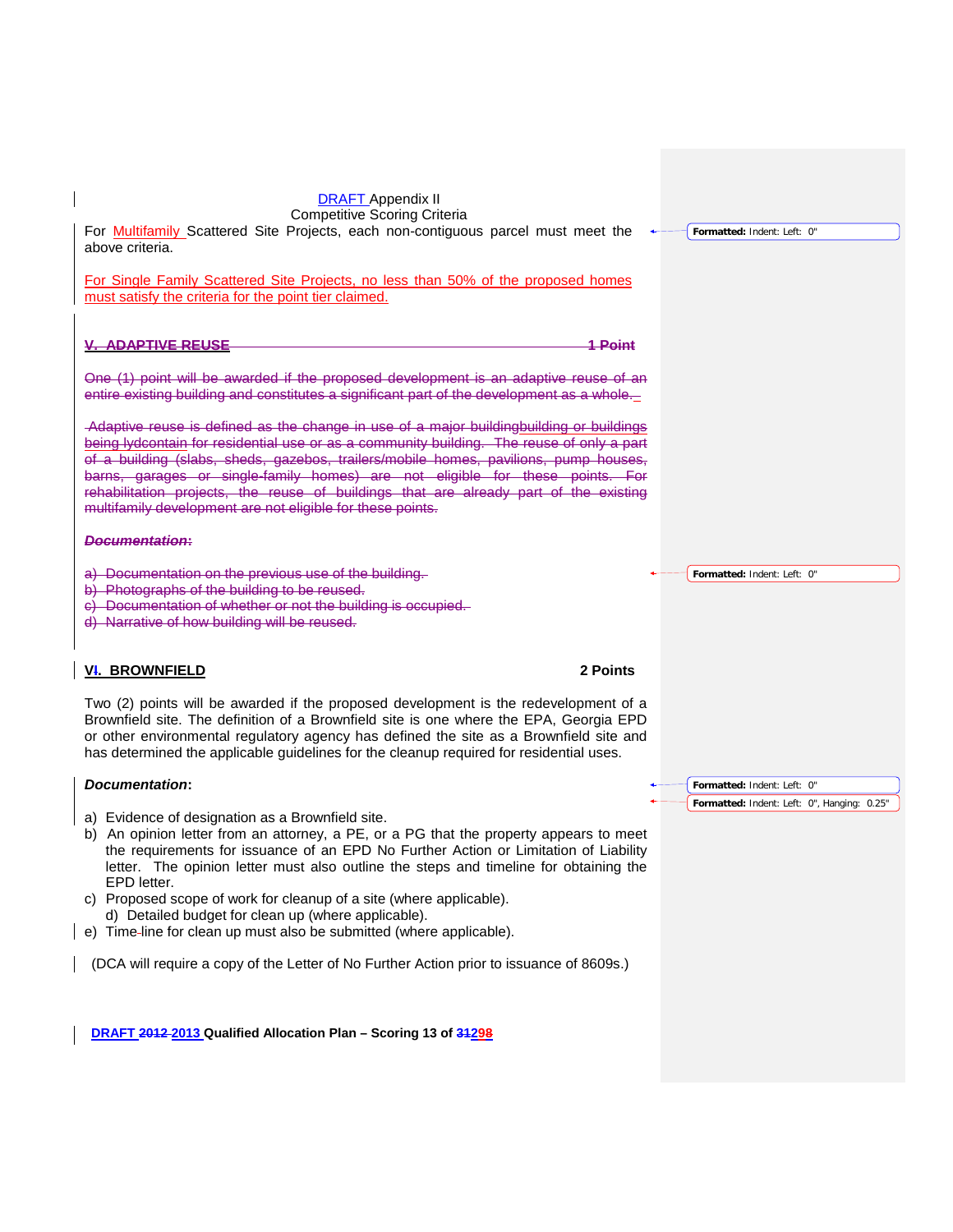For **Multifamily** Scattered Site Projects, each non-contiguous parcel must meet the above criteria.

For Single Family Scattered Site Projects, no less than 50% of the proposed homes must satisfy the criteria for the point tier claimed.

## **V. ADAPTIVE REUSE 1 Point**

One (1) point will be awarded if the proposed development is an adaptive reuse of an entire existing building and constitutes a significant part of the development as a whole.

Adaptive reuse is defined as the change in use of a major buildingbuilding or buildings being lydcontain for residential use or as a community building. The reuse of only a part of a building (slabs, sheds, gazebos, trailers/mobile homes, pavilions, pump houses, barns, garages or single-family homes) are not eligible for these points. For rehabilitation projects, the reuse of buildings that are already part of the existing multifamily development are not eligible for these points.

#### *Documentation***:**

- a) Documentation on the previous use of the building.
- b) Photographs of the building to be reused.
- c) Documentation of whether or not the building is occupied.
- d) Narrative of how building will be reused.

## **VI. BROWNFIELD 2 Points**

Two (2) points will be awarded if the proposed development is the redevelopment of a Brownfield site. The definition of a Brownfield site is one where the EPA, Georgia EPD or other environmental regulatory agency has defined the site as a Brownfield site and has determined the applicable guidelines for the cleanup required for residential uses.

## *Documentation***:**

- a) Evidence of designation as a Brownfield site.
- b) An opinion letter from an attorney, a PE, or a PG that the property appears to meet the requirements for issuance of an EPD No Further Action or Limitation of Liability letter. The opinion letter must also outline the steps and timeline for obtaining the EPD letter.
- c) Proposed scope of work for cleanup of a site (where applicable).
- d) Detailed budget for clean up (where applicable).
- e) Time-line for clean up must also be submitted (where applicable).
- (DCA will require a copy of the Letter of No Further Action prior to issuance of 8609s.)

**DRAFT 2012 2013 Qualified Allocation Plan – Scoring 13 of 31298**

**Formatted:** Indent: Left: 0"

**Formatted:** Indent: Left: 0"

**Formatted:** Indent: Left: 0", Hanging: 0.25"

**Formatted:** Indent: Left: 0"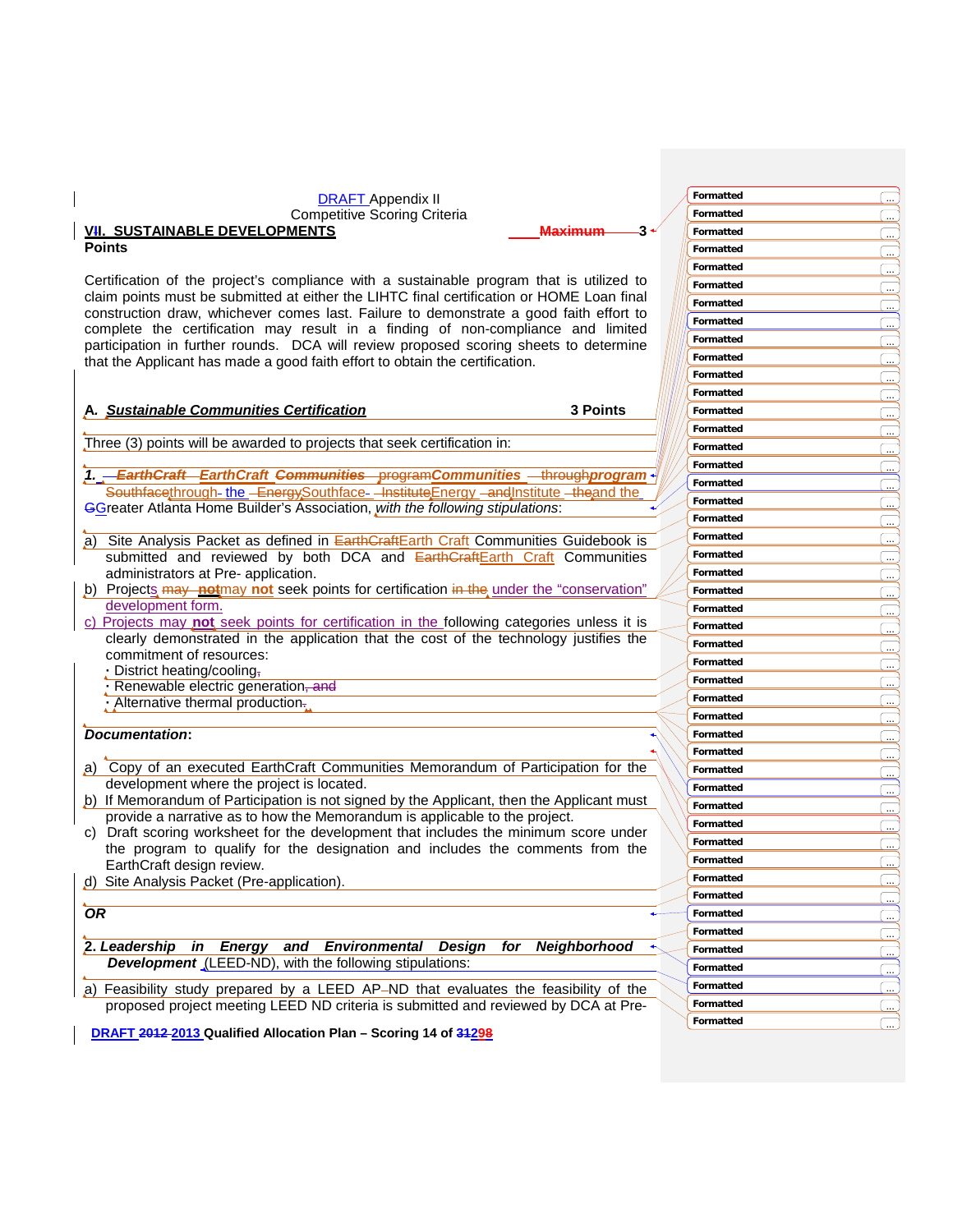**Maximum**

**3**

## **V II. S U S T A I N ABLE DEVELO P M ENTS Poin t s**

Certification of the project's compliance with a sustainable program that is utilized to claim points must be submitted at either the LIHTC final certification or HOME Loan final construction draw, whichever comes last. Failure to demonstrate a good faith effort to complete the certification may result in a finding of non-compliance and limited participation in further rounds. DCA will review proposed scoring sheets to determine that the Applicant has made a good faith effort to obtain the certification.

| A. Sustainable Communities Certification | 3 Points |
|------------------------------------------|----------|
|                                          |          |

Three (3) points will be awarded to projects that seek certification in:

*1. EarthCraft EarthCraft Communities* program*Communities* through*program* Southfacethrough- the <del>-Energy</del>Southface- <del>-Institute</del>Energy --andInstitute --theand the G Greater Atlanta Home Builder's Association, *with the following stipulations* :

- a) Site Analysis Packet as defined in EarthCraftEarth Craft Communities Guidebook is submitted and reviewed by both DCA and EarthCraftEarth Craft Communities administrators at Pre - application.
- b) Project s may **not**may **not** seek points for certification in the under the "conservation" development form.
- c) Projects may **not** seek points for certification in the following categories unless it is clearly demonstrated in the application that the cost of the technology justifies the commitment of resources:
	- **·** District heating/cooling ,
	- **·** Renewable electric generation, and
	- **· Alternative thermal production-**

## *Documentation* **:**

- a) Copy of an executed EarthCraft Communities Memorandum of Participation for the development where the project is located.
- b) If Memorandum of Participation is not signed by the Applicant, then the Applicant must provide a narrative as to how the Memorandum is applicable to the project.
- c) Draft scoring worksheet for the development that includes the minimum score under the program to qualify for the designation and includes the comments from the EarthCraft design review.
- d) Site Analysis Packet (Pre -application).

## *OR*

- **2.** *Leadership in Energy and Environmental Design for Neighborhood* **Development** (LEED-ND), with the following stipulations:
- a) Feasibility study prepared by a LEED AP-ND that evaluates the feasibility of the proposed project meeting LEED ND criteria is submitted and reviewed by DCA at Pre -
- **DRAFT 2012 2013 Q u a l ified Alloca t ion P lan – Sco r ing 14 of 31 2 9 8**

| Formatted        | $\overline{\mathbf{u}}$                      |
|------------------|----------------------------------------------|
| Formatted        |                                              |
| Formatted        | ſ<br>$\stackrel{\text{\tiny \textsf{L}}}{=}$ |
| Formatted        | <u>C.,</u>                                   |
| Formatted        |                                              |
| Formatted        | <u>(</u>                                     |
| Formatted        | $\subseteq$                                  |
|                  | ſ<br>$\frac{1}{2}$                           |
| Formatted        | ĺ<br>$\overline{\phantom{a}}$                |
| Formatted        | <u>ب</u>                                     |
| Formatted        | ے)                                           |
| Formatted        | <u>l </u>                                    |
| Formatted        | I<br>$\ddotsc$                               |
| Formatted        | $\cdot$                                      |
| Formatted        |                                              |
| Formatted        | <u></u>                                      |
| Formatted        | l.                                           |
| Formatted        | $\overline{\phantom{a}}$                     |
| Formatted        | <u></u>                                      |
| Formatted        | <u>C.,</u>                                   |
| Formatted        |                                              |
| Formatted        | $\frac{1}{2}$                                |
| Formatted        | $\mathbb{R}$                                 |
| Formatted        | <u>بب</u>                                    |
| <b>Formatted</b> | .<br>≝                                       |
|                  | <u>l </u>                                    |
| Formatted        | l                                            |
| Formatted        | $\overline{u}$                               |
| Formatted        | ÷                                            |
| Formatted        | $\overline{\phantom{a}}$<br>.<br>            |
| Formatted        | <u>لت</u>                                    |
| Formatted        | <u>C</u>                                     |
| Formatted        | <u>(</u>                                     |
| Formatted        | چ                                            |
| Formatted        | <u>لت</u>                                    |
| <b>Formatted</b> | <u>(</u>                                     |
| Formatted        | چا                                           |
| Formatted        | <u>ِي</u>                                    |
| Formatted        |                                              |
| Formatted        | I                                            |
| Formatted        |                                              |
| Formatted        |                                              |
| Formatted        |                                              |
| Formatted        |                                              |
|                  |                                              |
| Formatted        | $\equiv$                                     |
| Formatted        |                                              |
| Formatted        |                                              |
| Formatted        |                                              |
| Formatted        |                                              |
|                  |                                              |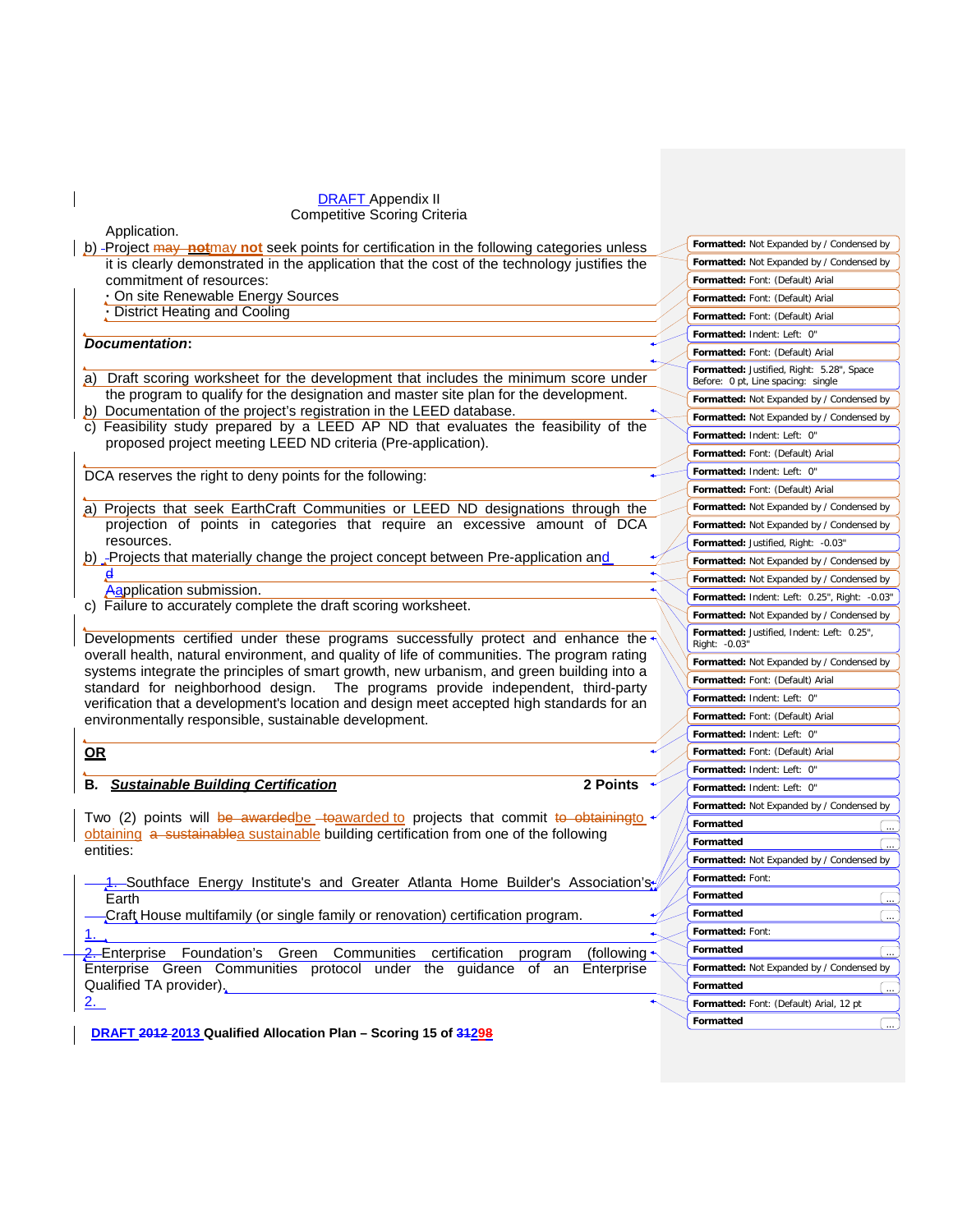Application.

b) Project may **not**may **not** seek points for certification in the following categories unless it is clearly demonstrated in the application that the cost of the technology justifies the commitment of resources:

**·** On site Renewable Energy Sources **·** District Heating and Cooling

*Documentation***:**

- a) Draft scoring worksheet for the development that includes the minimum score under the program to qualify for the designation and master site plan for the development. b) Documentation of the project's registration in the LEED database.
- c) Feasibility study prepared by a LEED AP ND that evaluates the feasibility of the proposed project meeting LEED ND criteria (Pre-application).

DCA reserves the right to deny points for the following:

- a) Projects that seek EarthCraft Communities or LEED ND designations through the projection of points in categories that require an excessive amount of DCA resources.
- b) Projects that materially change the project concept between Pre-application and d
	- Aapplication submission.
- c) Failure to accurately complete the draft scoring worksheet.

Developments certified under these programs successfully protect and enhance the overall health, natural environment, and quality of life of communities. The program rating systems integrate the principles of smart growth, new urbanism, and green building into a standard for neighborhood design. The programs provide independent, third-party verification that a development's location and design meet accepted high standards for an environmentally responsible, sustainable development.

## **OR**

## **B***. Sustainable Building Certification* **2 Points**

Two (2) points will be awardedbe -toawarded to projects that commit to obtainingto obtaining a sustainablea sustainable building certification from one of the following entities:

-Southface Energy Institute's and Greater Atlanta Home Builder's Association' Earth Craft House multifamily (or single family or renovation) certification program. 1. 2. Enterprise Foundation's Green Communities certification program (following

Enterprise Green Communities protocol under the guidance of an Enterprise Qualified TA provider). 2.

**DRAFT 2012 2013 Qualified Allocation Plan – Scoring 15 of 31298**

| Formatted: Not Expanded by / Condensed by                                             |
|---------------------------------------------------------------------------------------|
| Formatted: Not Expanded by / Condensed by                                             |
| Formatted: Font: (Default) Arial                                                      |
| Formatted: Font: (Default) Arial                                                      |
| Formatted: Font: (Default) Arial                                                      |
| Formatted: Indent: Left:<br>በ'                                                        |
| Formatted: Font: (Default) Arial                                                      |
| Formatted: Justified, Right:<br>5.28", Space<br>Before: 0 pt, Line spacing:<br>single |
| Formatted: Not Expanded by / Condensed by                                             |
| Formatted: Not Expanded by / Condensed by                                             |
| Formatted: Indent: Left: 0"                                                           |
| Formatted: Font: (Default) Arial                                                      |
| Formatted: Indent: Left: 0"                                                           |
| Formatted: Font: (Default) Arial                                                      |
| Formatted: Not Expanded by / Condensed by                                             |
| Formatted: Not Expanded by / Condensed by                                             |
| Formatted: Justified, Right: - 0.03"                                                  |
| Formatted: Not Expanded by / Condensed by                                             |
| Formatted: Not Expanded by / Condensed by                                             |
| Formatted: Indent: Left: 0.25", Right: -0.03"                                         |
| Formatted: Not Expanded by / Condensed by                                             |
| Formatted: Justified, Indent: Left: 0.25",<br>Right:<br>$-0.03'$                      |
| Formatted: Not Expanded by / Condensed by                                             |
| Formatted: Font: (Default) Arial                                                      |
| Formatted: Indent: Left: 0"                                                           |
| Formatted: Font: (Default) Arial                                                      |
| Formatted: Indent: Left: 0"                                                           |
| Formatted: Font: (Default) Arial                                                      |
| Formatted: Indent: Left:<br>0"                                                        |
| Formatted: Indent: Left: 0"                                                           |
| Formatted: Not Expanded by / Condensed by                                             |
| Formatted                                                                             |
| Formatted                                                                             |
| Formatted: Not Expanded by / Condensed by                                             |
| Formatted: Font:                                                                      |
| Formatted                                                                             |
| Formatted                                                                             |
| Formatted: Font:                                                                      |
| Formatted                                                                             |
| Formatted: Not Expanded by / Condensed by                                             |
| Formatted                                                                             |
| Formatted: Font: (Default) Arial, 12 pt                                               |
| Formatted                                                                             |
|                                                                                       |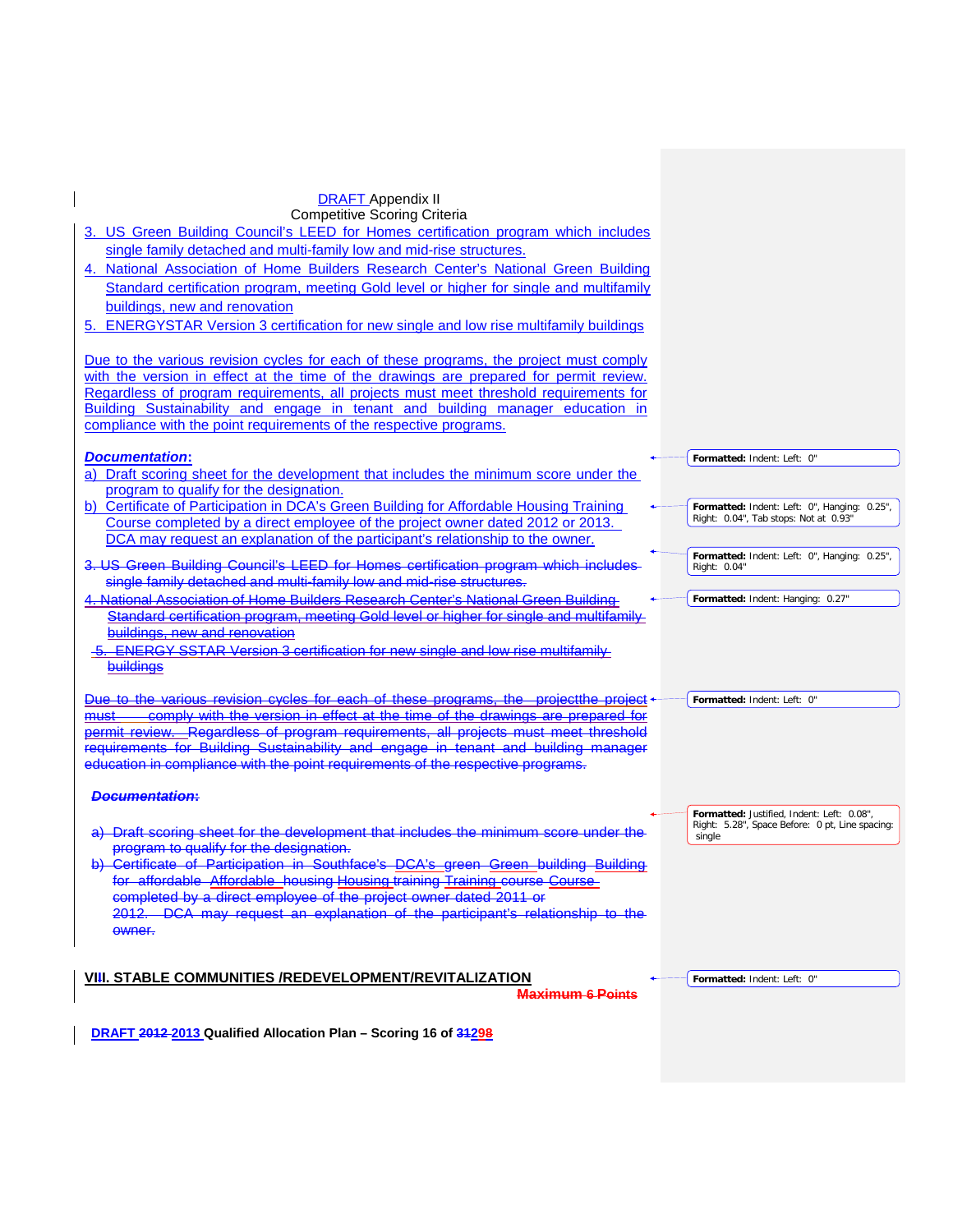| <b>DRAFT</b> Appendix II<br><b>Competitive Scoring Criteria</b>                                                                                                                                                                                                                                                                                                                                                                                                 |                                                                                               |
|-----------------------------------------------------------------------------------------------------------------------------------------------------------------------------------------------------------------------------------------------------------------------------------------------------------------------------------------------------------------------------------------------------------------------------------------------------------------|-----------------------------------------------------------------------------------------------|
| 3. US Green Building Council's LEED for Homes certification program which includes<br>single family detached and multi-family low and mid-rise structures.<br>4. National Association of Home Builders Research Center's National Green Building                                                                                                                                                                                                                |                                                                                               |
| Standard certification program, meeting Gold level or higher for single and multifamily<br>buildings, new and renovation<br>5. ENERGYSTAR Version 3 certification for new single and low rise multifamily buildings                                                                                                                                                                                                                                             |                                                                                               |
| Due to the various revision cycles for each of these programs, the project must comply<br>with the version in effect at the time of the drawings are prepared for permit review.<br>Regardless of program requirements, all projects must meet threshold requirements for                                                                                                                                                                                       |                                                                                               |
| Building Sustainability and engage in tenant and building manager education in<br>compliance with the point requirements of the respective programs.                                                                                                                                                                                                                                                                                                            |                                                                                               |
| <b>Documentation:</b><br>a) Draft scoring sheet for the development that includes the minimum score under the<br>program to qualify for the designation.<br>b) Certificate of Participation in DCA's Green Building for Affordable Housing Training                                                                                                                                                                                                             | Formatted: Indent: Left: 0"<br>Formatted: Indent: Left: 0", Hanging: 0.25",                   |
| Course completed by a direct employee of the project owner dated 2012 or 2013.<br>DCA may request an explanation of the participant's relationship to the owner.                                                                                                                                                                                                                                                                                                | Right: 0.04", Tab stops: Not at 0.93"<br>Formatted: Indent: Left: 0", Hanging: 0.25",         |
| 3. US Green Building Council's LEED for Homes certification program which includes<br>single family detached and multi-family low and mid-rise structures.<br>4. National Association of Home Builders Research Center's National Green Building-<br>Standard certification program, meeting Gold level or higher for single and multifamily                                                                                                                    | Right: 0.04"<br>Formatted: Indent: Hanging: 0.27"                                             |
| buildings, new and renovation<br><b>ENERGY SSTAR Version 3 certification for new single and low rise multifamily</b><br>buildings                                                                                                                                                                                                                                                                                                                               |                                                                                               |
| Due to the various revision cycles for each of these programs, the projectthe project<br>comply with the version in effect at the time of the drawings are prepared for<br>must-<br>permit review. Regardless of program requirements, all projects must meet threshold<br>requirements for Building Sustainability and engage in tenant and building manager<br>education in compliance with the point requirements of the respective programs.                | Formatted: Indent: Left: 0"                                                                   |
| <del>Documentation:</del>                                                                                                                                                                                                                                                                                                                                                                                                                                       | Formatted: Justified, Indent: Left: 0.08",<br>Right: 5.28", Space Before: 0 pt, Line spacing: |
| a) Draft scoring sheet for the development that includes the minimum score under the<br>program to qualify for the designation.<br>Certificate of Participation in Southface's DCA's green Green building Building<br>for affordable Affordable housing Housing training Training course Course<br>completed by a direct employee of the project owner dated 2011 or<br>2012. DCA may request an explanation of the participant's relationship to the<br>owner. | single                                                                                        |
| <b>VIII. STABLE COMMUNITIES /REDEVELOPMENT/REVITALIZATION</b><br><b>Maximum 6 Points</b>                                                                                                                                                                                                                                                                                                                                                                        | Formatted: Indent: Left: 0"                                                                   |

**DRAFT 2012 2013 Qualified Allocation Plan – Scoring 16 of 31298**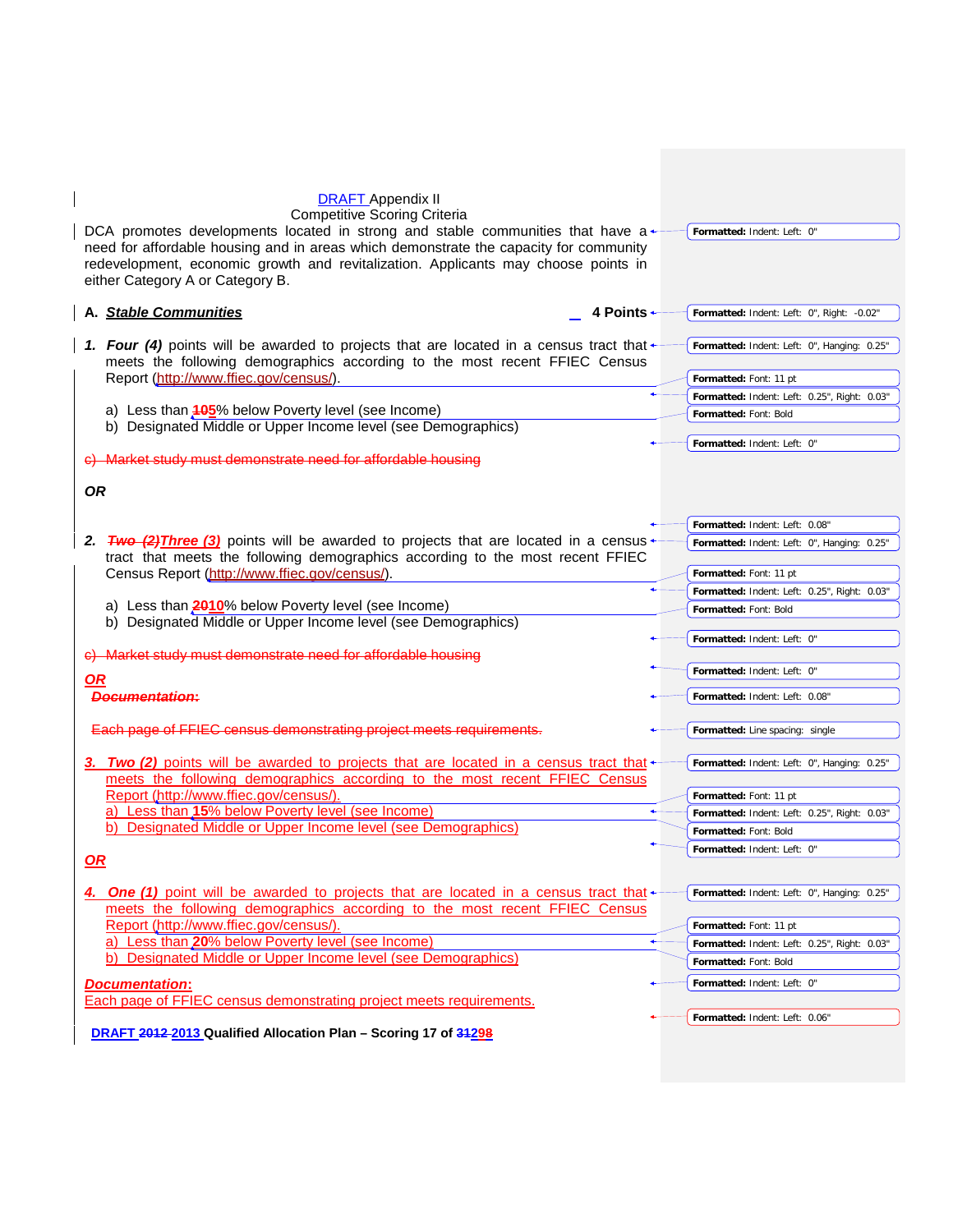| <b>DRAFT</b> Appendix II                                                                                                                                                         |                                              |
|----------------------------------------------------------------------------------------------------------------------------------------------------------------------------------|----------------------------------------------|
| <b>Competitive Scoring Criteria</b>                                                                                                                                              |                                              |
| DCA promotes developments located in strong and stable communities that have a +                                                                                                 | Formatted: Indent: Left: 0"                  |
| need for affordable housing and in areas which demonstrate the capacity for community                                                                                            |                                              |
| redevelopment, economic growth and revitalization. Applicants may choose points in                                                                                               |                                              |
| either Category A or Category B.                                                                                                                                                 |                                              |
| A. Stable Communities<br>4 Points -                                                                                                                                              | Formatted: Indent: Left: 0", Right: -0.02"   |
|                                                                                                                                                                                  |                                              |
| 1. Four (4) points will be awarded to projects that are located in a census tract that $\star$                                                                                   | Formatted: Indent: Left: 0", Hanging: 0.25"  |
| meets the following demographics according to the most recent FFIEC Census                                                                                                       |                                              |
| Report (http://www.ffiec.gov/census/).                                                                                                                                           | Formatted: Font: 11 pt                       |
|                                                                                                                                                                                  | Formatted: Indent: Left: 0.25", Right: 0.03" |
| a) Less than <b>105</b> % below Poverty level (see Income)<br>b) Designated Middle or Upper Income level (see Demographics)                                                      | Formatted: Font: Bold                        |
|                                                                                                                                                                                  | Formatted: Indent: Left: 0"                  |
| e) Market study must demonstrate need for affordable housing                                                                                                                     |                                              |
|                                                                                                                                                                                  |                                              |
| <b>OR</b>                                                                                                                                                                        |                                              |
|                                                                                                                                                                                  |                                              |
|                                                                                                                                                                                  | Formatted: Indent: Left: 0.08"               |
| 2. <b>Two (2) Three (3)</b> points will be awarded to projects that are located in a census $\rightarrow$                                                                        | Formatted: Indent: Left: 0", Hanging: 0.25"  |
| tract that meets the following demographics according to the most recent FFIEC<br>Census Report (http://www.ffiec.gov/census/).                                                  | Formatted: Font: 11 pt                       |
|                                                                                                                                                                                  | Formatted: Indent: Left: 0.25", Right: 0.03" |
| a) Less than <b>2010</b> % below Poverty level (see Income)                                                                                                                      | Formatted: Font: Bold                        |
| b) Designated Middle or Upper Income level (see Demographics)                                                                                                                    |                                              |
|                                                                                                                                                                                  | Formatted: Indent: Left: 0"                  |
| Market study must demonstrate need for affordable housing                                                                                                                        |                                              |
| <u>OR</u>                                                                                                                                                                        | Formatted: Indent: Left: 0"                  |
| Documentation:                                                                                                                                                                   | Formatted: Indent: Left: 0.08"               |
|                                                                                                                                                                                  |                                              |
| Each page of FFIEC census demonstrating project meets requirements.                                                                                                              | Formatted: Line spacing: single              |
|                                                                                                                                                                                  |                                              |
| 3. Two (2) points will be awarded to projects that are located in a census tract that $\leftarrow$<br>meets the following demographics according to the most recent FFIEC Census | Formatted: Indent: Left: 0", Hanging: 0.25"  |
| Report (http://www.ffiec.gov/census/).                                                                                                                                           | Formatted: Font: 11 pt                       |
| a) Less than 15% below Poverty level (see Income)                                                                                                                                | Formatted: Indent: Left: 0.25", Right: 0.03" |
| b) Designated Middle or Upper Income level (see Demographics)                                                                                                                    | Formatted: Font: Bold                        |
|                                                                                                                                                                                  | Formatted: Indent: Left: 0"                  |
| <u>OR</u>                                                                                                                                                                        |                                              |
|                                                                                                                                                                                  |                                              |
| 4. One (1) point will be awarded to projects that are located in a census tract that +<br>meets the following demographics according to the most recent FFIEC Census             | Formatted: Indent: Left: 0", Hanging: 0.25"  |
| Report (http://www.ffiec.gov/census/).                                                                                                                                           | Formatted: Font: 11 pt                       |
| a) Less than 20% below Poverty level (see Income)                                                                                                                                | Formatted: Indent: Left: 0.25", Right: 0.03" |
| b) Designated Middle or Upper Income level (see Demographics)                                                                                                                    | Formatted: Font: Bold                        |
|                                                                                                                                                                                  | Formatted: Indent: Left: 0"                  |
| <b>Documentation:</b><br>Each page of FFIEC census demonstrating project meets requirements.                                                                                     |                                              |
|                                                                                                                                                                                  | Formatted: Indent: Left: 0.06"               |
| DRAFT 2012 2013 Qualified Allocation Plan - Scoring 17 of 31298                                                                                                                  |                                              |
|                                                                                                                                                                                  |                                              |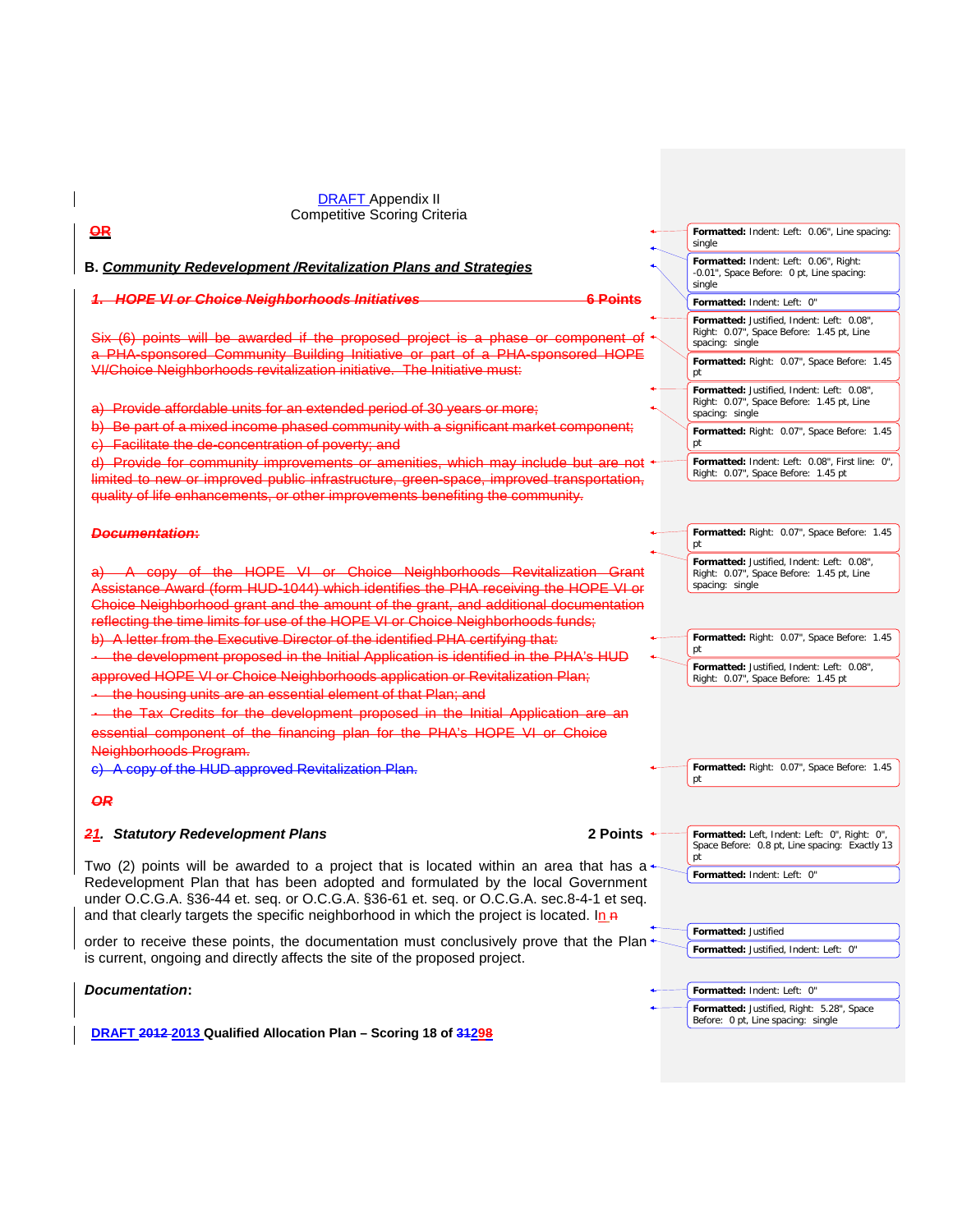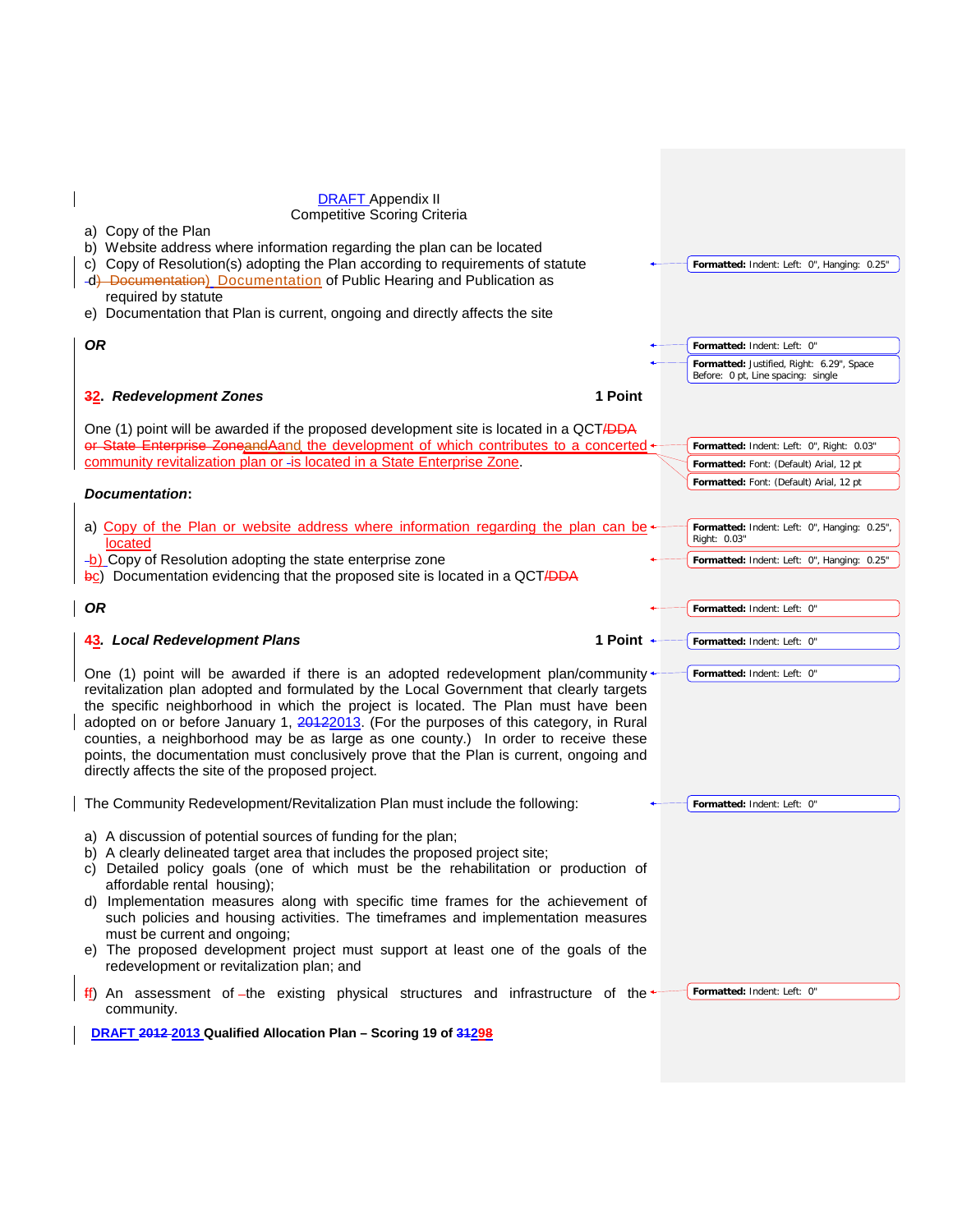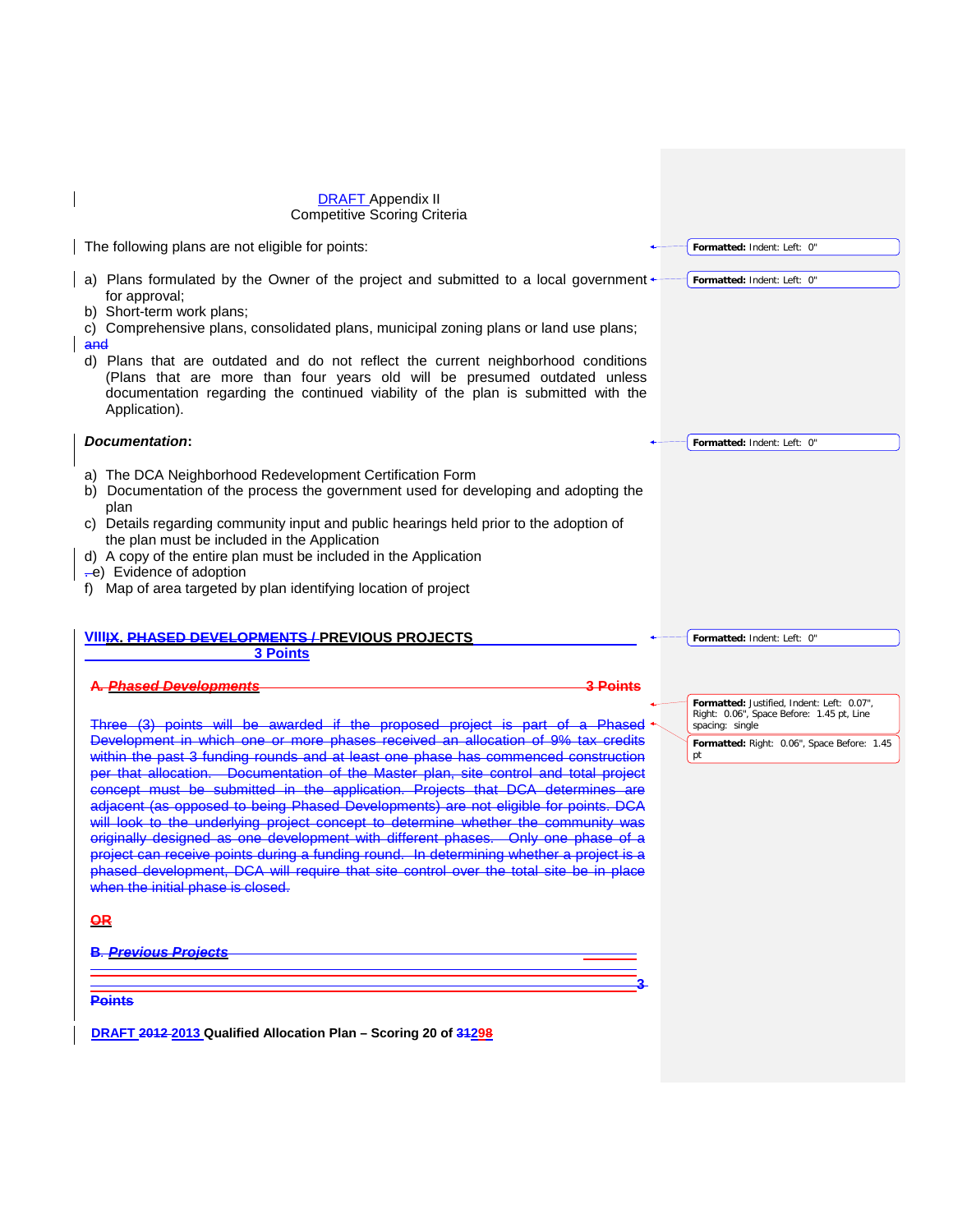## DRAFT Appendix II Competitive Scoring Criteria The following plans are not eligible for points: a) Plans formulated by the Owner of the project and submitted to a local government  $\leftarrow$ for approval; b) Short-term work plans; c) Comprehensive plans, consolidated plans, municipal zoning plans or land use plans; and d) Plans that are outdated and do not reflect the current neighborhood conditions (Plans that are more than four years old will be presumed outdated unless documentation regarding the continued viability of the plan is submitted with the Application). *Documentation***:** a) The DCA Neighborhood Redevelopment Certification Form b) Documentation of the process the government used for developing and adopting the plan c) Details regarding community input and public hearings held prior to the adoption of the plan must be included in the Application d) A copy of the entire plan must be included in the Application **.** e) Evidence of adoption f) Map of area targeted by plan identifying location of project **VIIIIX. PHASED DEVELOPMENTS / PREVIOUS PROJECTS 3 Points A***. Phased Developments* **3 Points** Three (3) points will be awarded if the proposed project is part of a Phased Development in which one or more phases received an allocation of 9% within the past 3 funding rounds and at least one phase has commenced construction per that allocation. Documentation of the Master plan, site control and total project concept must be submitted in the application. Projects that DCA determines adjacent (as opposed to being Phased Developments) are not eligible for points. DCA will look to the underlying project concept to determine whether the community was originally designed as one development with different phases. Only one phase of a project can receive points during a funding round. In determining whether a project is a phased development, DCA will require that site control over the total site be in place when the initial phase is closed. **OR B***. Previous Projects* **Formatted:** Indent: Left: 0" **Formatted:** Indent: Left: 0" **Formatted:** Indent: Left: 0" **Formatted:** Indent: Left: 0" **Formatted:** Justified, Indent: Left: 0.07", Right: 0.06", Space Before: 1.45 pt, Line spacing: single **Formatted:** Right: 0.06", Space Before: 1.45 pt

**3**

**Points**

**DRAFT 2012 2013 Qualified Allocation Plan – Scoring 20 of 31298**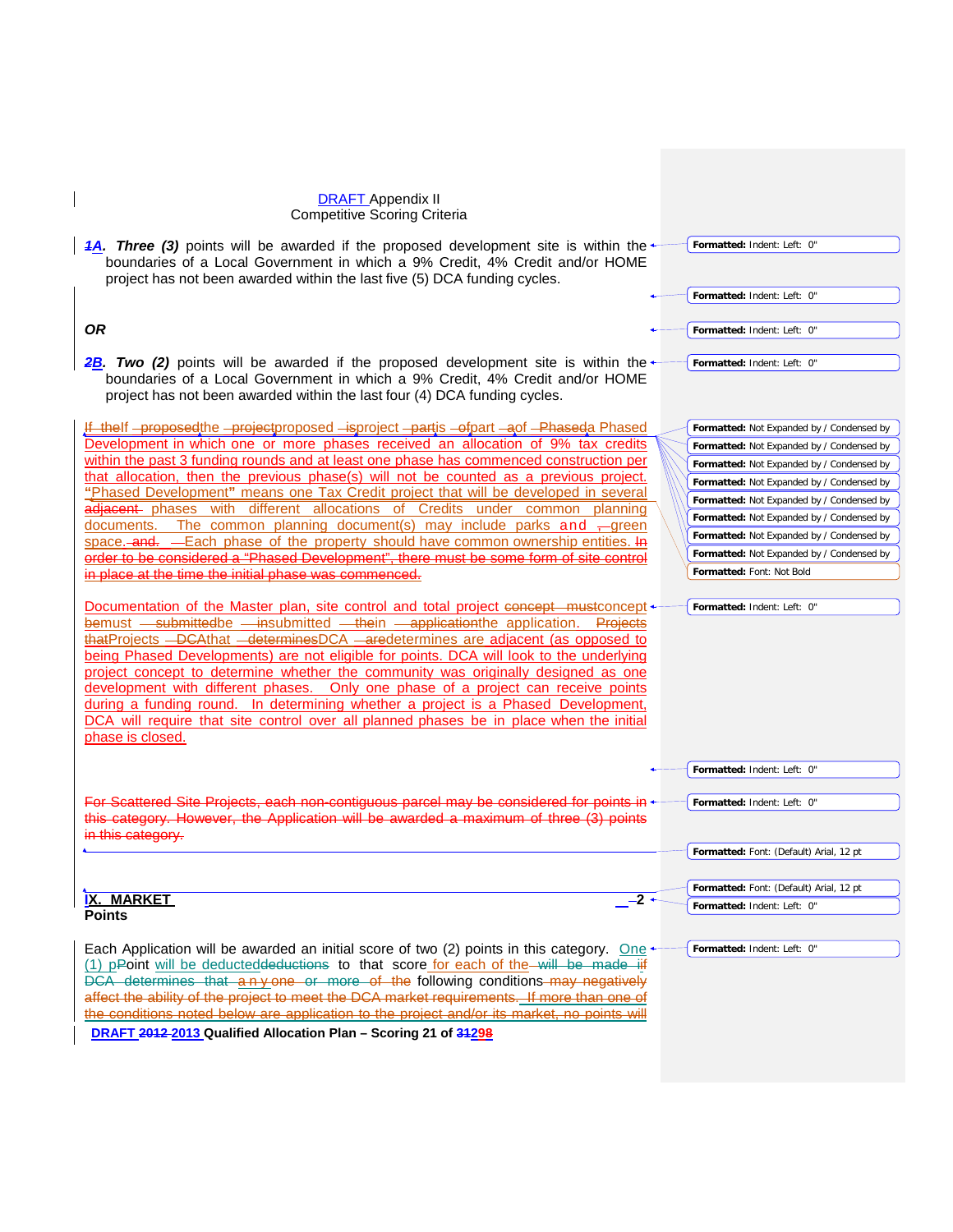#### DRAFT Appendix II Competitive Scoring Criteria **1A. Three (3)** points will be awarded if the proposed development site is within the boundaries of a Local Government in which a 9% Credit, 4% Credit and/or HOME project has not been awarded within the last five (5) DCA funding cycles. *OR* **2B. Two** (2) points will be awarded if the proposed development site is within the boundaries of a Local Government in which a 9% Credit, 4% Credit and/or HOME project has not been awarded within the last four (4) DCA funding cycles. theIf -proposedthe -projectproposed -isproject -partis -ofpart -aof -Phaseda Phased Development in which one or more phases received an allocation of 9% tax credits within the past 3 funding rounds and at least one phase has commenced construction per that allocation, then the previous phase(s) will not be counted as a previous project. **"**Phased Development**"** means one Tax Credit project that will be developed in several adjacent phases with different allocations of Credits under common planning documents. The common planning document(s) may include parks and -green space.-and. - Each phase of the property should have common ownership entities. In order to be considered a "Phased Development", there must be some form of site in place at the time the initial phase was commenced. Documentation of the Master plan, site control and total project concept mustconcept bemust - submittedbe - insubmitted - thein - applicationthe application. Projects thatProjects - DCAthat - determinesDCA - aredetermines are adjacent (as opposed to being Phased Developments) are not eligible for points. DCA will look to the underlying project concept to determine whether the community was originally designed as one **Formatted:** Indent: Left: 0" **Formatted:** Indent: Left: 0" **Formatted:** Indent: Left: 0" **Formatted:** Indent: Left: 0" **Formatted:** Not Expanded by / Condensed by **Formatted:** Not Expanded by / Condensed by **Formatted:** Not Expanded by / Condensed by **Formatted:** Not Expanded by / Condensed by **Formatted:** Not Expanded by / Condensed by **Formatted:** Not Expanded by / Condensed by **Formatted:** Not Expanded by / Condensed by **Formatted:** Not Expanded by / Condensed by **Formatted:** Font: Not Bold **Formatted:** Indent: Left: 0"

development with different phases. Only one phase of a project can receive points during a funding round. In determining whether a project is a Phased Development, DCA will require that site control over all planned phases be in place when the initial phase is closed. For Scattered Site Projects, each non-contiguous parcel may be considered for points in this category. However, the Application will be awarded a maximum of three (3) points in this category. **IX. MARKET 2 Points** Each Application will be awarded an initial score of two (2) points in this category. One  $(1)$  pPoint will be deducteddeductions to that score for each of the will be made iif DCA determines that any one or more of the following conditions-may negatively **Formatted:** Indent: Left: 0" **Formatted:** Indent: Left: 0" **Formatted:** Font: (Default) Arial, 12 pt **Formatted:** Font: (Default) Arial, 12 pt **Formatted:** Indent: Left: 0" **Formatted:** Indent: Left: 0"

affect the ability of the project to meet the DCA market requirements. If more than one of the conditions noted below are application to the project and/or its market, no points will

**DRAFT 2012 2013 Qualified Allocation Plan – Scoring 21 of 31298**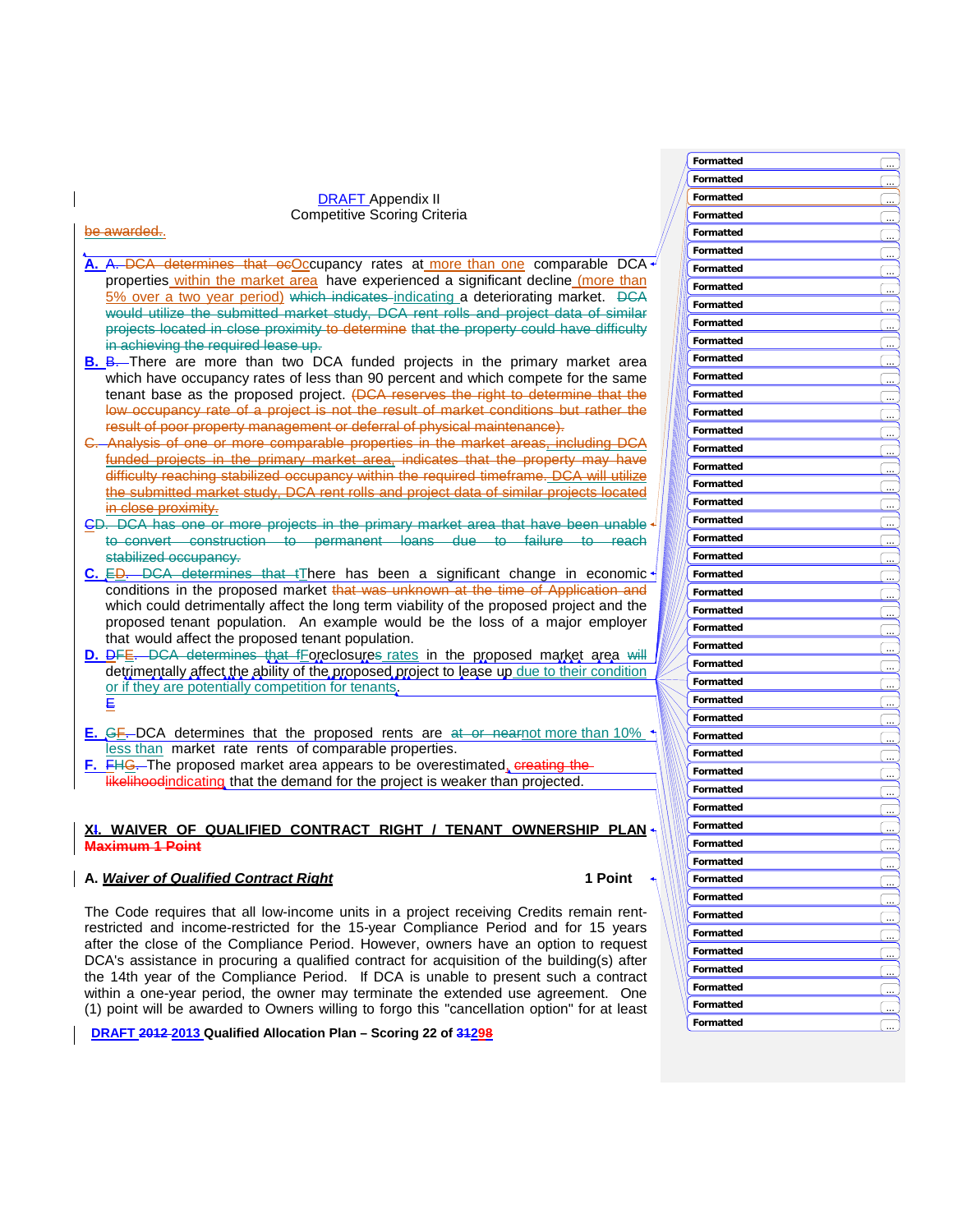#### be awarded. .

- A. A. DCA determines that ecOccupancy rates at more than one comparable DCA properties<u> within the market area</u> have experienced a significant decline (more than 5% over a two year period) which indicates-indicating a deteriorating market. DCA would utilize the submitted market study, DCA rent rolls and project data of similar projects located in close proximity to determine that the property could have difficulty in achieving the required lease up.
- **B.** B. There are more than two DCA funded projects in the primary market area which have occupancy rates of less than 90 percent and which compete for the same tenant base as the proposed project. <del>(DCA reserves the right to determine that the</del> low occupancy rate of a project is not the result of market conditions but rather the result of poor property management or deferral of physical maintenance).
- C. Analysis of one or more comparable properties in the market areas<u>, including DCA</u> funded projects in the primary market area, indicates that the property may have difficulty reaching stabilized occupancy within the required timeframe. <u>DCA will utilize</u> <u>the submitted market study, DCA rent rolls and project data of similar projects lo</u> c a t e d <u>in close proximity.</u>
- <u>C</u>D. DCA has one or more projects in the primary market area that have been unable to convert construction to permanent loans due to failure to reach stabilized occupancy.
- C. ED. DCA determines that tThere has been a significant change in economic conditions in the proposed market <del>that was unknown at the time of Application and</del> which could detrimentally affect the long term viability of the proposed project and the proposed tenant population. An example would be the loss of a major employer that would affect the proposed tenant population.
- **D.** DFE. DCA determines that fForeclosures rates in the proposed market area will detrimentally affect the ability of the proposed project to lease up due to their condition or if they are potentially competition for tenants .
	- E
- **E.** GF. DCA determines that the proposed rents are at or nearnot more than 10% less than market rate rents of comparable properties.
- **F.** EHG. The proposed market area appears to be overestimated, creating the likelihoodindicating that the demand for the project is weaker than projected.

## <u>XI. WAIVER OF QUALIFIED CONTRACT RIGHT / TENANT OWNERSHIP PLAN</u> **Maximum 1 Point**

## **A.**  *Wa ive r of Qu ali fied Con tract Right*

## **1 Point**

The Code requires that all low-income units in a project receiving Credits remain rentrestricted and income-restricted for the 15-year Compliance Period and for 15 years after the close of the Compliance Period. However, owners have an option to request DCA's assistance in procuring a qualified contract for acquisition of the building(s) after the 14th year of the Compliance Period. If DCA is unable to present such a contract within a one-year period, the owner may terminate the extended use agreement. One (1) point will be awarded to Owners willing to forgo this "cancellation option" for at least

**DRAFT 2012 2013 Q u a l ified Alloca t ion P lan – Sco r ing 22 of 31 2 9 8**

| Formatted        |                          |
|------------------|--------------------------|
| Formatted        | l                        |
| Formatted        | سے)                      |
| Formatted        | … ا                      |
| Formatted        | ے)                       |
| Formatted        | $\ldots$                 |
| Formatted        |                          |
| Formatted        | سا                       |
| Formatted        | $\overline{\phantom{a}}$ |
| Formatted        | سيا                      |
| Formatted        | (                        |
| Formatted        |                          |
| Formatted        | <u>ب</u>                 |
| Formatted        |                          |
| Formatted        |                          |
| Formatted        | ىيىل                     |
| Formatted        | l                        |
|                  | $\ddotsc$                |
| Formatted        |                          |
| Formatted        | <u>(</u>                 |
| <b>Formatted</b> |                          |
| Formatted        | l <u>.</u>               |
| Formatted        | $\ldots$                 |
| Formatted        | l <u></u>                |
| Formatted        | ِبِ                      |
| Formatted        | l                        |
| Formatted        | (. <u></u>               |
| Formatted        | … ا                      |
| Formatted        | سے)                      |
| Formatted        | C <u></u>                |
| Formatted        | <u>(پ</u>                |
| Formatted        |                          |
| Formatted        |                          |
| Formatted        |                          |
| Formatted        | [                        |
| Formatted        | $\cdots$                 |
| Formatted        | سے ا                     |
| Formatted        | سيا                      |
| Formatted        | $\overline{\phantom{a}}$ |
| Formatted        | ſ.                       |
| Formatted        |                          |
| Formatted        |                          |
| Formatted        |                          |
| Formatted        |                          |
| Formatted        |                          |
| Formatted        |                          |
| Formatted        |                          |
| Formatted        |                          |
| Formatted        |                          |
| Formatted        |                          |
|                  |                          |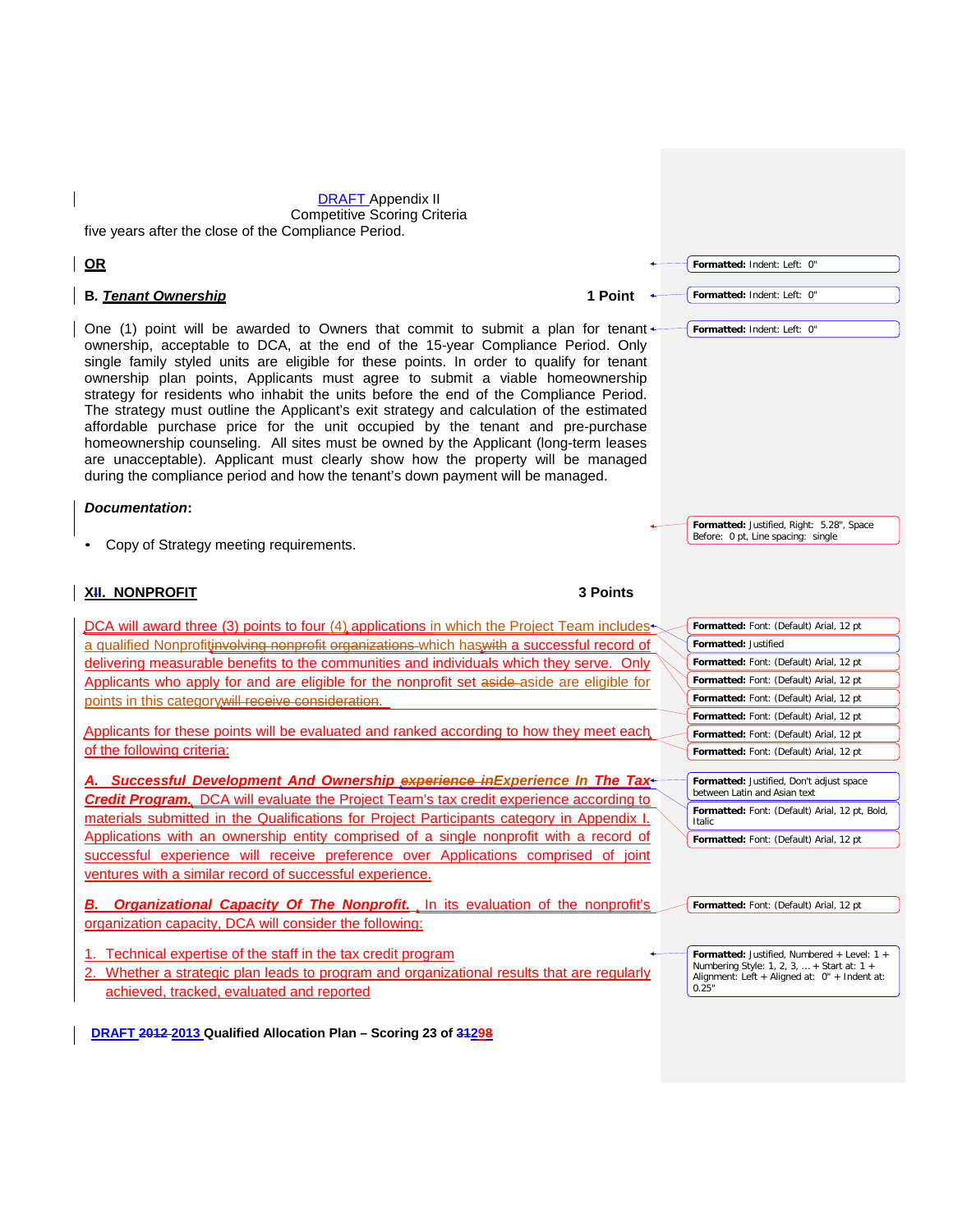DRAFT Appendix II Competitive Scoring Criteria five years after the close of the Compliance Period.

## **OR**

## **B***. Tenant Ownership* **1 Point**

One (1) point will be awarded to Owners that commit to submit a plan for tenant  $\div$ ownership, acceptable to DCA, at the end of the 15-year Compliance Period. Only single family styled units are eligible for these points. In order to qualify for tenant ownership plan points, Applicants must agree to submit a viable homeownership strategy for residents who inhabit the units before the end of the Compliance Period. The strategy must outline the Applicant's exit strategy and calculation of the estimated affordable purchase price for the unit occupied by the tenant and pre-purchase homeownership counseling. All sites must be owned by the Applicant (long-term leases are unacceptable). Applicant must clearly show how the property will be managed during the compliance period and how the tenant's down payment will be managed.

## *Documentation***:**

• Copy of Strategy meeting requirements.

## **XII. NONPROFIT 3 Points**

DCA will award three (3) points to four (4) applications in which the Project Team includes a qualified Nonprofitinvolving nonprofit organizations which has with a successful record of delivering measurable benefits to the communities and individuals which they serve. Only Applicants who apply for and are eligible for the nonprofit set aside aside are eligible for points in this category will receive consideration.

Applicants for these points will be evaluated and ranked according to how they meet each of the following criteria:

*A. Successful Development And Ownership experience inExperience In The Tax Credit Program.* DCA will evaluate the Project Team's tax credit experience according to materials submitted in the Qualifications for Project Participants category in Appendix I. Applications with an ownership entity comprised of a single nonprofit with a record of successful experience will receive preference over Applications comprised of joint ventures with a similar record of successful experience.

*Drganizational Capacity Of The Nonprofit.* In its evaluation of the nonprofit's organization capacity, DCA will consider the following:

- 1. Technical expertise of the staff in the tax credit program
- 2. Whether a strategic plan leads to program and organizational results that are regularly achieved, tracked, evaluated and reported

**Formatted:** Justified, Numbered + Level: 1 + Numbering Style: 1, 2, 3, … + Start at: 1 + Alignment: Left + Aligned at: 0" + Indent at: 0.25"

**Formatted:** Font: (Default) Arial, 12 pt, Bold,

**Formatted:** Font: (Default) Arial, 12 pt

**Formatted:** Font: (Default) Arial, 12 pt

**DRAFT 2012 2013 Qualified Allocation Plan – Scoring 23 of 31298**

**Formatted:** Justified, Right: 5.28", Space Before: 0 pt, Line spacing: single

**Formatted:** Font: (Default) Arial, 12 pt

**Formatted:** Font: (Default) Arial, 12 pt **Formatted:** Font: (Default) Arial, 12 pt **Formatted:** Font: (Default) Arial, 12 pt **Formatted:** Font: (Default) Arial, 12 pt **Formatted:** Font: (Default) Arial, 12 pt **Formatted:** Font: (Default) Arial, 12 pt **Formatted:** Justified, Don't adjust space between Latin and Asian text

**Formatted:** Justified

Italic

**Formatted:** Indent: Left: 0" **Formatted:** Indent: Left: 0"

**Formatted:** Indent: Left: 0"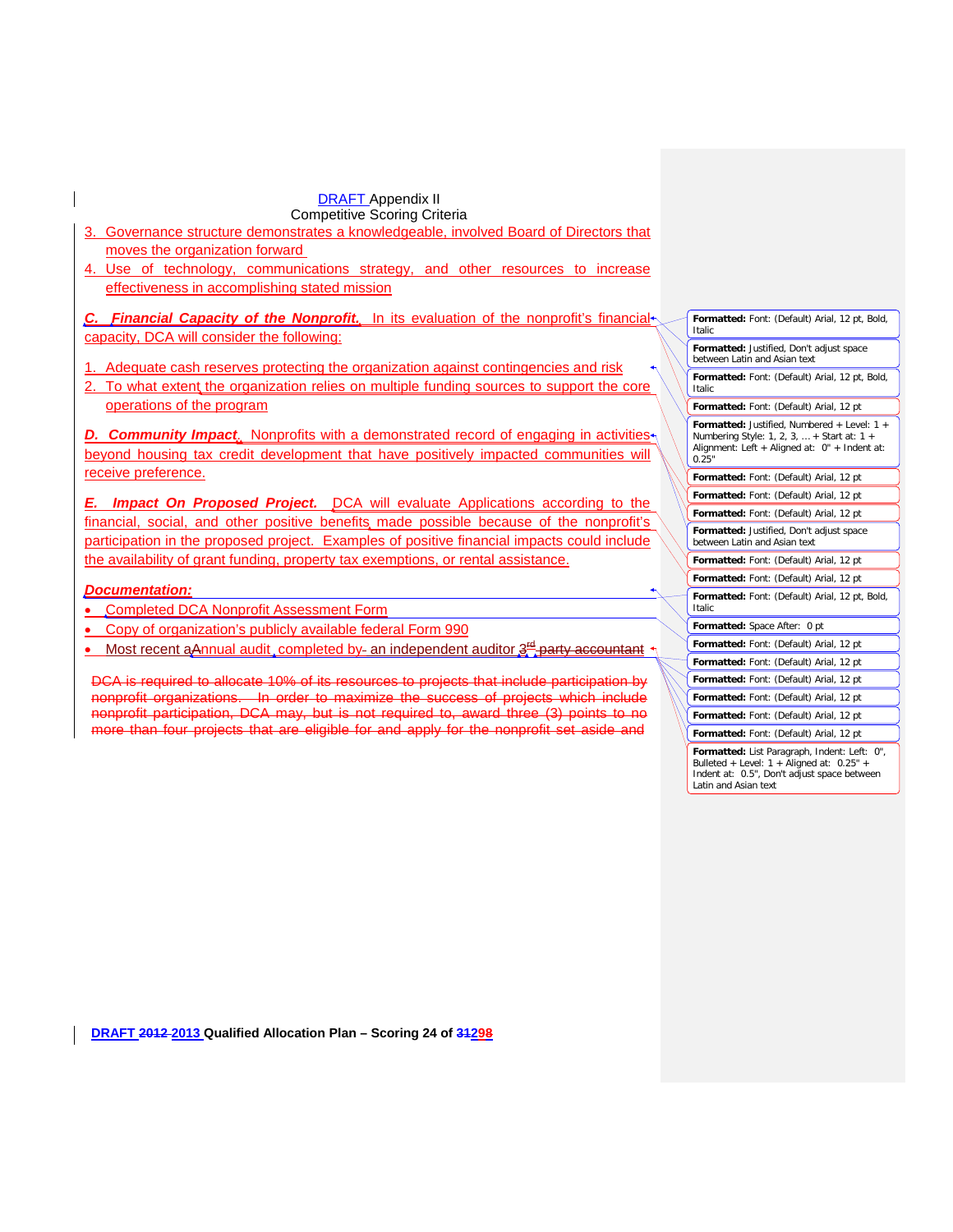- 3. Governance structure demonstrates a knowledgeable, involved Board of Directors that moves the organization forward
- 4. Use of technology, communications strategy, and other resources to increase effectiveness in accomplishing stated mission

*Financial Capacity of the Nonprofit.* In its evaluation of the nonprofit's financialcapacity, DCA will consider the following:

- Adequate cash reserves protecting the organization against contingencies and risk
- 2. To what extent the organization relies on multiple funding sources to support the core operations of the program

**D. Community Impact.** Nonprofits with a demonstrated record of engaging in activities<sup>\*</sup> beyond housing tax credit development that have positively impacted communities will receive preference.

*E. Impact On Proposed Project.* DCA will evaluate Applications according to the financial, social, and other positive benefits made possible because of the nonprofit's participation in the proposed project. Examples of positive financial impacts could include the availability of grant funding, property tax exemptions, or rental assistance.

## *Documentation:*

- Completed DCA Nonprofit Assessment Form
- Copy of organization's publicly available federal Form 990
- Most recent aAnnual audit, completed by- an independent auditor  $3<sup>rd</sup>$  party accountant

DCA is required to allocate 10% of its resources to projects that include participation by nonprofit organizations. In order to maximize the success of projects which include nonprofit participation, DCA may, but is not required to, award three (3) points to no more than four projects that are eligible for and apply for the nonprofit set aside and

**Formatted:** Font: (Default) Arial, 12 pt, Bold, Italic **Formatted:** Justified, Don't adjust space between Latin and Asian text **Formatted:** Font: (Default) Arial, 12 pt, Bold, Italic **Formatted:** Font: (Default) Arial, 12 pt **Formatted:** Justified, Numbered + Level: 1 + Numbering Style: 1, 2, 3, … + Start at: 1 + Alignment: Left + Aligned at: 0" + Indent at:  $0.25"$ **Formatted:** Font: (Default) Arial, 12 pt **Formatted:** Justified, Don't adjust space between Latin and Asian text **Formatted:** Font: (Default) Arial, 12 pt **Formatted:** Font: (Default) Arial, 12 pt **Formatted:** Font: (Default) Arial, 12 pt **Formatted:** Font: (Default) Arial, 12 pt **Formatted:** Font: (Default) Arial, 12 pt, Bold, Italic **Formatted:** Space After: 0 pt **Formatted:** Font: (Default) Arial, 12 pt **Formatted:** List Paragraph, Indent: Left: 0", Bulleted + Level: 1 + Aligned at: 0.25" -Indent at: 0.5", Don't adjust space between **Formatted:** Font: (Default) Arial, 12 pt **Formatted:** Font: (Default) Arial, 12 pt **Formatted:** Font: (Default) Arial, 12 pt **Formatted:** Font: (Default) Arial, 12 pt **Formatted:** Font: (Default) Arial, 12 pt

Latin and Asian text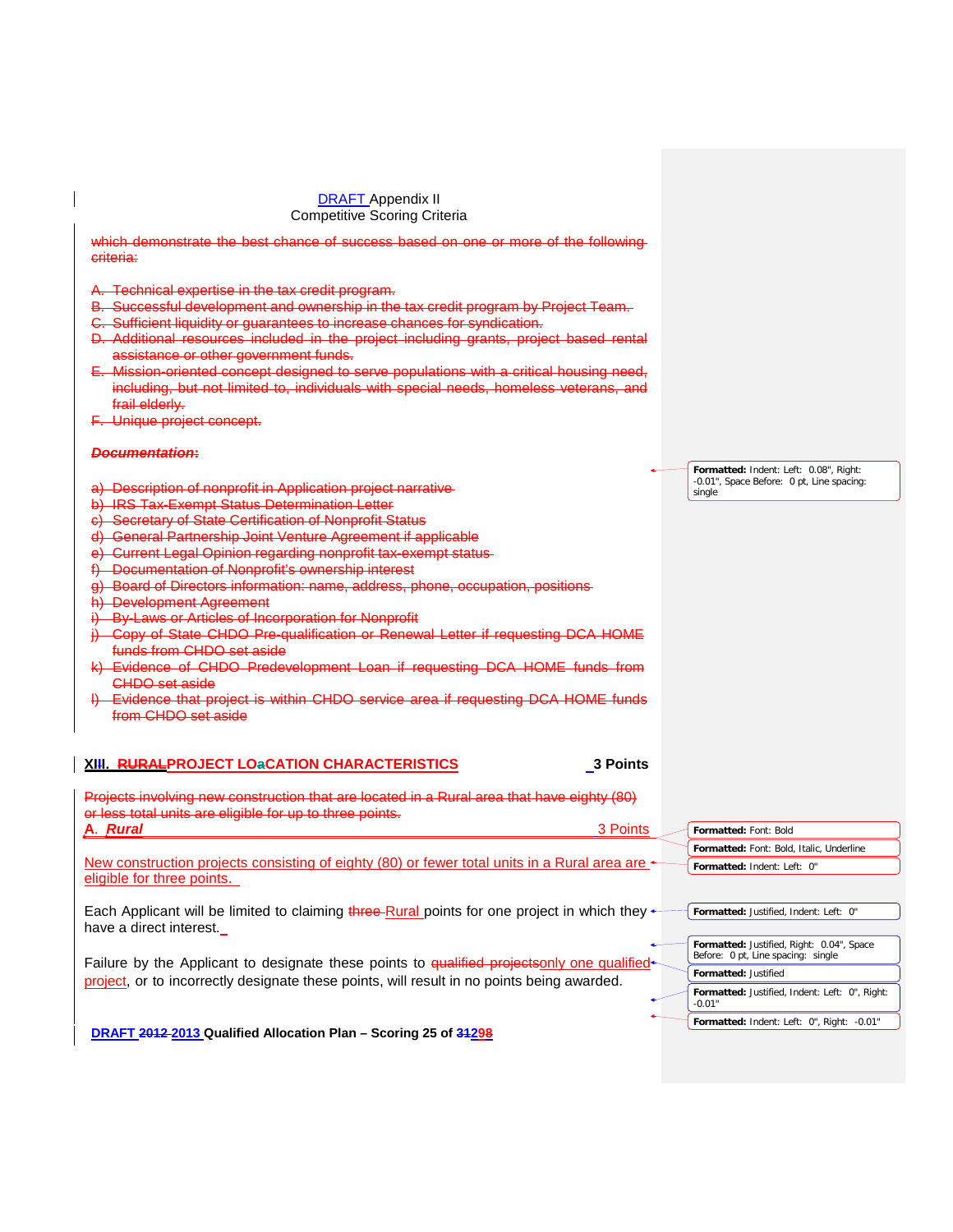which demonstrate the best chance of success based on one or more of the following

 $\overline{\phantom{a}}$ 

| critoria:                                                                                                                                                                                                                                                                                                                                                                                                                                                                                                                                                                                                                                                                                                                                                                                                                                                                                                                                                                                                                                             |                                                                                               |
|-------------------------------------------------------------------------------------------------------------------------------------------------------------------------------------------------------------------------------------------------------------------------------------------------------------------------------------------------------------------------------------------------------------------------------------------------------------------------------------------------------------------------------------------------------------------------------------------------------------------------------------------------------------------------------------------------------------------------------------------------------------------------------------------------------------------------------------------------------------------------------------------------------------------------------------------------------------------------------------------------------------------------------------------------------|-----------------------------------------------------------------------------------------------|
| A. Technical expertise in the tax credit program.<br>B. Successful development and ownership in the tax credit program by Project Team.<br>C. Sufficient liquidity or guarantees to increase chances for syndication.<br>D. Additional resources included in the project including grants, project based rental<br>assistance or other government funds.<br>E. Mission-oriented concept designed to serve populations with a critical housing need,<br>including, but not limited to, individuals with special needs, homeless veterans, and<br>frail elderly.<br>F. Unique project concept.                                                                                                                                                                                                                                                                                                                                                                                                                                                          |                                                                                               |
| <b>Decumentation:</b><br>a) Description of nonprofit in Application project narrative<br>b) IRS Tax-Exempt Status Determination Letter<br>c) Secretary of State Certification of Nonprofit Status<br>d) General Partnership Joint Venture Agreement if applicable<br>e) Current Legal Opinion regarding nonprofit tax-exempt status-<br>f) Documentation of Nonprofit's ownership interest<br>g) Board of Directors information: name, address, phone, occupation, positions<br>h) Development Agreement<br>i) By-Laws or Articles of Incorporation for Nonprofit<br>Copy of State CHDO Pre-qualification or Renewal Letter if requesting DCA HOME<br>funds from CHDO set aside<br>k) Evidence of CHDO Predevelopment Loan if requesting DCA HOME funds from<br>CHDO set aside<br>I) Evidence that project is within CHDO service area if requesting DCA HOME funds<br>from CHDO set aside<br>XIII. RURALPROJECT LOaCATION CHARACTERISTICS<br>_3 Points<br>Projects involving new construction that are located in a Rural area that have eighty (80) | Formatted: Indent: Left: 0.08", Right:<br>-0.01", Space Before: 0 pt, Line spacing:<br>single |
| or less total units are eligible for up to three points.<br><u>A. Rural </u><br>3 Points                                                                                                                                                                                                                                                                                                                                                                                                                                                                                                                                                                                                                                                                                                                                                                                                                                                                                                                                                              | Formatted: Font: Bold                                                                         |
|                                                                                                                                                                                                                                                                                                                                                                                                                                                                                                                                                                                                                                                                                                                                                                                                                                                                                                                                                                                                                                                       | Formatted: Font: Bold, Italic, Underline                                                      |
| New construction projects consisting of eighty (80) or fewer total units in a Rural area are<br>eligible for three points.                                                                                                                                                                                                                                                                                                                                                                                                                                                                                                                                                                                                                                                                                                                                                                                                                                                                                                                            | Formatted: Indent: Left: 0"                                                                   |
| Each Applicant will be limited to claiming three-Rural points for one project in which they +<br>have a direct interest.                                                                                                                                                                                                                                                                                                                                                                                                                                                                                                                                                                                                                                                                                                                                                                                                                                                                                                                              | Formatted: Justified, Indent: Left: 0"                                                        |
|                                                                                                                                                                                                                                                                                                                                                                                                                                                                                                                                                                                                                                                                                                                                                                                                                                                                                                                                                                                                                                                       | Formatted: Justified, Right: 0.04", Space<br>Before: 0 pt, Line spacing: single               |
| Failure by the Applicant to designate these points to qualified projectsonly one qualified                                                                                                                                                                                                                                                                                                                                                                                                                                                                                                                                                                                                                                                                                                                                                                                                                                                                                                                                                            | Formatted: Justified                                                                          |
| project, or to incorrectly designate these points, will result in no points being awarded.                                                                                                                                                                                                                                                                                                                                                                                                                                                                                                                                                                                                                                                                                                                                                                                                                                                                                                                                                            | Formatted: Justified, Indent: Left: 0", Right:<br>$-0.01"$                                    |
| DRAFT 2012-2013 Qualified Allocation Plan - Scoring 25 of 34298                                                                                                                                                                                                                                                                                                                                                                                                                                                                                                                                                                                                                                                                                                                                                                                                                                                                                                                                                                                       | Formatted: Indent: Left: 0", Right: -0.01"                                                    |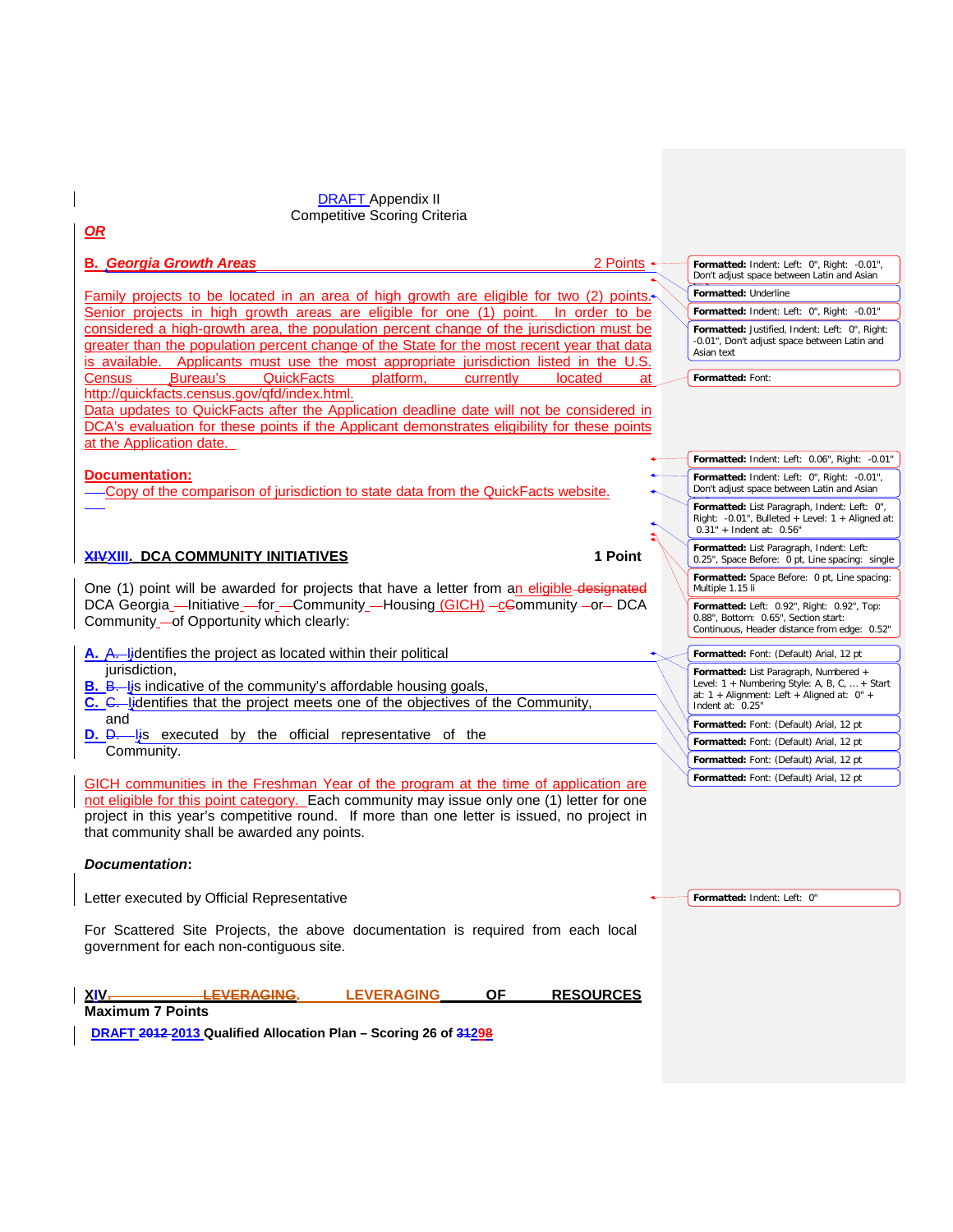| <b>OR</b>                                                                                                                                                                                                                                                                        |                                                                                                                                    |
|----------------------------------------------------------------------------------------------------------------------------------------------------------------------------------------------------------------------------------------------------------------------------------|------------------------------------------------------------------------------------------------------------------------------------|
| <b>B.</b> Georgia Growth Areas<br>2 Points ∗                                                                                                                                                                                                                                     | Formatted: Indent: Left: 0", Right: -0.01",<br>Don't adjust space between Latin and Asian                                          |
| Family projects to be located in an area of high growth are eligible for two (2) points.                                                                                                                                                                                         | Formatted: Underline                                                                                                               |
| Senior projects in high growth areas are eligible for one (1) point. In order to be                                                                                                                                                                                              | Formatted: Indent: Left: 0", Right: -0.01"                                                                                         |
| considered a high-growth area, the population percent change of the jurisdiction must be<br>greater than the population percent change of the State for the most recent year that data<br>is available. Applicants must use the most appropriate jurisdiction listed in the U.S. | Formatted: Justified, Indent: Left: 0", Right:<br>-0.01", Don't adjust space between Latin and<br>Asian text                       |
| Bureau's<br><b>QuickFacts</b><br>platform,<br>Census<br>currently<br>located<br>at                                                                                                                                                                                               | Formatted: Font:                                                                                                                   |
| http://quickfacts.census.gov/qfd/index.html.                                                                                                                                                                                                                                     |                                                                                                                                    |
| Data updates to QuickFacts after the Application deadline date will not be considered in                                                                                                                                                                                         |                                                                                                                                    |
| DCA's evaluation for these points if the Applicant demonstrates eligibility for these points                                                                                                                                                                                     |                                                                                                                                    |
| at the Application date.                                                                                                                                                                                                                                                         |                                                                                                                                    |
|                                                                                                                                                                                                                                                                                  | Formatted: Indent: Left: 0.06", Right: -0.01"                                                                                      |
| <b>Documentation:</b><br>-Copy of the comparison of jurisdiction to state data from the QuickFacts website.                                                                                                                                                                      | Formatted: Indent: Left: 0", Right: -0.01",<br>Don't adjust space between Latin and Asian                                          |
|                                                                                                                                                                                                                                                                                  | Formatted: List Paragraph, Indent: Left: 0",<br>Right: -0.01", Bulleted + Level: $1 +$ Aligned at:<br>0.31" + Indent at: 0.56"     |
| 1 Point<br><b>XIVXIII. DCA COMMUNITY INITIATIVES</b>                                                                                                                                                                                                                             | Formatted: List Paragraph, Indent: Left:<br>0.25", Space Before: 0 pt, Line spacing: single                                        |
| One (1) point will be awarded for projects that have a letter from an eligible designated                                                                                                                                                                                        | Formatted: Space Before: 0 pt, Line spacing:<br>Multiple 1.15 li                                                                   |
| DCA Georgia_-Initiative_-for_-Community_-Housing_(GICH) -cCommunity -or- DCA<br>Community - of Opportunity which clearly:                                                                                                                                                        | Formatted: Left: 0.92", Right: 0.92", Top:<br>0.88", Bottom: 0.65", Section start:<br>Continuous, Header distance from edge: 0.52" |
| A. A. lidentifies the project as located within their political                                                                                                                                                                                                                  | Formatted: Font: (Default) Arial, 12 pt                                                                                            |
| jurisdiction,                                                                                                                                                                                                                                                                    | Formatted: List Paragraph, Numbered +                                                                                              |
| <b>B.</b> B. It indicative of the community's affordable housing goals,                                                                                                                                                                                                          | Level: 1 + Numbering Style: A, B, C,  + Start                                                                                      |
| C. C. Lidentifies that the project meets one of the objectives of the Community,                                                                                                                                                                                                 | at: $1 +$ Alignment: Left + Aligned at: $0" +$<br>Indent at: 0.25"                                                                 |
| and                                                                                                                                                                                                                                                                              | Formatted: Font: (Default) Arial, 12 pt                                                                                            |
| D. D. Its executed by the official representative of the                                                                                                                                                                                                                         | Formatted: Font: (Default) Arial, 12 pt                                                                                            |
| Community.                                                                                                                                                                                                                                                                       | Formatted: Font: (Default) Arial, 12 pt                                                                                            |
|                                                                                                                                                                                                                                                                                  | Formatted: Font: (Default) Arial, 12 pt                                                                                            |
| GICH communities in the Freshman Year of the program at the time of application are                                                                                                                                                                                              |                                                                                                                                    |
| not eligible for this point category. Each community may issue only one (1) letter for one                                                                                                                                                                                       |                                                                                                                                    |
| project in this year's competitive round. If more than one letter is issued, no project in                                                                                                                                                                                       |                                                                                                                                    |
| that community shall be awarded any points.                                                                                                                                                                                                                                      |                                                                                                                                    |
| <b>Documentation:</b>                                                                                                                                                                                                                                                            |                                                                                                                                    |
| Letter executed by Official Representative                                                                                                                                                                                                                                       | Formatted: Indent: Left: 0"                                                                                                        |
| For Scattered Site Projects, the above documentation is required from each local<br>government for each non-contiguous site.                                                                                                                                                     |                                                                                                                                    |
| <b>LEVERAGING.</b><br><b>LEVERAGING</b><br><b>OF</b><br><b>RESOURCES</b><br><u>XIV—</u><br><b>Maximum 7 Points</b><br>DRAFT 2012-2013 Qualified Allocation Plan - Scoring 26 of 34298                                                                                            |                                                                                                                                    |

 $\begin{array}{c} \hline \end{array}$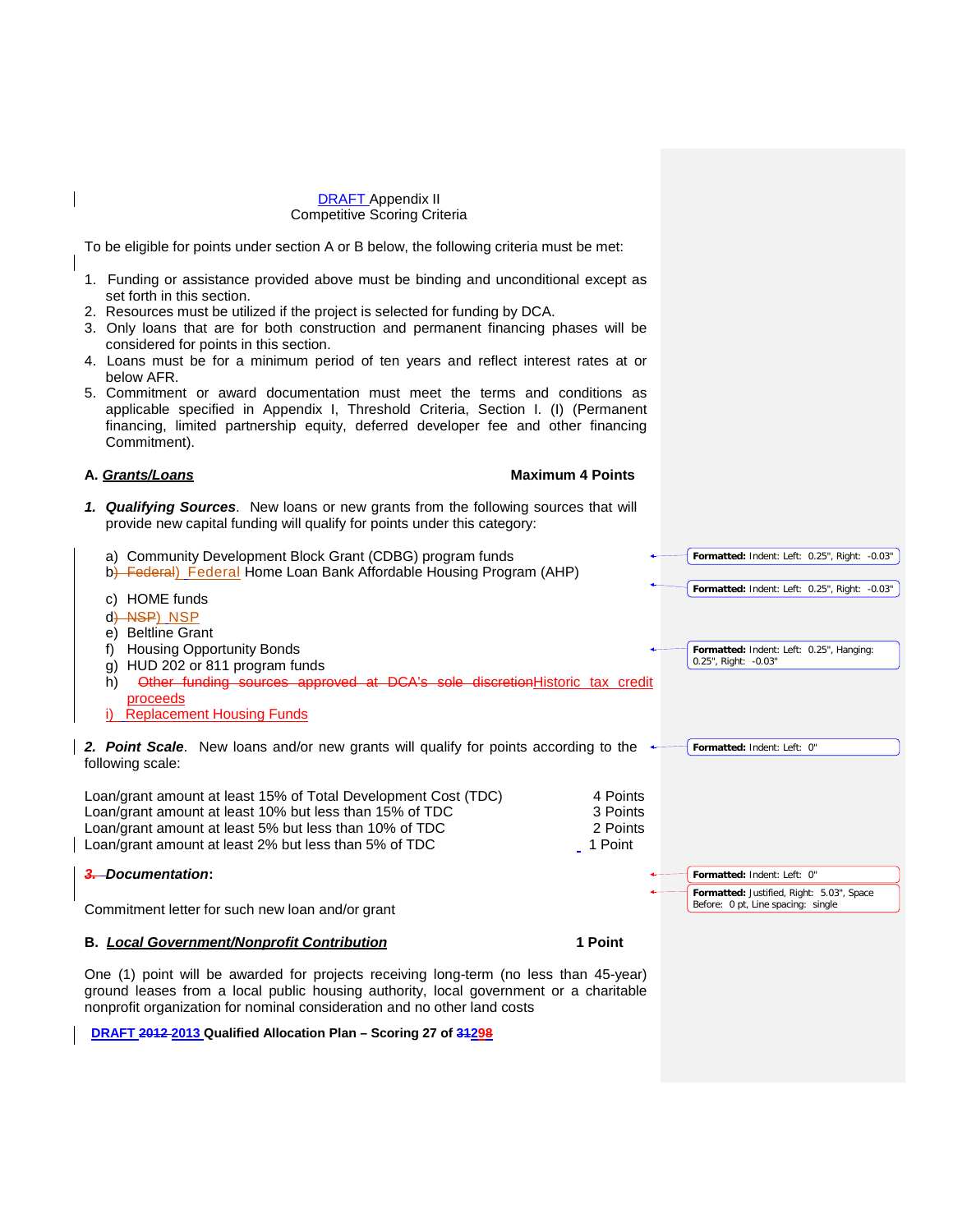To be eligible for points under section A or B below, the following criteria must be met:

- 1. Funding or assistance provided above must be binding and unconditional except as set forth in this section.
- 2. Resources must be utilized if the project is selected for funding by DCA.
- 3. Only loans that are for both construction and permanent financing phases will be considered for points in this section.
- 4. Loans must be for a minimum period of ten years and reflect interest rates at or below AFR.
- 5. Commitment or award documentation must meet the terms and conditions as applicable specified in Appendix I, Threshold Criteria, Section I. (I) (Permanent financing, limited partnership equity, deferred developer fee and other financing Commitment).

#### **A.** *Grants/Loans* **Maximum 4 Points**

- *1. Qualifying Sources*. New loans or new grants from the following sources that will provide new capital funding will qualify for points under this category:
- **DRAFT 2012 2013 Qualified Allocation Plan – Scoring 27 of 31298** a) Community Development Block Grant (CDBG) program funds b) Federal) Federal Home Loan Bank Affordable Housing Program (AHP) c) HOME funds d) NSP) NSP e) Beltline Grant f) Housing Opportunity Bonds g) HUD 202 or 811 program funds h) Other funding sources approved at DCA's sole discretionHistoric tax credit proceeds **Replacement Housing Funds 2. Point Scale**. New loans and/or new grants will qualify for points according to the following scale: Loan/grant amount at least 15% of Total Development Cost (TDC) 4 Points<br>Loan/grant amount at least 10% but less than 15% of TDC 3 Points Loan/grant amount at least 10% but less than 15% of TDC 3 Points<br>
Loan/grant amount at least 5% but less than 10% of TDC 3 Points Loan/grant amount at least 5% but less than 10% of TDC  $\qquad \qquad \qquad$  2 Point<br>Loan/grant amount at least 2% but less than 5% of TDC  $\qquad \qquad$  1 Point Loan/grant amount at least 2% but less than 5% of TDC *3. Documentation***:** Commitment letter for such new loan and/or grant **B.** *Local Government/Nonprofit Contribution* **1 Point** One (1) point will be awarded for projects receiving long-term (no less than 45-year) ground leases from a local public housing authority, local government or a charitable nonprofit organization for nominal consideration and no other land costs **Formatted:** Indent: Left: 0.25", Right: -0.03" **Formatted:** Indent: Left: 0.25", Right: -0.03" **Formatted:** Indent: Left: 0.25", Hanging: 0.25", Right: -0.03" **Formatted:** Indent: Left: 0" **Formatted:** Indent: Left: 0" **Formatted:** Justified, Right: 5.03", Space Before: 0 pt, Line spacing: single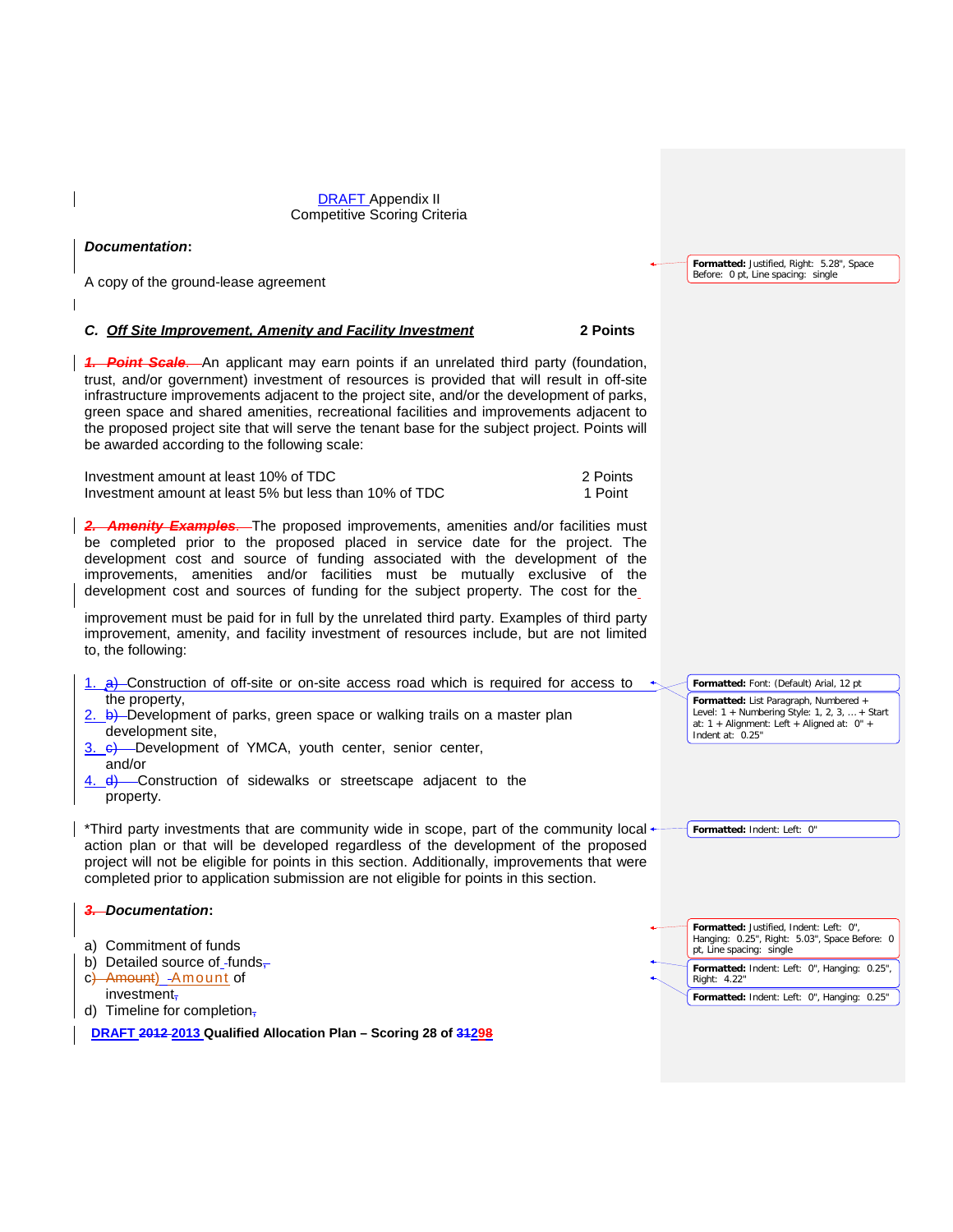*Documentation***:**

A copy of the ground-lease agreement

*C. Off Site Improvement, Amenity and Facility Investment* **2 Points**

*1. Point Scale*. An applicant may earn points if an unrelated third party (foundation, trust, and/or government) investment of resources is provided that will result in off-site infrastructure improvements adjacent to the project site, and/or the development of parks, green space and shared amenities, recreational facilities and improvements adjacent to the proposed project site that will serve the tenant base for the subject project. Points will be awarded according to the following scale:

| Investment amount at least 10% of TDC                  | 2 Points |
|--------------------------------------------------------|----------|
| Investment amount at least 5% but less than 10% of TDC | 1 Point  |

2. Amenity **Examples**. The proposed improvements, amenities and/or facilities must be completed prior to the proposed placed in service date for the project. The development cost and source of funding associated with the development of the improvements, amenities and/or facilities must be mutually exclusive of the development cost and sources of funding for the subject property. The cost for the

improvement must be paid for in full by the unrelated third party. Examples of third party improvement, amenity, and facility investment of resources include, but are not limited to, the following:

| 1. $\theta$ Construction of off-site or on-site access road which is required for access to                                                                                                                                                                                                                                                                                      | Formatted: Font: (Default) Arial, 12 pt                                                                                                                        |
|----------------------------------------------------------------------------------------------------------------------------------------------------------------------------------------------------------------------------------------------------------------------------------------------------------------------------------------------------------------------------------|----------------------------------------------------------------------------------------------------------------------------------------------------------------|
| the property.<br>$2.$ b) Development of parks, green space or walking trails on a master plan<br>development site,                                                                                                                                                                                                                                                               | Formatted: List Paragraph, Numbered +<br>Level: $1 +$ Numbering Style: 1, 2, 3,  + Start<br>at: $1 +$ Alignment: Left + Aligned at: $0" +$<br>Indent at: 0.25" |
| 3. c) Development of YMCA, youth center, senior center,                                                                                                                                                                                                                                                                                                                          |                                                                                                                                                                |
| and/or<br>4. $\theta$ )—Construction of sidewalks or streetscape adjacent to the<br>property.                                                                                                                                                                                                                                                                                    |                                                                                                                                                                |
| *Third party investments that are community wide in scope, part of the community local $\star$<br>action plan or that will be developed regardless of the development of the proposed<br>project will not be eligible for points in this section. Additionally, improvements that were<br>completed prior to application submission are not eligible for points in this section. | Formatted: Indent: Left: 0"                                                                                                                                    |
| 3. Documentation:                                                                                                                                                                                                                                                                                                                                                                |                                                                                                                                                                |
| a) Commitment of funds                                                                                                                                                                                                                                                                                                                                                           | Formatted: Justified, Indent: Left: 0",<br>Hanging: 0.25", Right: 5.03", Space Before: 0<br>pt, Line spacing: single                                           |
| Detailed source of -funds-<br>b)<br>c) Amount) - Amount of                                                                                                                                                                                                                                                                                                                       | Formatted: Indent: Left: 0", Hanging: 0.25",<br>Right: 4.22"                                                                                                   |
| investment-                                                                                                                                                                                                                                                                                                                                                                      | Formatted: Indent: Left: 0", Hanging: 0.25"                                                                                                                    |
| d) Timeline for completion.                                                                                                                                                                                                                                                                                                                                                      |                                                                                                                                                                |
| DRAFT 2012-2013 Qualified Allocation Plan – Scoring 28 of 34298                                                                                                                                                                                                                                                                                                                  |                                                                                                                                                                |
|                                                                                                                                                                                                                                                                                                                                                                                  |                                                                                                                                                                |

**Formatted:** Justified, Right: 5.28", Space Before: 0 pt, Line spacing: single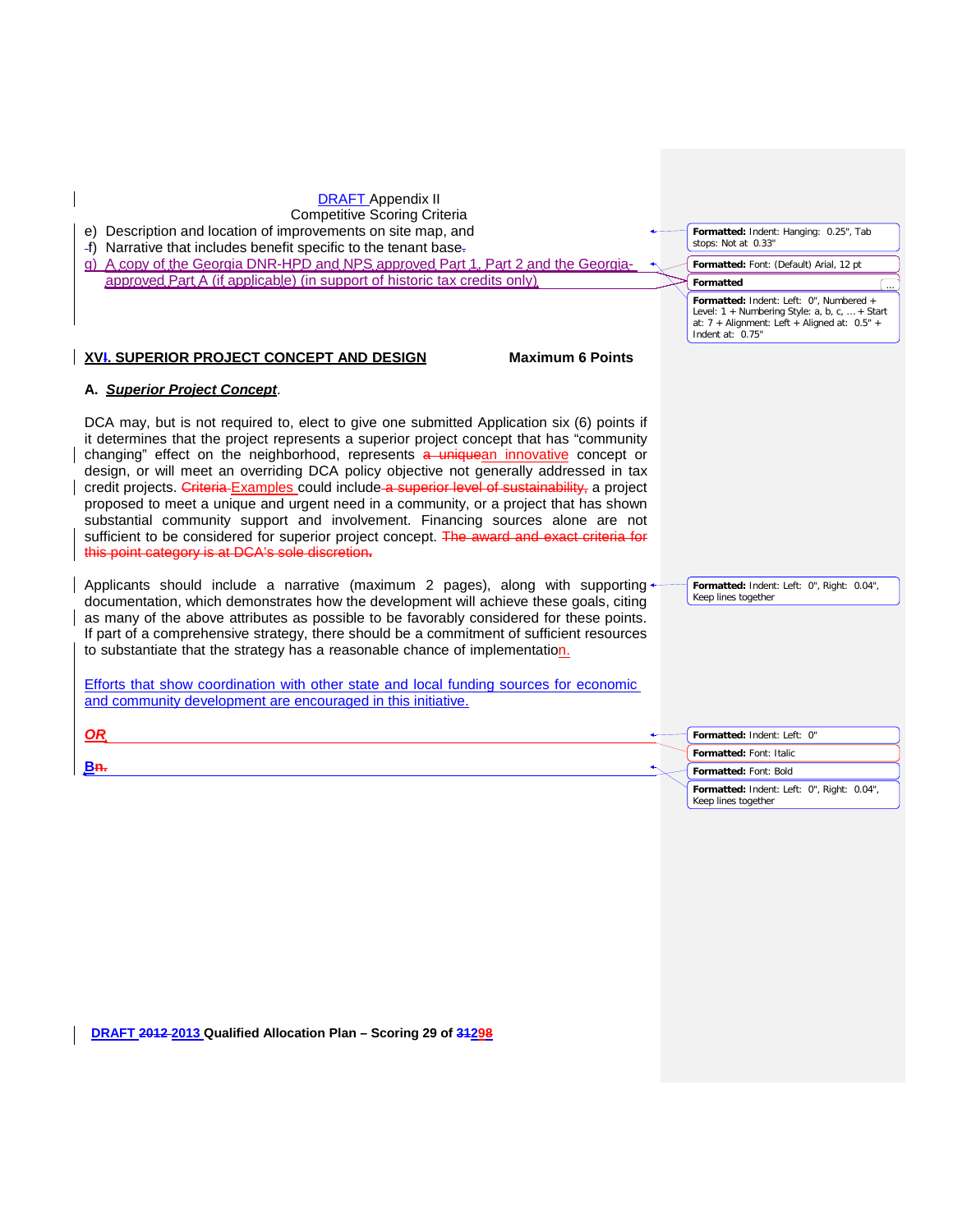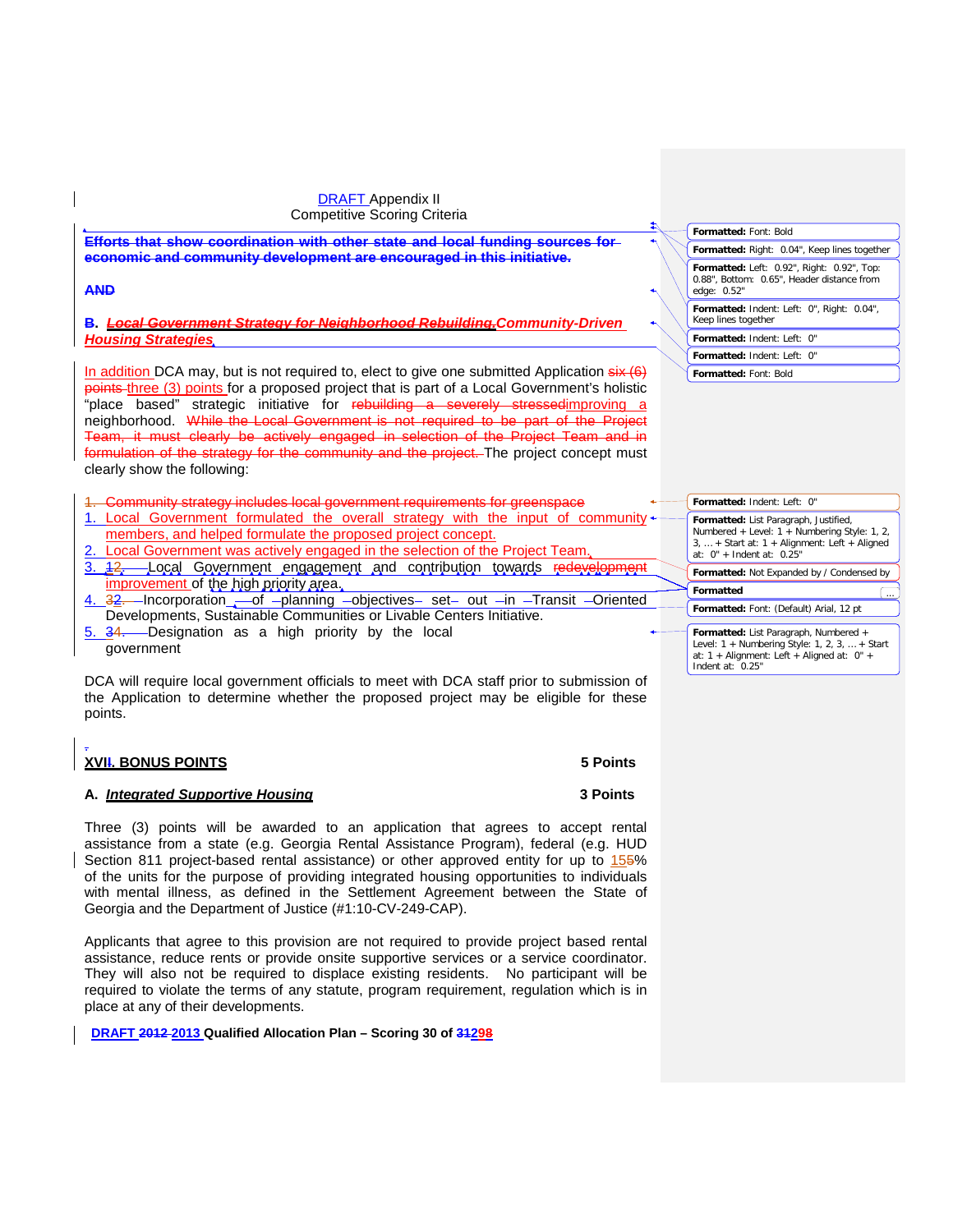#### . **XVII. BONUS POINTS 5 Points**

points.

## **A.** *Integrated Supportive Housing* **3 Points**

Three (3) points will be awarded to an application that agrees to accept rental assistance from a state (e.g. Georgia Rental Assistance Program), federal (e.g. HUD Section 811 project-based rental assistance) or other approved entity for up to 155% of the units for the purpose of providing integrated housing opportunities to individuals with mental illness, as defined in the Settlement Agreement between the State of Georgia and the Department of Justice (#1:10-CV-249-CAP).

Applicants that agree to this provision are not required to provide project based rental assistance, reduce rents or provide onsite supportive services or a service coordinator. They will also not be required to displace existing residents. No participant will be required to violate the terms of any statute, program requirement, regulation which is in place at any of their developments.

**DRAFT 2012 2013 Qualified Allocation Plan – Scoring 30 of 31298**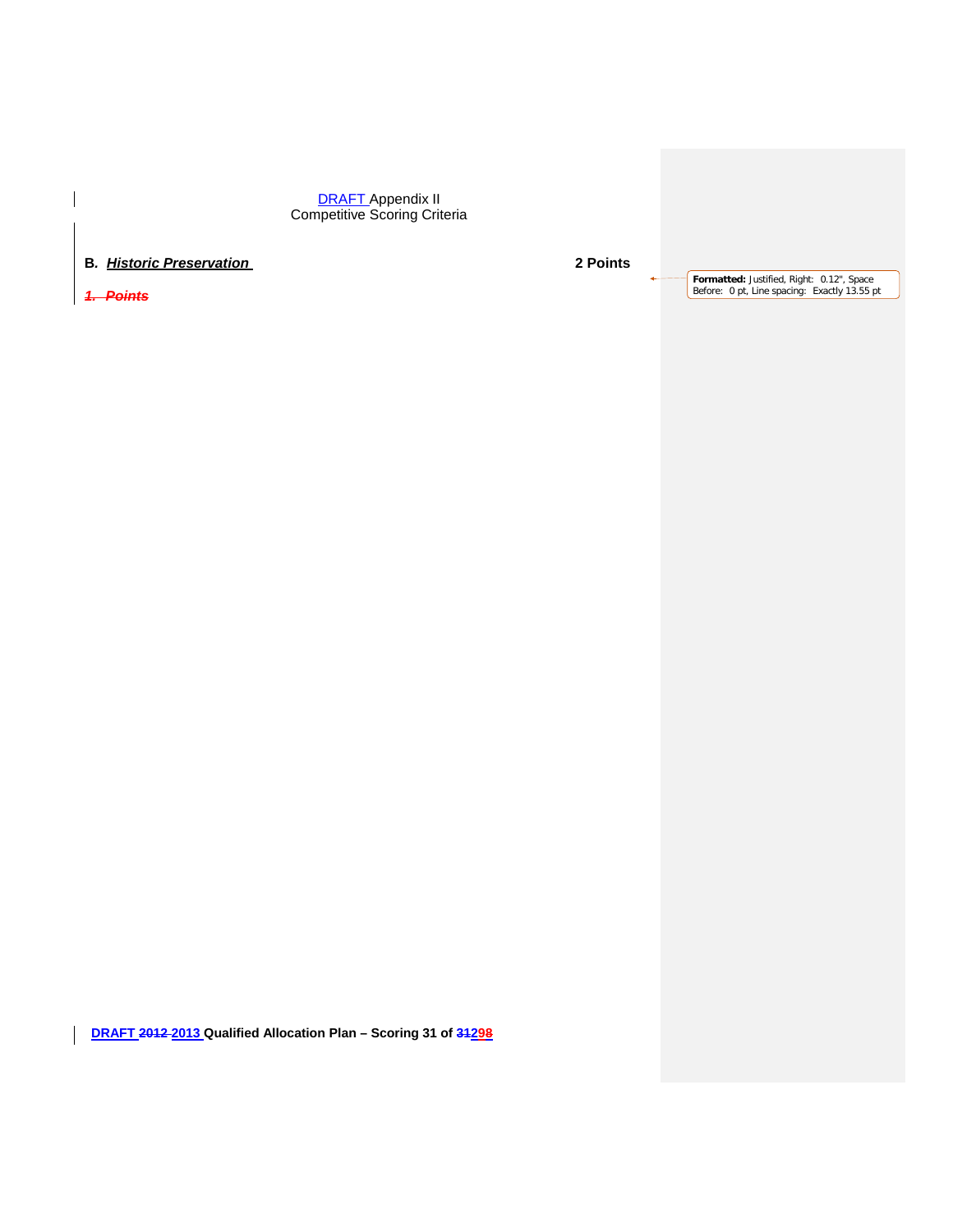## **B***. Historic Preservation* **2 Points**

*1. Points*

**Formatted:** Justified, Right: 0.12", Space Before: 0 pt, Line spacing: Exactly 13.55 pt

**DRAFT 2012 2013 Qualified Allocation Plan – Scoring 31 of 31298**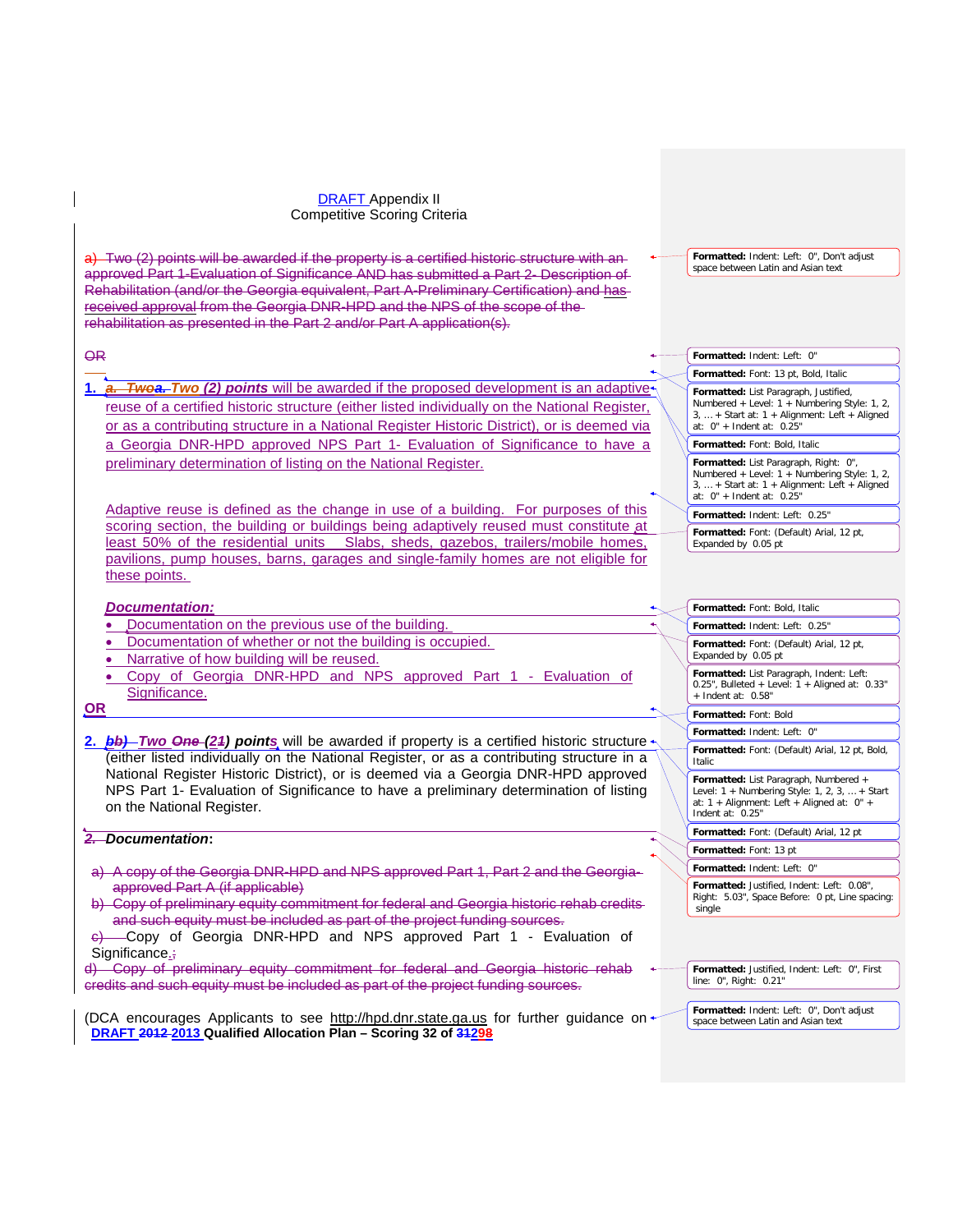**DRAFT 2012 2013 Qualified Allocation Plan – Scoring 32 of 31298** a) Two (2) points will be awarded if the property is a certified historic structure with an approved Part 1-Evaluation of Significance AND has submitted a Part 2- Description of Rehabilitation (and/or the Georgia equivalent, Part A-Preliminary Certification) and has received approval from the Georgia DNR-HPD and the NPS of the scope of the rehabilitation as presented in the Part 2 and/or Part A application(s). OR **1.** *a. Twoa. Two (2) points* will be awarded if the proposed development is an adaptive reuse of a certified historic structure (either listed individually on the National Register, or as a contributing structure in a National Register Historic District), or is deemed via a Georgia DNR-HPD approved NPS Part 1- Evaluation of Significance to have a preliminary determination of listing on the National Register. Adaptive reuse is defined as the change in use of a building. For purposes of this scoring section, the building or buildings being adaptively reused must constitute at least 50% of the residential units Slabs, sheds, gazebos, trailers/mobile homes, pavilions, pump houses, barns, garages and single-family homes are not eligible for these points. *Documentation:* Documentation on the previous use of the building. • Documentation of whether or not the building is occupied. Narrative of how building will be reused. • Copy of Georgia DNR-HPD and NPS approved Part 1 - Evaluation of Significance. **OR 2.** *bb) Two One (21) points* will be awarded if property is a certified historic structure (either listed individually on the National Register, or as a contributing structure in a National Register Historic District), or is deemed via a Georgia DNR-HPD approved NPS Part 1- Evaluation of Significance to have a preliminary determination of listing on the National Register. *2. Documentation***:** a) A copy of the Georgia DNR-HPD and NPS approved Part 1, Part 2 and the Georgiaapproved Part A (if applicable) b) Copy of preliminary equity commitment for federal and Georgia historic rehab credits and such equity must be included as part of the project funding sources. -Copy of Georgia DNR-HPD and NPS approved Part 1 - Evaluation of Significance.: Copy of preliminary equity commitment for federal and Georgia historic rehab credits and such equity must be included as part of the project funding sources. (DCA encourages Applicants to see [http://hpd.dnr.state.ga.us](http://hpd.dnr.state.ga.us/) for further guidance on **Formatted:** Indent: Left: 0", Don't adjust space between Latin and Asian text **Formatted:** Indent: Left: 0" **Formatted:** Font: 13 pt, Bold, Italic **Formatted:** List Paragraph, Justified, Numbered + Level: 1 + Numbering Style: 1, 2, 3, … + Start at: 1 + Alignment: Left + Aligned at: 0" + Indent at: 0.25" **Formatted:** Font: Bold, Italic **Formatted:** List Paragraph, Right: 0", Numbered + Level: 1 + Numbering Style: 1, 2, + Start at: 1 + Alignment: Left + Aligned at: 0" + Indent at: 0.25" **Formatted:** Indent: Left: 0.25" **Formatted:** Font: (Default) Arial, 12 pt, Expanded by 0.05 pt **Formatted:** Font: Bold, Italic **Formatted:** Indent: Left: 0.25" **Formatted:** Font: (Default) Arial, 12 pt, Expanded by 0.05 pt **Formatted:** List Paragraph, Indent: Left: 0.25", Bulleted + Level: 1 + Aligned at: 0.33" + Indent at: 0.58" **Formatted:** Font: Bold **Formatted:** Indent: Left: 0" **Formatted:** Font: (Default) Arial, 12 pt, Bold, Italic **Formatted:** List Paragraph, Numbered + Level: 1 + Numbering Style: 1, 2, 3, … + Start at: 1 + Alignment: Left + Aligned at: 0" + Indent at: 0.25" **Formatted:** Font: (Default) Arial, 12 pt **Formatted:** Font: 13 pt **Formatted:** Indent: Left: 0" **Formatted:** Justified, Indent: Left: 0.08", Right: 5.03", Space Before: 0 pt, Line spacing: single **Formatted:** Justified, Indent: Left: 0", First line: 0", Right: 0.21" **Formatted:** Indent: Left: 0", Don't adjust space between Latin and Asian text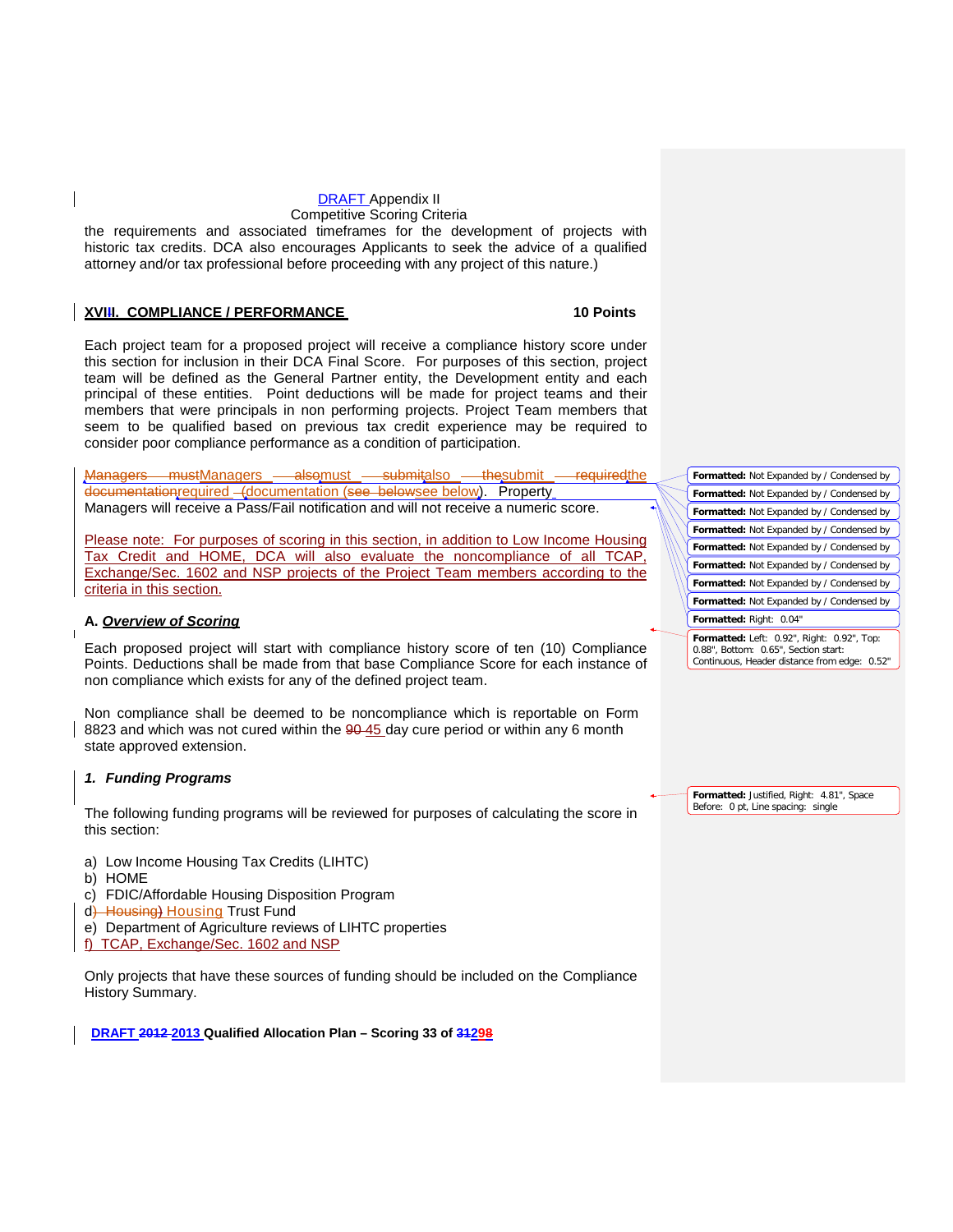the requirements and associated timeframes for the development of projects with historic tax credits. DCA also encourages Applicants to seek the advice of a qualified attorney and/or tax professional before proceeding with any project of this nature.)

## **XVIII. COMPLIANCE / PERFORMANCE 10 Points**

Each project team for a proposed project will receive a compliance history score under this section for inclusion in their DCA Final Score. For purposes of this section, project team will be defined as the General Partner entity, the Development entity and each principal of these entities. Point deductions will be made for project teams and their members that were principals in non performing projects. Project Team members that seem to be qualified based on previous tax credit experience may be required to consider poor compliance performance as a condition of participation.

mustManagers <del>also</del>must <del>submit</del>also documentationrequired - (documentation (see belowsee below). Property Managers will receive a Pass/Fail notification and will not receive a numeric score.

Please note: For purposes of scoring in this section, in addition to Low Income Housing Tax Credit and HOME, DCA will also evaluate the noncompliance of all TCAP, Exchange/Sec. 1602 and NSP projects of the Project Team members according to the criteria in this section.

## **A.** *Overview of Scoring*

Each proposed project will start with compliance history score of ten (10) Compliance Points. Deductions shall be made from that base Compliance Score for each instance of non compliance which exists for any of the defined project team.

Non compliance shall be deemed to be noncompliance which is reportable on Form 8823 and which was not cured within the 90-45 day cure period or within any 6 month state approved extension.

## *1. Funding Programs*

The following funding programs will be reviewed for purposes of calculating the score in this section:

- a) Low Income Housing Tax Credits (LIHTC)
- b) HOME
- c) FDIC/Affordable Housing Disposition Program
- d) Housing) Housing Trust Fund
- e) Department of Agriculture reviews of LIHTC properties
- f) TCAP, Exchange/Sec. 1602 and NSP

Only projects that have these sources of funding should be included on the Compliance History Summary.

**DRAFT 2012 2013 Qualified Allocation Plan – Scoring 33 of 31298**

**Formatted:** Not Expanded by / Condensed by **Formatted:** Not Expanded by / Condensed by **Formatted:** Not Expanded by / Condensed by **Formatted:** Not Expanded by / Condensed by **Formatted:** Not Expanded by / Condensed by **Formatted:** Not Expanded by / Condensed by **Formatted:** Not Expanded by / Condensed by **Formatted:** Not Expanded by / Condensed by **Formatted:** Right: 0.04"

**Formatted:** Left: 0.92", Right: 0.92", Top: 0.88", Bottom: 0.65", Section start: Continuous, Header distance from edge: 0.52"

**Formatted:** Justified, Right: 4.81", Space Before: 0 pt, Line spacing: single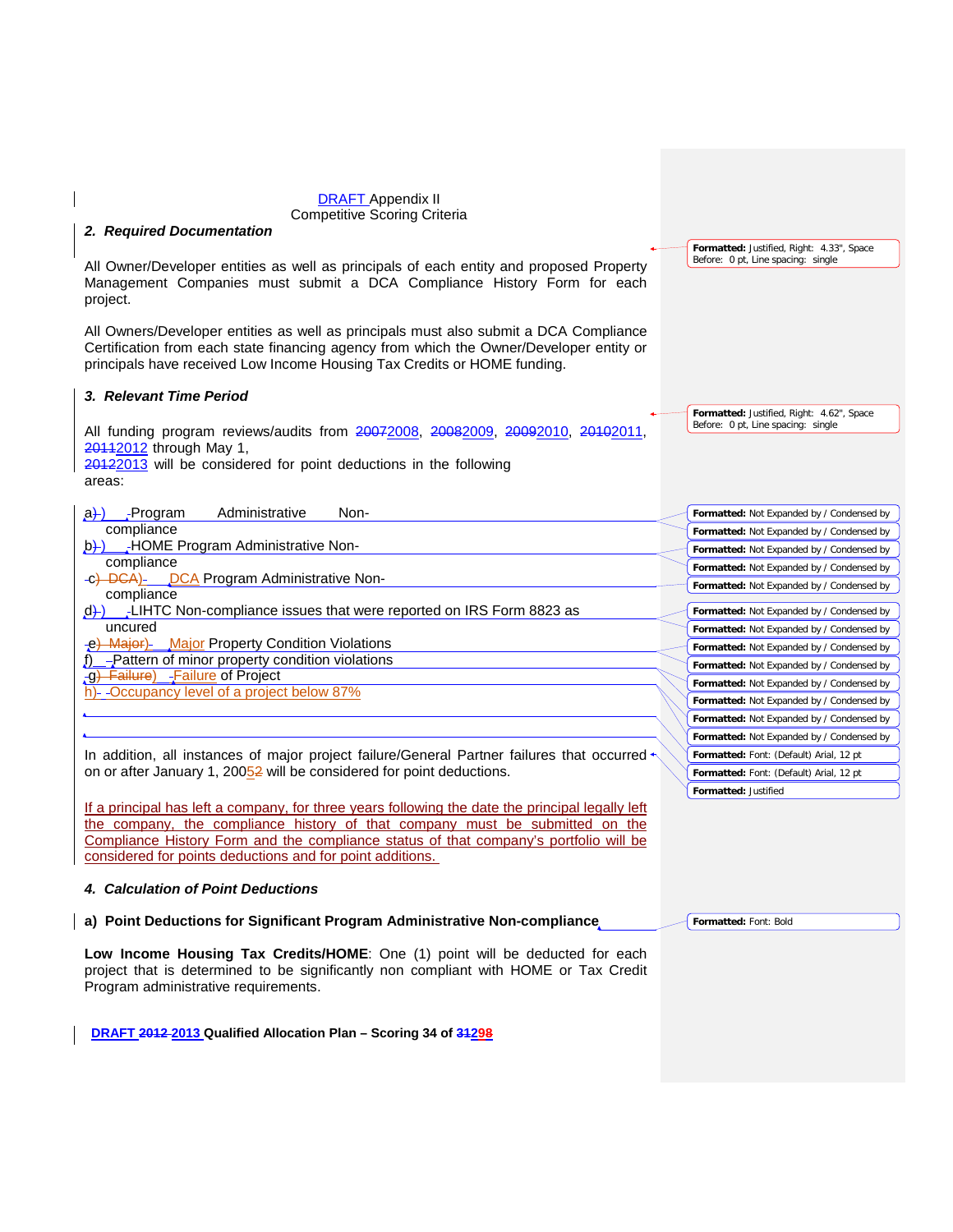#### DRAFT Appendix II Competitive Scoring Criteria **DRAFT 2012 2013 Qualified Allocation Plan – Scoring 34 of 31298** *2. Required Documentation* All Owner/Developer entities as well as principals of each entity and proposed Property Management Companies must submit a DCA Compliance History Form for each project. All Owners/Developer entities as well as principals must also submit a DCA Compliance Certification from each state financing agency from which the Owner/Developer entity or principals have received Low Income Housing Tax Credits or HOME funding. *3. Relevant Time Period* All funding program reviews/audits from 20072008, 20082009, 20092010, 20102011, 201122 through May 1, 20122013 will be considered for point deductions in the following areas:  $\overline{a}$ ) Program Administrative Noncompliance b<sup>+</sup>) .HOME Program Administrative Noncompliance -c) DCA) DCA Program Administrative Noncompliance  $(d)$  ) LIHTC Non-compliance issues that were reported on IRS Form 8823 as uncured **e) Major**) Major Property Condition Violations  $f$   $\rightarrow$  Pattern of minor property condition violations g) Failure) Failure of Project h)- - Occupancy level of a project below 87% In addition, all instances of major project failure/General Partner failures that occurred on or after January 1, 20052 will be considered for point deductions. If a principal has left a company, for three years following the date the principal legally left the company, the compliance history of that company must be submitted on the Compliance History Form and the compliance status of that company's portfolio will be considered for points deductions and for point additions. *4. Calculation of Point Deductions* **a) Point Deductions for Significant Program Administrative Non-compliance Low Income Housing Tax Credits/HOME**: One (1) point will be deducted for each project that is determined to be significantly non compliant with HOME or Tax Credit Program administrative requirements. **Formatted:** Justified, Right: 4.33", Space Before: 0 pt, Line spacing: single **Formatted:** Justified, Right: 4.62", Space Before: 0 pt, Line spacing: single **Formatted:** Not Expanded by / Condensed by **Formatted:** Not Expanded by / Condensed by **Formatted:** Not Expanded by / Condensed by **Formatted:** Not Expanded by / Condensed by **Formatted:** Not Expanded by / Condensed by **Formatted:** Not Expanded by / Condensed by **Formatted:** Not Expanded by / Condensed by **Formatted:** Not Expanded by / Condensed by **Formatted:** Not Expanded by / Condensed by **Formatted:** Not Expanded by / Condensed by **Formatted:** Not Expanded by / Condensed by **Formatted:** Not Expanded by / Condensed by **Formatted:** Not Expanded by / Condensed by **Formatted:** Font: (Default) Arial, 12 pt **Formatted:** Font: (Default) Arial, 12 pt **Formatted:** Justified **Formatted:** Font: Bold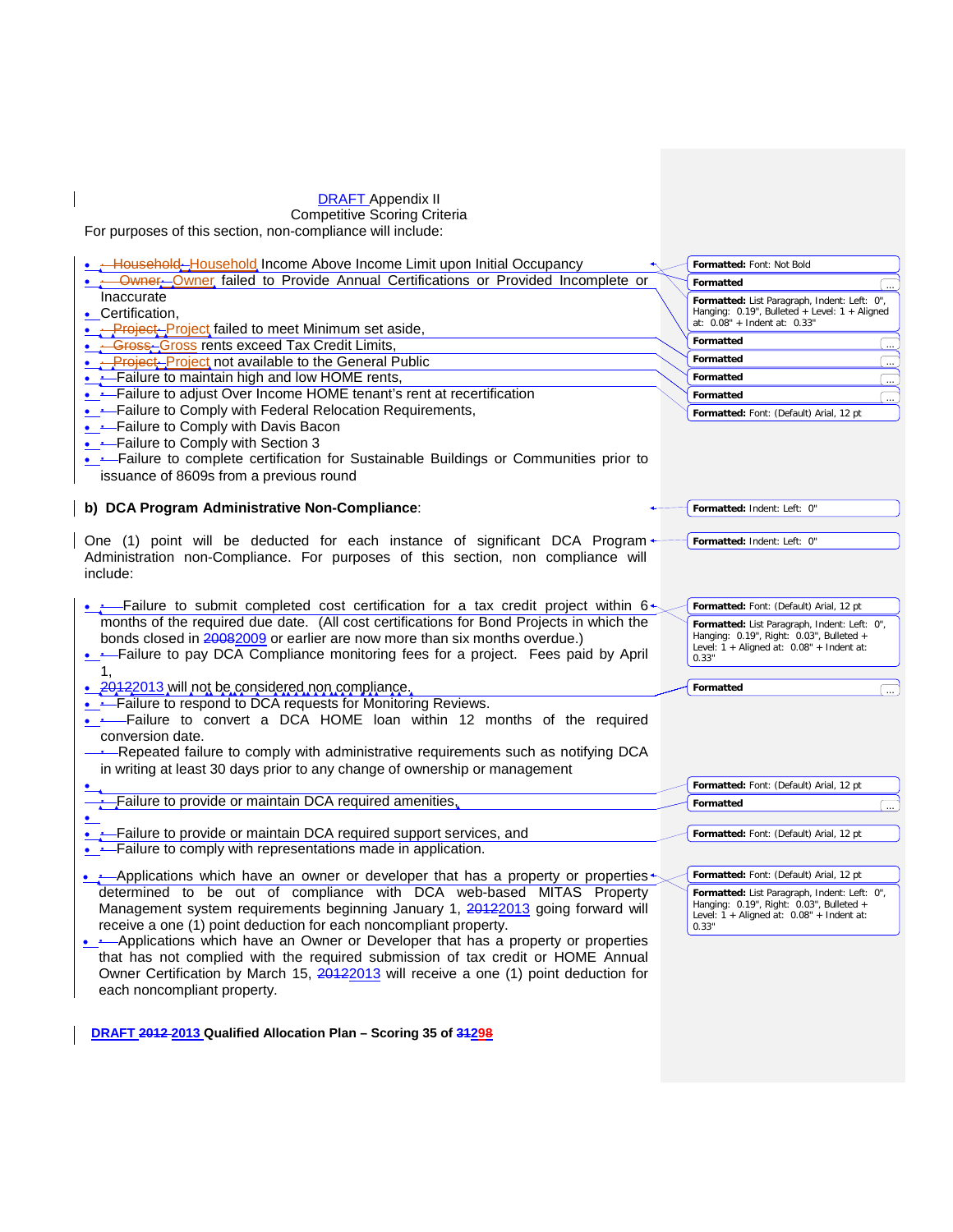**DRAFT Appendix II** Competitive Scoring Criteria For purposes of this section, non-compliance will include:

 $\overline{\phantom{a}}$ 

| <b>• Household-Household Income Above Income Limit upon Initial Occupancy</b>            | Formatted: Font: Not Bold                                                                 |  |
|------------------------------------------------------------------------------------------|-------------------------------------------------------------------------------------------|--|
| • Owner Owner failed to Provide Annual Certifications or Provided Incomplete or          | Formatted                                                                                 |  |
| Inaccurate                                                                               | Formatted: List Paragraph, Indent: Left: 0",                                              |  |
| • Certification,                                                                         | Hanging: $0.19$ ", Bulleted + Level: $1 +$ Aligned                                        |  |
| <b>•</b> Project-Project failed to meet Minimum set aside,                               | at: 0.08" + Indent at: 0.33"                                                              |  |
| . Gross-Gross rents exceed Tax Credit Limits,                                            | Formatted                                                                                 |  |
| • <b>Project</b> Project not available to the General Public                             | Formatted                                                                                 |  |
| • - Failure to maintain high and low HOME rents,                                         | Formatted                                                                                 |  |
| • - Failure to adjust Over Income HOME tenant's rent at recertification                  | Formatted                                                                                 |  |
| • - Failure to Comply with Federal Relocation Requirements,                              | Formatted: Font: (Default) Arial, 12 pt                                                   |  |
| • - Failure to Comply with Davis Bacon                                                   |                                                                                           |  |
| • - Failure to Comply with Section 3                                                     |                                                                                           |  |
| • Failure to complete certification for Sustainable Buildings or Communities prior to    |                                                                                           |  |
| issuance of 8609s from a previous round                                                  |                                                                                           |  |
|                                                                                          |                                                                                           |  |
| b) DCA Program Administrative Non-Compliance:                                            | Formatted: Indent: Left: 0"                                                               |  |
|                                                                                          |                                                                                           |  |
| One (1) point will be deducted for each instance of significant DCA Program.             | Formatted: Indent: Left: 0"                                                               |  |
| Administration non-Compliance. For purposes of this section, non compliance will         |                                                                                           |  |
| include:                                                                                 |                                                                                           |  |
|                                                                                          |                                                                                           |  |
| • Failure to submit completed cost certification for a tax credit project within 6       | Formatted: Font: (Default) Arial, 12 pt                                                   |  |
| months of the required due date. (All cost certifications for Bond Projects in which the | Formatted: List Paragraph, Indent: Left: 0",<br>Hanging: 0.19", Right: 0.03", Bulleted +  |  |
| bonds closed in 20082009 or earlier are now more than six months overdue.)               | Level: $1 +$ Aligned at: $0.08" +$ Indent at:                                             |  |
| • Failure to pay DCA Compliance monitoring fees for a project. Fees paid by April        | 0.33"                                                                                     |  |
| 1,                                                                                       |                                                                                           |  |
| • 20122013 will not be considered non compliance.                                        | Formatted                                                                                 |  |
| • - Failure to respond to DCA requests for Monitoring Reviews.                           |                                                                                           |  |
|                                                                                          |                                                                                           |  |
| conversion date.                                                                         |                                                                                           |  |
| -Repeated failure to comply with administrative requirements such as notifying DCA       |                                                                                           |  |
| in writing at least 30 days prior to any change of ownership or management               |                                                                                           |  |
| -Failure to provide or maintain DCA required amenities,                                  | Formatted: Font: (Default) Arial, 12 pt                                                   |  |
|                                                                                          | Formatted                                                                                 |  |
| • Failure to provide or maintain DCA required support services, and                      | Formatted: Font: (Default) Arial, 12 pt                                                   |  |
| • - Failure to comply with representations made in application.                          |                                                                                           |  |
|                                                                                          |                                                                                           |  |
| • Applications which have an owner or developer that has a property or properties        | Formatted: Font: (Default) Arial, 12 pt                                                   |  |
| determined to be out of compliance with DCA web-based MITAS Property                     | Formatted: List Paragraph, Indent: Left: 0",                                              |  |
| Management system requirements beginning January 1, 20122013 going forward will          | Hanging: 0.19", Right: 0.03", Bulleted +<br>Level: $1 +$ Aligned at: $0.08" +$ Indent at: |  |
| receive a one (1) point deduction for each noncompliant property.                        | 0.33"                                                                                     |  |
| • Applications which have an Owner or Developer that has a property or properties        |                                                                                           |  |
| that has not complied with the required submission of tax credit or HOME Annual          |                                                                                           |  |
| Owner Certification by March 15, 20122013 will receive a one (1) point deduction for     |                                                                                           |  |
| each noncompliant property.                                                              |                                                                                           |  |
|                                                                                          |                                                                                           |  |
| DRAFT 2012-2013 Qualified Allocation Plan – Scoring 35 of 34298                          |                                                                                           |  |
|                                                                                          |                                                                                           |  |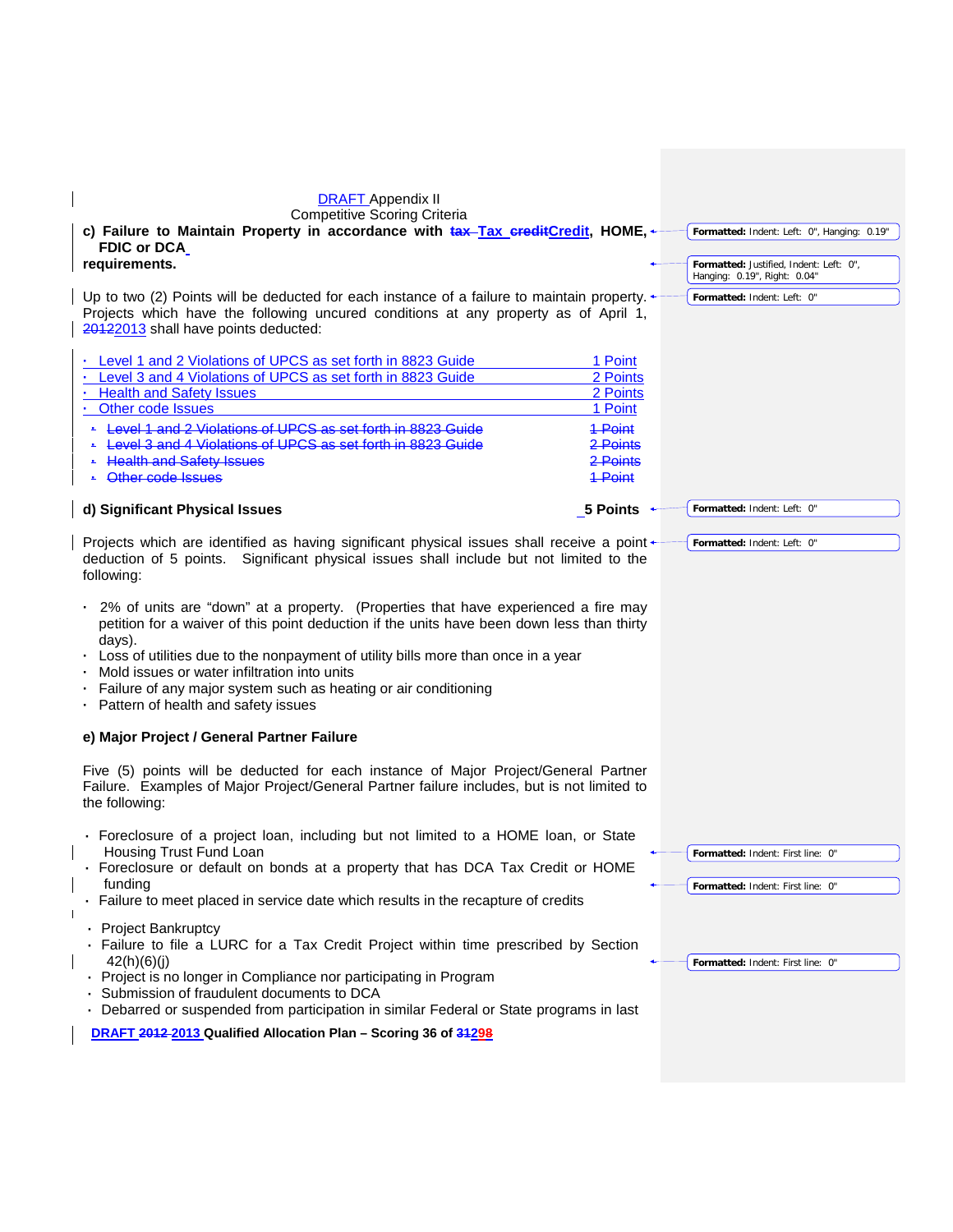| <b>DRAFT</b> Appendix II                                                                                                                                                                                                                                                                                                                                                                                                                                                                                                                                                                                                                                                                                                                                                                                                                                                                                         |                                                                                            |                                                                                                             |
|------------------------------------------------------------------------------------------------------------------------------------------------------------------------------------------------------------------------------------------------------------------------------------------------------------------------------------------------------------------------------------------------------------------------------------------------------------------------------------------------------------------------------------------------------------------------------------------------------------------------------------------------------------------------------------------------------------------------------------------------------------------------------------------------------------------------------------------------------------------------------------------------------------------|--------------------------------------------------------------------------------------------|-------------------------------------------------------------------------------------------------------------|
| <b>Competitive Scoring Criteria</b><br>c) Failure to Maintain Property in accordance with tax-Tax creditCredit, HOME, -                                                                                                                                                                                                                                                                                                                                                                                                                                                                                                                                                                                                                                                                                                                                                                                          |                                                                                            |                                                                                                             |
| FDIC or DCA                                                                                                                                                                                                                                                                                                                                                                                                                                                                                                                                                                                                                                                                                                                                                                                                                                                                                                      |                                                                                            | Formatted: Indent: Left: 0", Hanging: 0.19"                                                                 |
| requirements.                                                                                                                                                                                                                                                                                                                                                                                                                                                                                                                                                                                                                                                                                                                                                                                                                                                                                                    |                                                                                            | Formatted: Justified, Indent: Left: 0",<br>Hanging: 0.19", Right: 0.04"                                     |
| Up to two (2) Points will be deducted for each instance of a failure to maintain property.<br>Projects which have the following uncured conditions at any property as of April 1,<br>20122013 shall have points deducted:                                                                                                                                                                                                                                                                                                                                                                                                                                                                                                                                                                                                                                                                                        |                                                                                            | Formatted: Indent: Left: 0"                                                                                 |
| • Level 1 and 2 Violations of UPCS as set forth in 8823 Guide<br>Level 3 and 4 Violations of UPCS as set forth in 8823 Guide<br><b>Health and Safety Issues</b><br><b>Other code Issues</b><br>Level 1 and 2 Violations of UPCS as set forth in 8823 Guide<br>Level 3 and 4 Violations of UPCS as set forth in 8823 Guide<br><b>Health and Safety Issues</b><br>Other code Issues                                                                                                                                                                                                                                                                                                                                                                                                                                                                                                                                | 1 Point<br>2 Points<br>2 Points<br>1 Point<br>$4$ Point<br>2 Points<br>2 Points<br>4-Point |                                                                                                             |
| d) Significant Physical Issues                                                                                                                                                                                                                                                                                                                                                                                                                                                                                                                                                                                                                                                                                                                                                                                                                                                                                   | 5 Points                                                                                   | Formatted: Indent: Left: 0"                                                                                 |
| Projects which are identified as having significant physical issues shall receive a point $\star$<br>deduction of 5 points. Significant physical issues shall include but not limited to the<br>following:<br>- 2% of units are "down" at a property. (Properties that have experienced a fire may<br>petition for a waiver of this point deduction if the units have been down less than thirty<br>days).<br>Loss of utilities due to the nonpayment of utility bills more than once in a year<br>Mold issues or water infiltration into units<br>Failure of any major system such as heating or air conditioning<br>- Pattern of health and safety issues<br>e) Major Project / General Partner Failure<br>Five (5) points will be deducted for each instance of Major Project/General Partner<br>Failure. Examples of Major Project/General Partner failure includes, but is not limited to<br>the following: |                                                                                            | Formatted: Indent: Left: 0"                                                                                 |
| • Foreclosure of a project loan, including but not limited to a HOME loan, or State<br>Housing Trust Fund Loan<br>• Foreclosure or default on bonds at a property that has DCA Tax Credit or HOME<br>funding<br>• Failure to meet placed in service date which results in the recapture of credits<br>• Project Bankruptcy<br>Failure to file a LURC for a Tax Credit Project within time prescribed by Section<br>42(h)(6)(i)<br>• Project is no longer in Compliance nor participating in Program<br>Submission of fraudulent documents to DCA<br>• Debarred or suspended from participation in similar Federal or State programs in last<br>DRAFT 2012-2013 Qualified Allocation Plan - Scoring 36 of 34298                                                                                                                                                                                                   |                                                                                            | Formatted: Indent: First line: 0"<br>Formatted: Indent: First line: 0"<br>Formatted: Indent: First line: 0" |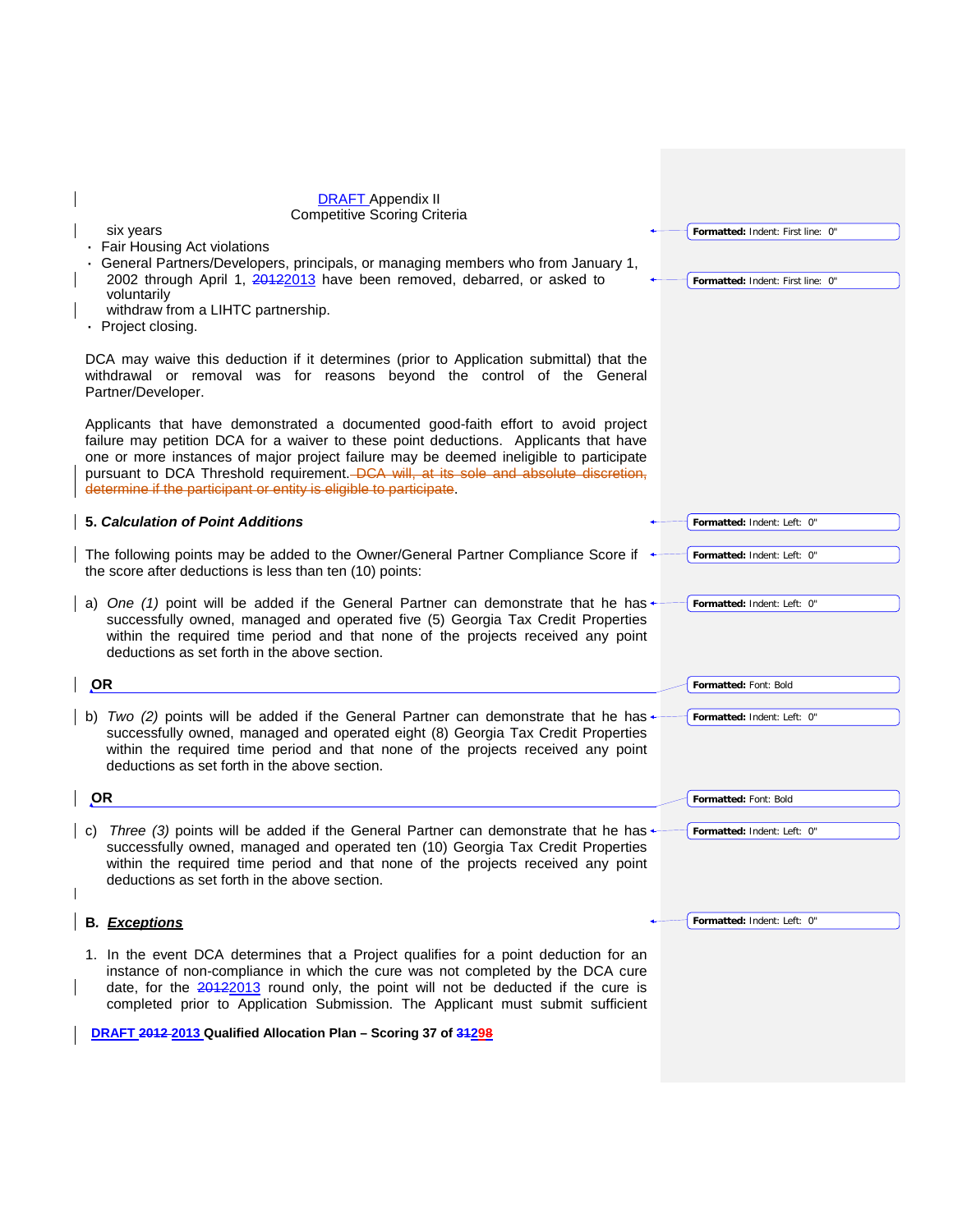| <b>DRAFT</b> Appendix II<br><b>Competitive Scoring Criteria</b>                                                                                                                                                                                                                                                   |                                   |
|-------------------------------------------------------------------------------------------------------------------------------------------------------------------------------------------------------------------------------------------------------------------------------------------------------------------|-----------------------------------|
| six years<br>Fair Housing Act violations                                                                                                                                                                                                                                                                          | Formatted: Indent: First line: 0" |
| General Partners/Developers, principals, or managing members who from January 1,                                                                                                                                                                                                                                  |                                   |
| 2002 through April 1, 20122013 have been removed, debarred, or asked to                                                                                                                                                                                                                                           | Formatted: Indent: First line: 0" |
| voluntarily<br>withdraw from a LIHTC partnership.                                                                                                                                                                                                                                                                 |                                   |
| • Project closing.                                                                                                                                                                                                                                                                                                |                                   |
| DCA may waive this deduction if it determines (prior to Application submittal) that the<br>withdrawal or removal was for reasons beyond the control of the General<br>Partner/Developer.                                                                                                                          |                                   |
| Applicants that have demonstrated a documented good-faith effort to avoid project                                                                                                                                                                                                                                 |                                   |
| failure may petition DCA for a waiver to these point deductions. Applicants that have<br>one or more instances of major project failure may be deemed ineligible to participate                                                                                                                                   |                                   |
| pursuant to DCA Threshold requirement. DCA will, at its sole and absolute discretion,                                                                                                                                                                                                                             |                                   |
| determine if the participant or entity is eligible to participate.                                                                                                                                                                                                                                                |                                   |
| 5. Calculation of Point Additions                                                                                                                                                                                                                                                                                 | Formatted: Indent: Left: 0"       |
| The following points may be added to the Owner/General Partner Compliance Score if $\rightarrow$                                                                                                                                                                                                                  | Formatted: Indent: Left: 0"       |
| the score after deductions is less than ten (10) points:                                                                                                                                                                                                                                                          |                                   |
| a) One (1) point will be added if the General Partner can demonstrate that he has $\star$<br>successfully owned, managed and operated five (5) Georgia Tax Credit Properties<br>within the required time period and that none of the projects received any point<br>deductions as set forth in the above section. | Formatted: Indent: Left: 0"       |
| $\overline{R}$                                                                                                                                                                                                                                                                                                    | Formatted: Font: Bold             |
| b) Two (2) points will be added if the General Partner can demonstrate that he has $\star$                                                                                                                                                                                                                        |                                   |
|                                                                                                                                                                                                                                                                                                                   |                                   |
|                                                                                                                                                                                                                                                                                                                   | Formatted: Indent: Left: 0"       |
| successfully owned, managed and operated eight (8) Georgia Tax Credit Properties<br>within the required time period and that none of the projects received any point<br>deductions as set forth in the above section.                                                                                             |                                   |
|                                                                                                                                                                                                                                                                                                                   |                                   |
| OR <sub>.</sub>                                                                                                                                                                                                                                                                                                   | Formatted: Font: Bold             |
| Three (3) points will be added if the General Partner can demonstrate that he has $\div$<br>C)                                                                                                                                                                                                                    | Formatted: Indent: Left: 0"       |
| successfully owned, managed and operated ten (10) Georgia Tax Credit Properties                                                                                                                                                                                                                                   |                                   |
| within the required time period and that none of the projects received any point<br>deductions as set forth in the above section.                                                                                                                                                                                 |                                   |
|                                                                                                                                                                                                                                                                                                                   |                                   |
| <b>B.</b> Exceptions                                                                                                                                                                                                                                                                                              | Formatted: Indent: Left: 0"       |
| 1. In the event DCA determines that a Project qualifies for a point deduction for an                                                                                                                                                                                                                              |                                   |
| instance of non-compliance in which the cure was not completed by the DCA cure                                                                                                                                                                                                                                    |                                   |
| date, for the 2012/2013 round only, the point will not be deducted if the cure is<br>completed prior to Application Submission. The Applicant must submit sufficient                                                                                                                                              |                                   |
| DRAFT 2012 2013 Qualified Allocation Plan - Scoring 37 of 34298                                                                                                                                                                                                                                                   |                                   |
|                                                                                                                                                                                                                                                                                                                   |                                   |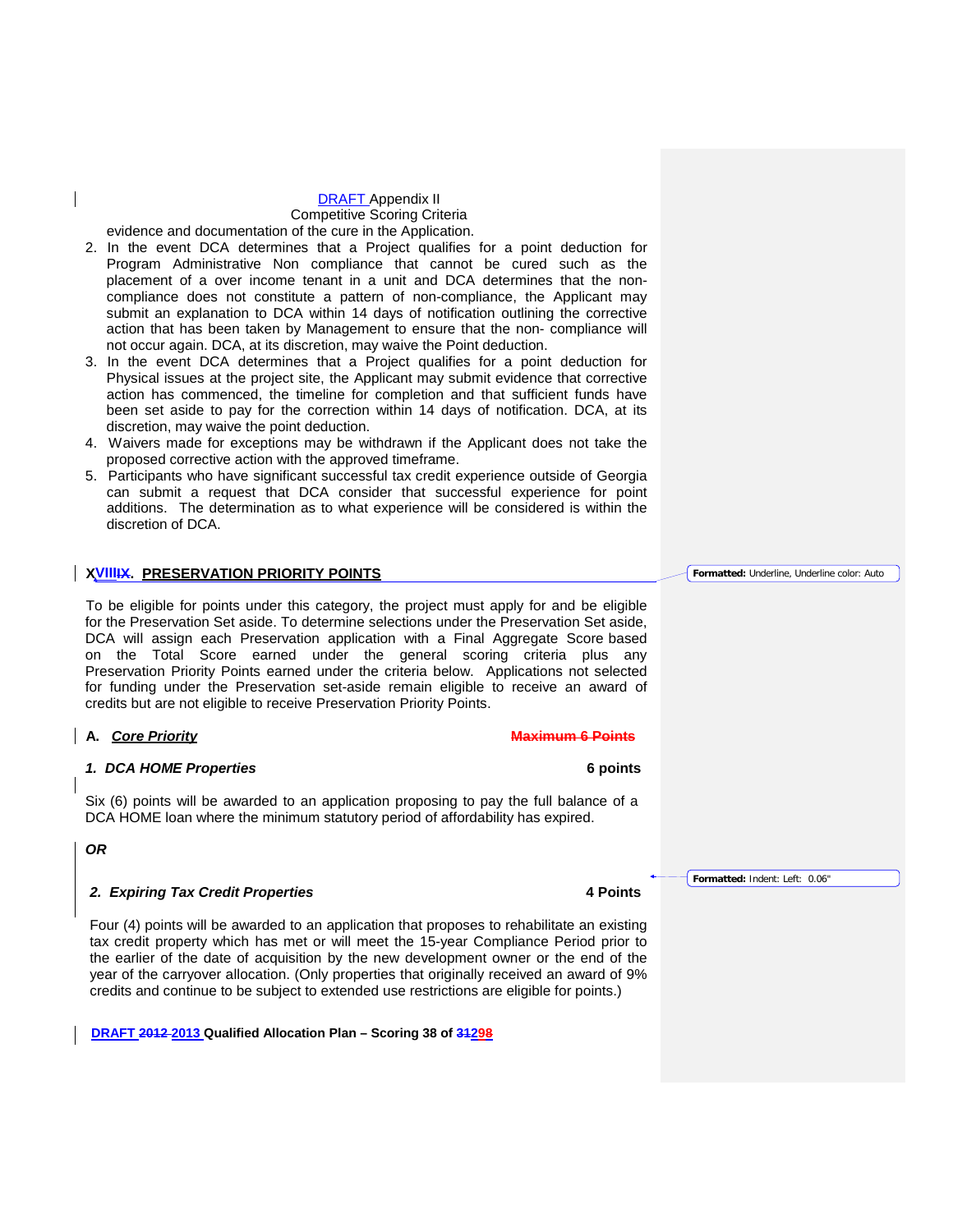evidence and documentation of the cure in the Application.

- 2. In the event DCA determines that a Project qualifies for a point deduction for Program Administrative Non compliance that cannot be cured such as the placement of a over income tenant in a unit and DCA determines that the noncompliance does not constitute a pattern of non-compliance, the Applicant may submit an explanation to DCA within 14 days of notification outlining the corrective action that has been taken by Management to ensure that the non- compliance will not occur again. DCA, at its discretion, may waive the Point deduction.
- 3. In the event DCA determines that a Project qualifies for a point deduction for Physical issues at the project site, the Applicant may submit evidence that corrective action has commenced, the timeline for completion and that sufficient funds have been set aside to pay for the correction within 14 days of notification. DCA, at its discretion, may waive the point deduction.
- 4. Waivers made for exceptions may be withdrawn if the Applicant does not take the proposed corrective action with the approved timeframe.
- 5. Participants who have significant successful tax credit experience outside of Georgia can submit a request that DCA consider that successful experience for point additions. The determination as to what experience will be considered is within the discretion of DCA.

## **XVIIIIX. PRESERVATION PRIORITY POINTS**

To be eligible for points under this category, the project must apply for and be eligible for the Preservation Set aside. To determine selections under the Preservation Set aside, DCA will assign each Preservation application with a Final Aggregate Score based on the Total Score earned under the general scoring criteria plus any Preservation Priority Points earned under the criteria below. Applications not selected for funding under the Preservation set-aside remain eligible to receive an award of credits but are not eligible to receive Preservation Priority Points.

## **A.** *Core Priority* **Maximum 6 Points**

## *1. DCA HOME Properties* **6 points**

Six (6) points will be awarded to an application proposing to pay the full balance of a DCA HOME loan where the minimum statutory period of affordability has expired.

## *OR*

## *2. Expiring Tax Credit Properties* **4 Points**

Four (4) points will be awarded to an application that proposes to rehabilitate an existing tax credit property which has met or will meet the 15-year Compliance Period prior to the earlier of the date of acquisition by the new development owner or the end of the year of the carryover allocation. (Only properties that originally received an award of 9% credits and continue to be subject to extended use restrictions are eligible for points.)

**DRAFT 2012 2013 Qualified Allocation Plan – Scoring 38 of 31298**

**Formatted:** Underline, Underline color: Auto

**Formatted:** Indent: Left: 0.06"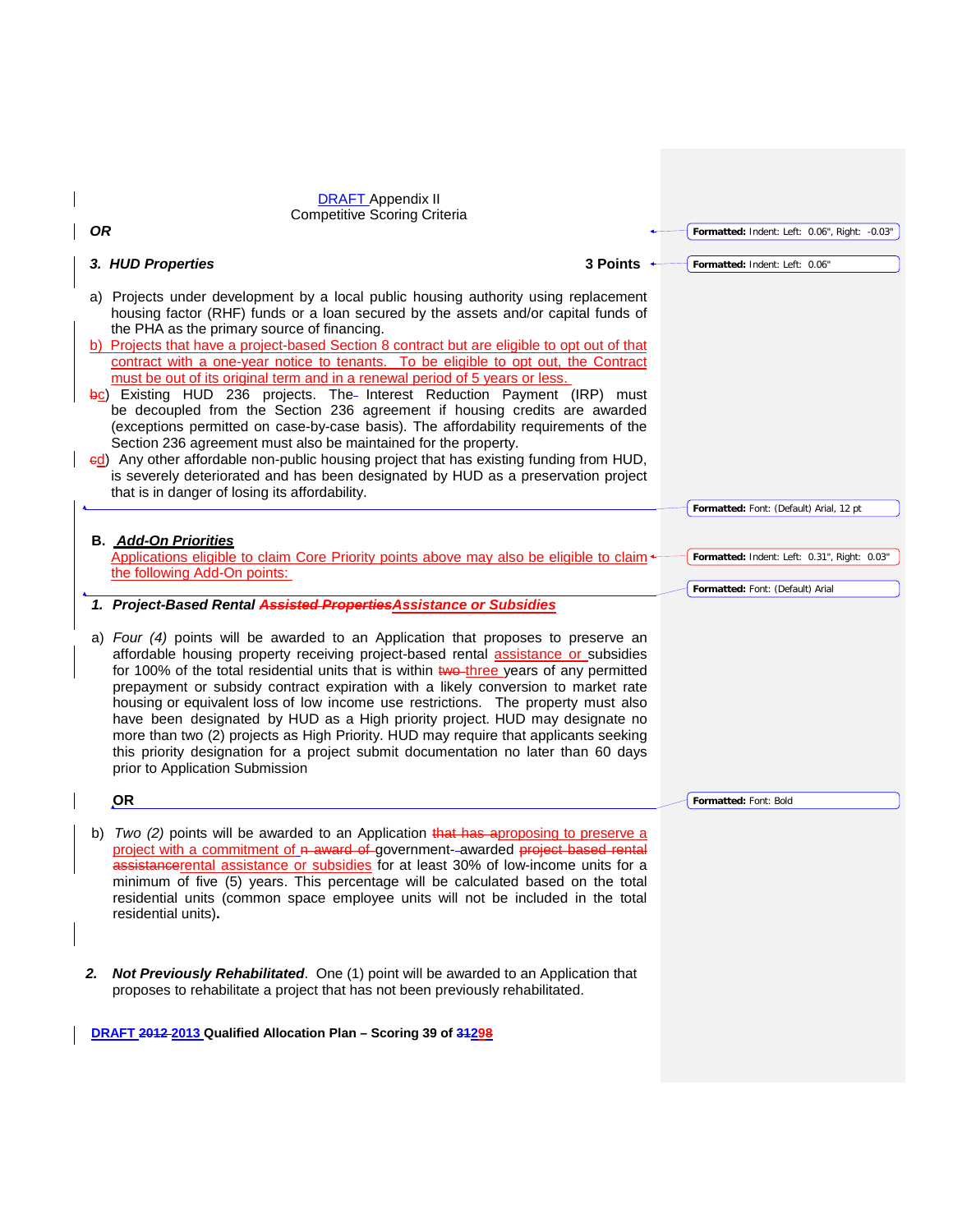DRAFT Appendix II

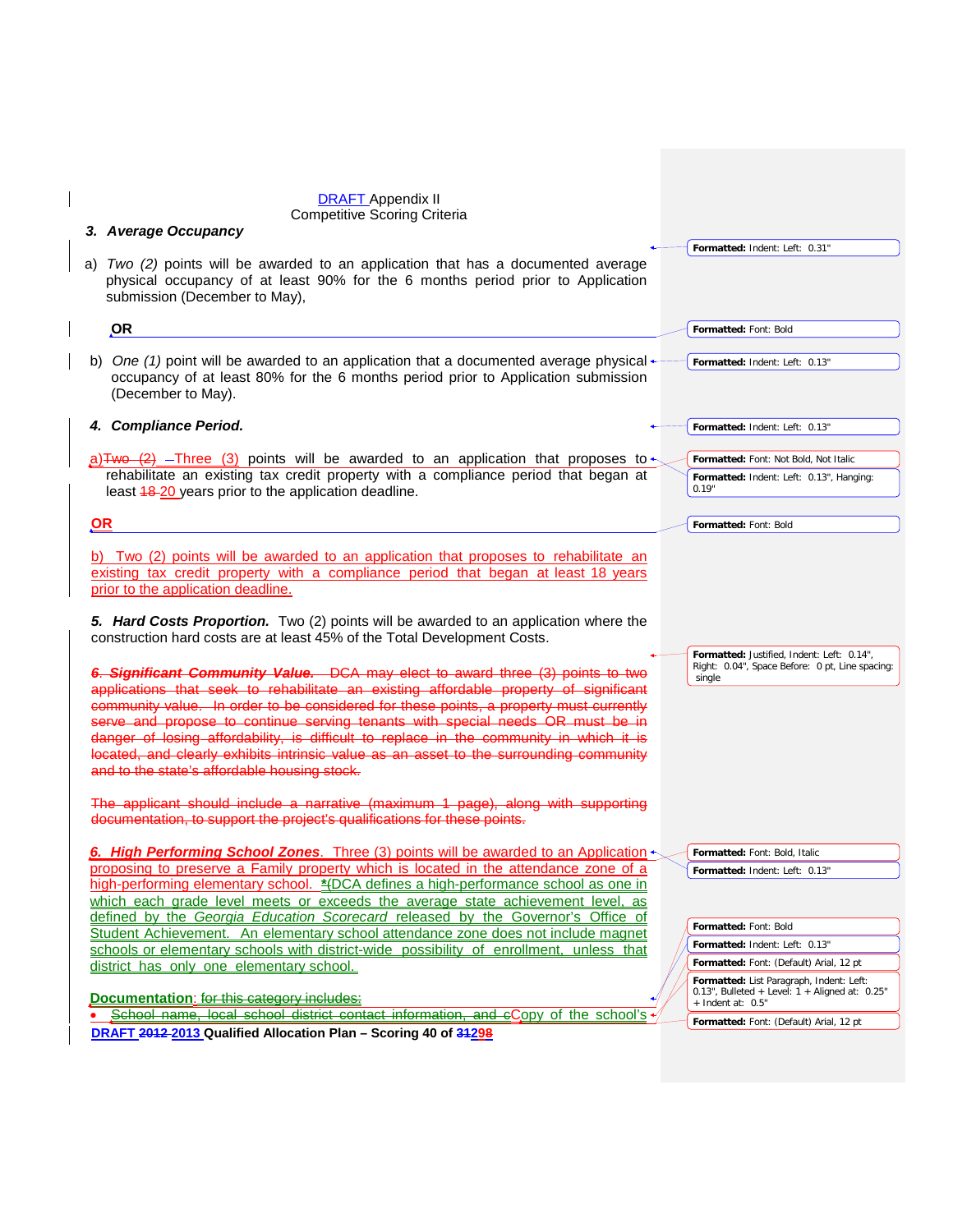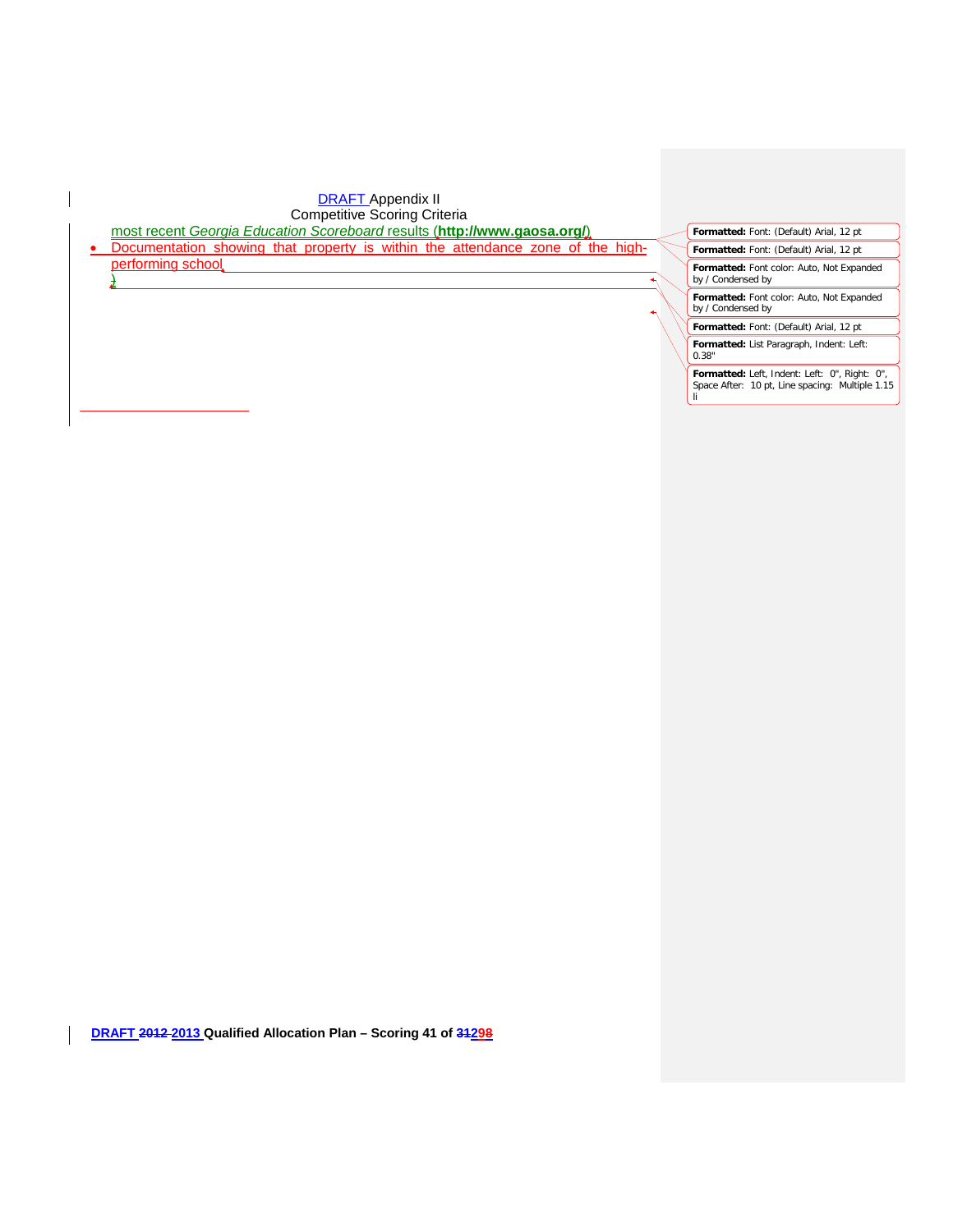| <b>DRAFT</b> Appendix II<br><b>Competitive Scoring Criteria</b>                |                                                                                                  |
|--------------------------------------------------------------------------------|--------------------------------------------------------------------------------------------------|
| most recent Georgia Education Scoreboard results (http://www.gaosa.org/)       | Formatted: Font: (Default) Arial, 12 pt                                                          |
| Documentation showing that property is within the attendance zone of the high- | Formatted: Font: (Default) Arial, 12 pt                                                          |
| performing school                                                              | Formatted: Font color: Auto, Not Expanded<br>by / Condensed by                                   |
|                                                                                | Formatted: Font color: Auto, Not Expanded<br>by / Condensed by                                   |
|                                                                                | Formatted: Font: (Default) Arial, 12 pt                                                          |
|                                                                                | Formatted: List Paragraph, Indent: Left:<br>0.38"                                                |
|                                                                                | Formatted: Left, Indent: Left: 0", Right: 0",<br>Space After: 10 pt, Line spacing: Multiple 1.15 |
|                                                                                |                                                                                                  |

**DRAFT 2012 2013 Qualified Allocation Plan – Scoring 41 of 31298**